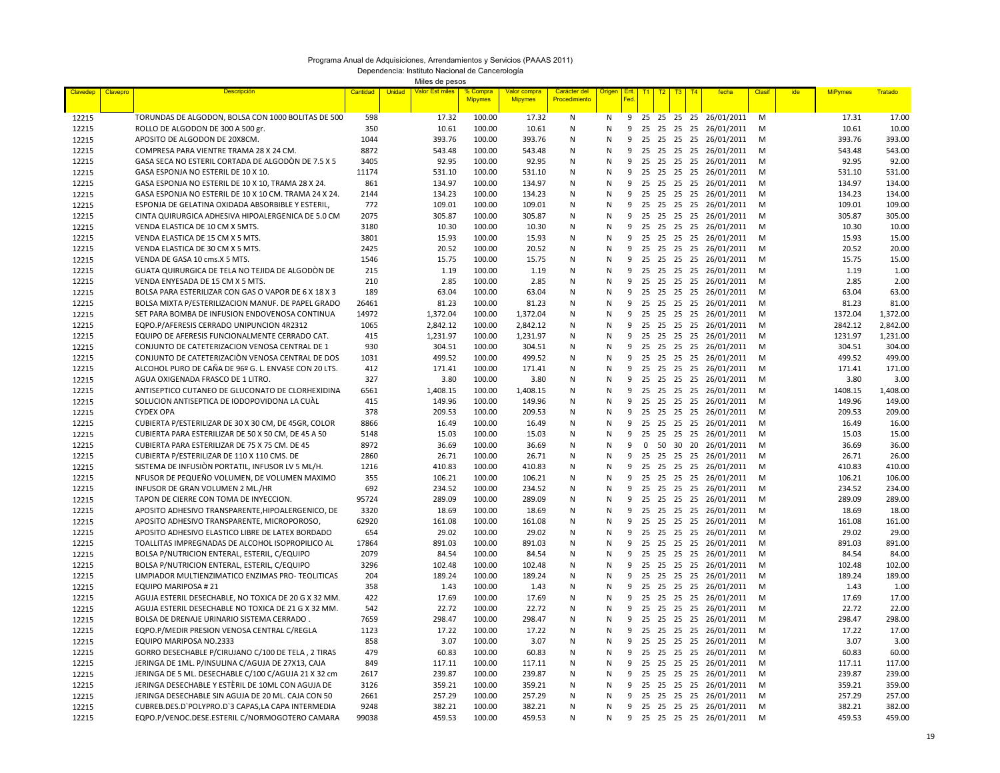## Programa Anual de Adquisiciones, Arrendamientos y Servicios (PAAAS 2011)

Dependencia: Instituto Nacional de Cancerología

Miles de pesos

| Claveder       | Clavepro | <b>Descripción</b>                                                            | Cantidad     | Unidad | Valor Est miles | Compra<br><b>Mipymes</b> | /alor compra<br><b>Mipymes</b> | Carácter del<br>Procedimiento | Origer            | Ent<br>Fed | T1          | T2 | T <sub>3</sub>          | T4 | fecha                                | Clasi  | ide | <b>MiPymes</b> | <u> Fratado</u> |
|----------------|----------|-------------------------------------------------------------------------------|--------------|--------|-----------------|--------------------------|--------------------------------|-------------------------------|-------------------|------------|-------------|----|-------------------------|----|--------------------------------------|--------|-----|----------------|-----------------|
|                |          |                                                                               |              |        |                 |                          |                                |                               |                   |            |             |    |                         |    |                                      |        |     |                |                 |
| 12215          |          | TORUNDAS DE ALGODON, BOLSA CON 1000 BOLITAS DE 500                            | 598          |        | 17.32           | 100.00                   | 17.32                          | N                             | N                 | 9          |             |    |                         |    | 25 25 25 25 26/01/2011               | M      |     | 17.31          | 17.00           |
| 12215          |          | ROLLO DE ALGODON DE 300 A 500 gr.                                             | 350          |        | 10.61           | 100.00                   | 10.61                          | N                             | N                 | 9          |             |    |                         |    | 25 25 25 25 26/01/2011               | M      |     | 10.61          | 10.00           |
| 12215          |          | APOSITO DE ALGODON DE 20X8CM.                                                 | 1044         |        | 393.76          | 100.00                   | 393.76                         | N                             | N                 | 9          | 25          |    | 25 25 25                |    | 26/01/2011                           | M      |     | 393.76         | 393.00          |
| 12215          |          | COMPRESA PARA VIENTRE TRAMA 28 X 24 CM.                                       | 8872         |        | 543.48          | 100.00                   | 543.48                         | N                             | ${\sf N}$         | 9          |             |    |                         |    | 25 25 25 25 26/01/2011               | M      |     | 543.48         | 543.00          |
| 12215          |          | GASA SECA NO ESTERIL CORTADA DE ALGODÓN DE 7.5 X 5                            | 3405         |        | 92.95           | 100.00                   | 92.95                          | N                             | N                 | 9          |             |    |                         |    | 25 25 25 25 26/01/2011               | M      |     | 92.95          | 92.00           |
| 12215          |          | GASA ESPONJA NO ESTERIL DE 10 X 10.                                           | 11174        |        | 531.10          | 100.00                   | 531.10                         | N                             | ${\sf N}$         | 9          |             |    |                         |    | 25 25 25 25 26/01/2011               | M      |     | 531.10         | 531.00          |
| 12215          |          | GASA ESPONJA NO ESTERIL DE 10 X 10, TRAMA 28 X 24.                            | 861          |        | 134.97          | 100.00                   | 134.97                         | N                             | N                 | 9          |             |    |                         |    | 25 25 25 25 26/01/2011               | M      |     | 134.97         | 134.00          |
| 12215          |          | GASA ESPONJA NO ESTERIL DE 10 X 10 CM. TRAMA 24 X 24.                         | 2144         |        | 134.23          | 100.00                   | 134.23                         | N                             | ${\sf N}$         | 9          |             |    |                         |    | 25 25 25 25 26/01/2011               | M      |     | 134.23         | 134.00          |
| 12215          |          | ESPONJA DE GELATINA OXIDADA ABSORBIBLE Y ESTERIL,                             | 772          |        | 109.01          | 100.00                   | 109.01                         | N                             | N                 | 9          |             |    |                         |    | 25 25 25 25 26/01/2011               | M      |     | 109.01         | 109.00          |
| 12215          |          | CINTA QUIRURGICA ADHESIVA HIPOALERGENICA DE 5.0 CM                            | 2075         |        | 305.87          | 100.00                   | 305.87                         | N                             | ${\sf N}$         | 9<br>9     |             |    |                         |    | 25 25 25 25 26/01/2011               | M      |     | 305.87         | 305.00          |
| 12215          |          | VENDA ELASTICA DE 10 CM X 5MTS.<br>VENDA ELASTICA DE 15 CM X 5 MTS.           | 3180<br>3801 |        | 10.30<br>15.93  | 100.00<br>100.00         | 10.30<br>15.93                 | N<br>N                        | N<br>${\sf N}$    | 9          |             |    | 25 25 25 25             |    | 26/01/2011<br>25 25 25 25 26/01/2011 | M<br>M |     | 10.30<br>15.93 | 10.00<br>15.00  |
| 12215<br>12215 |          | VENDA ELASTICA DE 30 CM X 5 MTS.                                              | 2425         |        | 20.52           | 100.00                   | 20.52                          | N                             | N                 | 9          |             |    |                         |    | 25 25 25 25 26/01/2011               | M      |     | 20.52          | 20.00           |
| 12215          |          | VENDA DE GASA 10 cms.X 5 MTS.                                                 | 1546         |        | 15.75           | 100.00                   | 15.75                          | N                             | N                 | 9          |             |    |                         |    | 25 25 25 25 26/01/2011               | M      |     | 15.75          | 15.00           |
| 12215          |          | GUATA QUIRURGICA DE TELA NO TEJIDA DE ALGODÓN DE                              | 215          |        | 1.19            | 100.00                   | 1.19                           | N                             | N                 | 9          |             |    |                         |    | 25 25 25 25 26/01/2011               | M      |     | 1.19           | 1.00            |
| 12215          |          | VENDA ENYESADA DE 15 CM X 5 MTS.                                              | 210          |        | 2.85            | 100.00                   | 2.85                           | N                             | $\mathsf{N}$      | 9          |             |    |                         |    | 25 25 25 25 26/01/2011               | M      |     | 2.85           | 2.00            |
| 12215          |          | BOLSA PARA ESTERILIZAR CON GAS O VAPOR DE 6 X 18 X 3                          | 189          |        | 63.04           | 100.00                   | 63.04                          | N                             | N                 | 9          | 25          |    | 25 25 25                |    | 26/01/2011                           | M      |     | 63.04          | 63.00           |
| 12215          |          | BOLSA MIXTA P/ESTERILIZACION MANUF. DE PAPEL GRADO                            | 26461        |        | 81.23           | 100.00                   | 81.23                          | N                             | N                 | 9          |             |    |                         |    | 25 25 25 25 26/01/2011               | M      |     | 81.23          | 81.00           |
| 12215          |          | SET PARA BOMBA DE INFUSION ENDOVENOSA CONTINUA                                | 14972        |        | 1,372.04        | 100.00                   | 1,372.04                       | N                             | N                 | 9          |             |    |                         |    | 25 25 25 25 26/01/2011               | M      |     | 1372.04        | 1,372.00        |
| 12215          |          | EQPO.P/AFERESIS CERRADO UNIPUNCION 4R2312                                     | 1065         |        | 2,842.12        | 100.00                   | 2,842.12                       | Ν                             | N                 | 9          |             |    |                         |    | 25 25 25 25 26/01/2011               | M      |     | 2842.12        | 2,842.00        |
| 12215          |          | EQUIPO DE AFERESIS FUNCIONALMENTE CERRADO CAT.                                | 415          |        | 1,231.97        | 100.00                   | 1,231.97                       | N                             | $\mathsf{N}$      | 9          |             |    |                         |    | 25 25 25 25 26/01/2011               | M      |     | 1231.97        | 1,231.00        |
| 12215          |          | CONJUNTO DE CATETERIZACION VENOSA CENTRAL DE 1                                | 930          |        | 304.51          | 100.00                   | 304.51                         | N                             | N                 | 9          |             |    |                         |    | 25 25 25 25 26/01/2011               | M      |     | 304.51         | 304.00          |
| 12215          |          | CONJUNTO DE CATETERIZACIÓN VENOSA CENTRAL DE DOS                              | 1031         |        | 499.52          | 100.00                   | 499.52                         | N                             | $\mathsf{N}$      | 9          |             |    |                         |    | 25 25 25 25 26/01/2011               | M      |     | 499.52         | 499.00          |
| 12215          |          | ALCOHOL PURO DE CAÑA DE 96º G. L. ENVASE CON 20 LTS.                          | 412          |        | 171.41          | 100.00                   | 171.41                         | N                             | N                 | 9          |             |    |                         |    | 25 25 25 25 26/01/2011               | М      |     | 171.41         | 171.00          |
| 12215          |          | AGUA OXIGENADA FRASCO DE 1 LITRO.                                             | 327          |        | 3.80            | 100.00                   | 3.80                           | N                             | N                 | 9          |             |    |                         |    | 25 25 25 25 26/01/2011               | M      |     | 3.80           | 3.00            |
| 12215          |          | ANTISEPTICO CUTANEO DE GLUCONATO DE CLORHEXIDINA                              | 6561         |        | 1,408.15        | 100.00                   | 1,408.15                       | N                             | N                 | 9          |             |    | 25 25 25 25             |    | 26/01/2011                           | M      |     | 1408.15        | 1,408.00        |
| 12215          |          | SOLUCION ANTISEPTICA DE IODOPOVIDONA LA CUÀL                                  | 415          |        | 149.96          | 100.00                   | 149.96                         | N                             | N                 | 9          |             |    |                         |    | 25 25 25 25 26/01/2011               | M      |     | 149.96         | 149.00          |
| 12215          |          | <b>CYDEX OPA</b>                                                              | 378          |        | 209.53          | 100.00                   | 209.53                         | N                             | N                 | 9          |             |    | 25 25 25 25             |    | 26/01/2011                           | M      |     | 209.53         | 209.00          |
| 12215          |          | CUBIERTA P/ESTERILIZAR DE 30 X 30 CM, DE 45GR, COLOR                          | 8866         |        | 16.49           | 100.00                   | 16.49                          | N                             | N                 | 9          |             |    |                         |    | 25 25 25 25 26/01/2011               | M      |     | 16.49          | 16.00           |
| 12215          |          | CUBIERTA PARA ESTERILIZAR DE 50 X 50 CM, DE 45 A 50                           | 5148         |        | 15.03           | 100.00                   | 15.03                          | N                             | N                 | 9          |             |    |                         |    | 25 25 25 25 26/01/2011               | M      |     | 15.03          | 15.00           |
| 12215          |          | CUBIERTA PARA ESTERILIZAR DE 75 X 75 CM. DE 45                                | 8972         |        | 36.69           | 100.00                   | 36.69                          | N                             | ${\sf N}$         | 9          | $\mathbf 0$ |    | 50 30 20                |    | 26/01/2011                           | М      |     | 36.69          | 36.00           |
| 12215          |          | CUBIERTA P/ESTERILIZAR DE 110 X 110 CMS. DE                                   | 2860         |        | 26.71           | 100.00                   | 26.71                          | N                             | N                 | 9          |             |    |                         |    | 25 25 25 25 26/01/2011               | M      |     | 26.71          | 26.00           |
| 12215          |          | SISTEMA DE INFUSIÓN PORTATIL, INFUSOR LV 5 ML/H.                              | 1216         |        | 410.83          | 100.00                   | 410.83                         | N                             | ${\sf N}$         | 9          |             |    |                         |    | 25 25 25 25 26/01/2011               | M      |     | 410.83         | 410.00          |
| 12215          |          | NFUSOR DE PEQUEÑO VOLUMEN, DE VOLUMEN MAXIMO                                  | 355          |        | 106.21          | 100.00                   | 106.21                         | N                             | N                 | 9          |             |    |                         |    | 25 25 25 25 26/01/2011               | M      |     | 106.21         | 106.00          |
| 12215          |          | INFUSOR DE GRAN VOLUMEN 2 ML./HR                                              | 692          |        | 234.52          | 100.00                   | 234.52                         | N                             | N                 | 9          |             |    | 25 25 25 25             |    | 26/01/2011                           | M      |     | 234.52         | 234.00          |
| 12215          |          | TAPON DE CIERRE CON TOMA DE INYECCION.                                        | 95724        |        | 289.09          | 100.00                   | 289.09                         | N                             | N                 | 9          |             |    |                         |    | 25 25 25 25 26/01/2011               | M      |     | 289.09         | 289.00          |
| 12215          |          | APOSITO ADHESIVO TRANSPARENTE, HIPOALERGENICO, DE                             | 3320         |        | 18.69           | 100.00                   | 18.69                          | N                             | N                 | 9          |             |    |                         |    | 25 25 25 25 26/01/2011               | M      |     | 18.69          | 18.00           |
| 12215          |          | APOSITO ADHESIVO TRANSPARENTE, MICROPOROSO,                                   | 62920        |        | 161.08          | 100.00                   | 161.08                         | N                             | ${\sf N}$         | 9          |             |    |                         |    | 25 25 25 25 26/01/2011               | M      |     | 161.08         | 161.00          |
| 12215          |          | APOSITO ADHESIVO ELASTICO LIBRE DE LATEX BORDADO                              | 654          |        | 29.02           | 100.00                   | 29.02                          | N                             | N                 | 9          |             |    |                         |    | 25 25 25 25 26/01/2011               | M      |     | 29.02          | 29.00           |
| 12215          |          | TOALLITAS IMPREGNADAS DE ALCOHOL ISOPROPILICO AL                              | 17864        |        | 891.03          | 100.00                   | 891.03                         | N                             | ${\sf N}$         | 9          |             |    | 25 25 25 25             |    | 26/01/2011                           | M      |     | 891.03         | 891.00          |
| 12215          |          | BOLSA P/NUTRICION ENTERAL, ESTERIL, C/EQUIPO                                  | 2079         |        | 84.54           | 100.00                   | 84.54                          | N                             | N                 | 9          |             |    |                         |    | 25 25 25 25 26/01/2011               | M      |     | 84.54          | 84.00           |
| 12215          |          | BOLSA P/NUTRICION ENTERAL, ESTERIL, C/EQUIPO                                  | 3296         |        | 102.48          | 100.00                   | 102.48                         | N                             | N                 | 9          | 25          |    | 25 25 25                |    | 26/01/2011                           | M      |     | 102.48         | 102.00          |
| 12215          |          | LIMPIADOR MULTIENZIMATICO ENZIMAS PRO- TEOLITICAS                             | 204          |        | 189.24          | 100.00                   | 189.24                         | N                             | N                 | 9          |             |    |                         |    | 25 25 25 25 26/01/2011               | M      |     | 189.24         | 189.00          |
| 12215          |          | EQUIPO MARIPOSA #21                                                           | 358          |        | 1.43            | 100.00                   | 1.43                           | N                             | $\mathsf{N}$      | 9          |             |    |                         |    | 25 25 25 25 26/01/2011               | M      |     | 1.43           | 1.00            |
| 12215          |          | AGUJA ESTERIL DESECHABLE, NO TOXICA DE 20 G X 32 MM.                          | 422          |        | 17.69           | 100.00                   | 17.69                          | N                             | N                 | 9          |             |    |                         |    | 25 25 25 25 26/01/2011               | M      |     | 17.69          | 17.00           |
| 12215          |          | AGUJA ESTERIL DESECHABLE NO TOXICA DE 21 G X 32 MM.                           | 542          |        | 22.72           | 100.00                   | 22.72                          | N                             | N                 | 9          |             |    |                         |    | 25 25 25 25 26/01/2011               | M      |     | 22.72          | 22.00           |
| 12215          |          | BOLSA DE DRENAJE URINARIO SISTEMA CERRADO                                     | 7659         |        | 298.47          | 100.00                   | 298.47                         | N                             | N<br>$\mathsf{N}$ | 9          |             |    |                         |    | 25 25 25 25 26/01/2011               | M      |     | 298.47         | 298.00          |
| 12215          |          | EQPO.P/MEDIR PRESION VENOSA CENTRAL C/REGLA                                   | 1123         |        | 17.22<br>3.07   | 100.00<br>100.00         | 17.22                          | N<br>N                        | N                 | 9<br>9     | 25          |    |                         |    | 25 25 25 25 26/01/2011               | М<br>M |     | 17.22<br>3.07  | 17.00<br>3.00   |
| 12215          |          | EQUIPO MARIPOSA NO.2333<br>GORRO DESECHABLE P/CIRUJANO C/100 DE TELA, 2 TIRAS | 858<br>479   |        | 60.83           | 100.00                   | 3.07<br>60.83                  | N                             | N                 | 9          |             |    | 25 25 25<br>25 25 25 25 |    | 26/01/2011<br>26/01/2011             | M      |     | 60.83          | 60.00           |
| 12215          |          | JERINGA DE 1ML. P/INSULINA C/AGUJA DE 27X13, CAJA                             | 849          |        | 117.11          | 100.00                   | 117.11                         | N                             | $\mathsf{N}$      | 9          |             |    |                         |    | 25 25 25 25 26/01/2011               | M      |     | 117.11         | 117.00          |
| 12215<br>12215 |          | JERINGA DE 5 ML. DESECHABLE C/100 C/AGUJA 21 X 32 cm                          | 2617         |        | 239.87          | 100.00                   | 239.87                         | N                             | N                 | 9          |             |    |                         |    | 25 25 25 25 26/01/2011               | M      |     | 239.87         | 239.00          |
| 12215          |          | JERINGA DESECHABLE Y ESTÈRIL DE 10ML CON AGUJA DE                             | 3126         |        | 359.21          | 100.00                   | 359.21                         | N                             | N                 | 9          |             |    |                         |    | 25 25 25 25 26/01/2011               | M      |     | 359.21         | 359.00          |
| 12215          |          | JERINGA DESECHABLE SIN AGUJA DE 20 ML. CAJA CON 50                            | 2661         |        | 257.29          | 100.00                   | 257.29                         | N                             | N                 | 9          |             |    |                         |    | 25 25 25 25 26/01/2011               | M      |     | 257.29         | 257.00          |
| 12215          |          | CUBREB.DES.D'POLYPRO.D'3 CAPAS,LA CAPA INTERMEDIA                             | 9248         |        | 382.21          | 100.00                   | 382.21                         | N                             | N                 | 9          |             |    |                         |    | 25 25 25 25 26/01/2011               | M      |     | 382.21         | 382.00          |
| 12215          |          | EQPO.P/VENOC.DESE.ESTERIL C/NORMOGOTERO CAMARA                                | 99038        |        | 459.53          | 100.00                   | 459.53                         | N                             | N                 |            |             |    |                         |    | 9 25 25 25 25 26/01/2011             | M      |     | 459.53         | 459.00          |
|                |          |                                                                               |              |        |                 |                          |                                |                               |                   |            |             |    |                         |    |                                      |        |     |                |                 |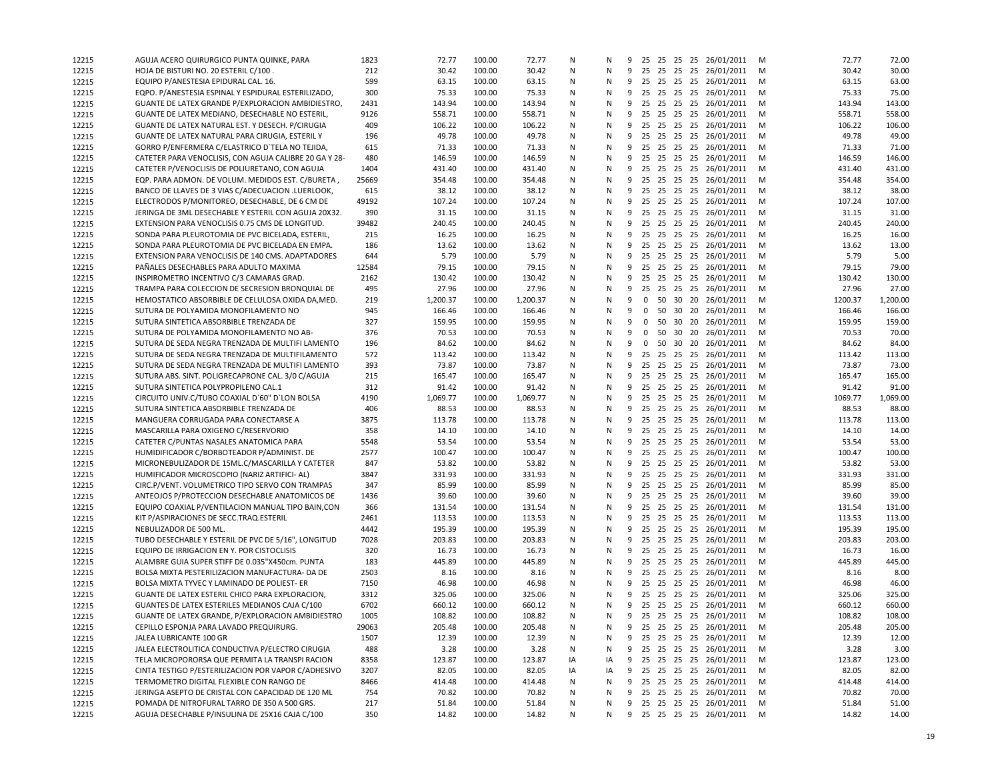| 12215 | AGUJA ACERO QUIRURGICO PUNTA QUINKE, PARA                                                           | 1823  | 72.77    | 100.00 | 72.77    | Ν      | N  | 9 |              |  | 25 25 25 25 26/01/2011   | м | 72.77   | 72.00    |
|-------|-----------------------------------------------------------------------------------------------------|-------|----------|--------|----------|--------|----|---|--------------|--|--------------------------|---|---------|----------|
| 12215 | HOJA DE BISTURI NO. 20 ESTERIL C/100.                                                               | 212   | 30.42    | 100.00 | 30.42    | N      | N  | 9 |              |  | 25 25 25 25 26/01/2011   | M | 30.42   | 30.00    |
| 12215 | EQUIPO P/ANESTESIA EPIDURAL CAL. 16.                                                                | 599   | 63.15    | 100.00 | 63.15    | Ν      | N  | 9 |              |  | 25 25 25 25 26/01/2011   | M | 63.15   | 63.00    |
| 12215 | EQPO. P/ANESTESIA ESPINAL Y ESPIDURAL ESTERILIZADO,                                                 | 300   | 75.33    | 100.00 | 75.33    | N      | N  | 9 |              |  | 25 25 25 25 26/01/2011   | M | 75.33   | 75.00    |
| 12215 | GUANTE DE LATEX GRANDE P/EXPLORACION AMBIDIESTRO,                                                   | 2431  | 143.94   | 100.00 | 143.94   | N      | N  | 9 |              |  | 25 25 25 25 26/01/2011   | м | 143.94  | 143.00   |
| 12215 | GUANTE DE LATEX MEDIANO, DESECHABLE NO ESTERIL,                                                     | 9126  | 558.71   | 100.00 | 558.71   | N      | N  | 9 |              |  | 25 25 25 25 26/01/2011   | M | 558.71  | 558.00   |
| 12215 | GUANTE DE LATEX NATURAL EST. Y DESECH. P/CIRUGIA                                                    | 409   | 106.22   | 100.00 | 106.22   | N      | N  | 9 |              |  | 25 25 25 25 26/01/2011   | M | 106.22  | 106.00   |
| 12215 | GUANTE DE LATEX NATURAL PARA CIRUGIA, ESTERIL Y                                                     | 196   | 49.78    | 100.00 | 49.78    | N      | N  | 9 |              |  | 25 25 25 25 26/01/2011   | м | 49.78   | 49.00    |
| 12215 | GORRO P/ENFERMERA C/ELASTRICO D'TELA NO TEJIDA,                                                     | 615   | 71.33    | 100.00 | 71.33    | N      | N  | 9 |              |  | 25 25 25 25 26/01/2011   | м | 71.33   | 71.00    |
| 12215 | CATETER PARA VENOCLISIS, CON AGUJA CALIBRE 20 GA Y 28-                                              | 480   | 146.59   | 100.00 | 146.59   | N      | N  | 9 |              |  | 25 25 25 25 26/01/2011   | M | 146.59  | 146.00   |
| 12215 | CATETER P/VENOCLISIS DE POLIURETANO, CON AGUJA                                                      | 1404  | 431.40   | 100.00 | 431.40   | N      | N  | 9 |              |  | 25 25 25 25 26/01/2011   | M | 431.40  | 431.00   |
| 12215 | EQP. PARA ADMON. DE VOLUM. MEDIDOS EST. C/BURETA,                                                   | 25669 | 354.48   | 100.00 | 354.48   | N      | N  | 9 |              |  | 25 25 25 25 26/01/2011   | м | 354.48  | 354.00   |
| 12215 | BANCO DE LLAVES DE 3 VIAS C/ADECUACION .LUERLOOK,                                                   | 615   | 38.12    | 100.00 | 38.12    | N      | N  | 9 |              |  | 25 25 25 25 26/01/2011   | M | 38.12   | 38.00    |
| 12215 | ELECTRODOS P/MONITOREO, DESECHABLE, DE 6 CM DE                                                      | 49192 | 107.24   | 100.00 | 107.24   | N      | N  | 9 |              |  | 25 25 25 25 26/01/2011   | M | 107.24  | 107.00   |
| 12215 | JERINGA DE 3ML DESECHABLE Y ESTERIL CON AGUJA 20X32.                                                | 390   | 31.15    | 100.00 | 31.15    | Ν      | N  | 9 |              |  | 25 25 25 25 26/01/2011   | M | 31.15   | 31.00    |
| 12215 | EXTENSION PARA VENOCLISIS 0.75 CMS DE LONGITUD.                                                     | 39482 | 240.45   | 100.00 | 240.45   | N      | N  | 9 |              |  | 25 25 25 25 26/01/2011   | м | 240.45  | 240.00   |
| 12215 | SONDA PARA PLEUROTOMIA DE PVC BICELADA, ESTERIL,                                                    | 215   | 16.25    | 100.00 | 16.25    | N      | N  | 9 |              |  | 25 25 25 25 26/01/2011   | м | 16.25   | 16.00    |
| 12215 | SONDA PARA PLEUROTOMIA DE PVC BICELADA EN EMPA.                                                     | 186   | 13.62    | 100.00 | 13.62    | N      | N  | 9 |              |  | 25 25 25 25 26/01/2011   | м | 13.62   | 13.00    |
| 12215 | EXTENSION PARA VENOCLISIS DE 140 CMS. ADAPTADORES                                                   | 644   | 5.79     | 100.00 | 5.79     | N      | N  | 9 |              |  | 25 25 25 25 26/01/2011   | M | 5.79    | 5.00     |
| 12215 | PAÑALES DESECHABLES PARA ADULTO MAXIMA                                                              | 12584 | 79.15    | 100.00 | 79.15    | N      | N  | 9 |              |  | 25 25 25 25 26/01/2011   | м | 79.15   | 79.00    |
| 12215 | INSPIROMETRO INCENTIVO C/3 CAMARAS GRAD.                                                            | 2162  | 130.42   | 100.00 | 130.42   | N      | N  | 9 |              |  | 25 25 25 25 26/01/2011   | м | 130.42  | 130.00   |
| 12215 | TRAMPA PARA COLECCION DE SECRESION BRONQUIAL DE                                                     | 495   | 27.96    | 100.00 | 27.96    | N      | N  | 9 |              |  | 25 25 25 25 26/01/2011   | M | 27.96   | 27.00    |
| 12215 | HEMOSTATICO ABSORBIBLE DE CELULOSA OXIDA DA, MED.                                                   | 219   | 1,200.37 | 100.00 | 1,200.37 | N      | N  | 9 |              |  | 0 50 30 20 26/01/2011    | M | 1200.37 | 1,200.00 |
|       | SUTURA DE POLYAMIDA MONOFILAMENTO NO                                                                | 945   | 166.46   | 100.00 | 166.46   |        | N  | 9 | $\mathbf{0}$ |  | 50 30 20 26/01/2011      | M | 166.46  | 166.00   |
| 12215 | SUTURA SINTETICA ABSORBIBLE TRENZADA DE                                                             | 327   | 159.95   | 100.00 |          | N<br>N | N  | 9 | $\mathbf 0$  |  | 50 30 20 26/01/2011      |   | 159.95  | 159.00   |
| 12215 |                                                                                                     |       |          |        | 159.95   |        |    | 9 |              |  |                          | м |         | 70.00    |
| 12215 | SUTURA DE POLYAMIDA MONOFILAMENTO NO AB-                                                            | 376   | 70.53    | 100.00 | 70.53    | N      | N  |   | $\mathbf 0$  |  | 50 30 20 26/01/2011      | м | 70.53   |          |
| 12215 | SUTURA DE SEDA NEGRA TRENZADA DE MULTIFI LAMENTO<br>SUTURA DE SEDA NEGRA TRENZADA DE MULTIFILAMENTO | 196   | 84.62    | 100.00 | 84.62    | N      | N  | 9 | $\mathbf{0}$ |  | 50 30 20 26/01/2011      | м | 84.62   | 84.00    |
| 12215 | SUTURA DE SEDA NEGRA TRENZADA DE MULTIFI LAMENTO                                                    | 572   | 113.42   | 100.00 | 113.42   | N      | N  | 9 |              |  | 25 25 25 25 26/01/2011   | M | 113.42  | 113.00   |
| 12215 |                                                                                                     | 393   | 73.87    | 100.00 | 73.87    | N      | N  | 9 |              |  | 25 25 25 25 26/01/2011   | м | 73.87   | 73.00    |
| 12215 | SUTURA ABS. SINT. POLIGRECAPRONE CAL. 3/0 C/AGUJA                                                   | 215   | 165.47   | 100.00 | 165.47   | N      | N  | 9 |              |  | 25 25 25 25 26/01/2011   | M | 165.47  | 165.00   |
| 12215 | SUTURA SINTETICA POLYPROPILENO CAL.1                                                                | 312   | 91.42    | 100.00 | 91.42    | N      | N  | 9 |              |  | 25 25 25 25 26/01/2011   | M | 91.42   | 91.00    |
| 12215 | CIRCUITO UNIV.C/TUBO COAXIAL D'60" D'LON BOLSA                                                      | 4190  | 1,069.77 | 100.00 | 1,069.77 | N      | N  | 9 |              |  | 25 25 25 25 26/01/2011   | M | 1069.77 | 1,069.00 |
| 12215 | SUTURA SINTETICA ABSORBIBLE TRENZADA DE                                                             | 406   | 88.53    | 100.00 | 88.53    | Ν      | N  | 9 |              |  | 25 25 25 25 26/01/2011   | м | 88.53   | 88.00    |
| 12215 | MANGUERA CORRUGADA PARA CONECTARSE A                                                                | 3875  | 113.78   | 100.00 | 113.78   | N      | N  | 9 |              |  | 25 25 25 25 26/01/2011   | M | 113.78  | 113.00   |
| 12215 | MASCARILLA PARA OXIGENO C/RESERVORIO                                                                | 358   | 14.10    | 100.00 | 14.10    | N      | N  | 9 |              |  | 25 25 25 25 26/01/2011   | м | 14.10   | 14.00    |
| 12215 | CATETER C/PUNTAS NASALES ANATOMICA PARA                                                             | 5548  | 53.54    | 100.00 | 53.54    | N      | N  | 9 |              |  | 25 25 25 25 26/01/2011   | M | 53.54   | 53.00    |
| 12215 | HUMIDIFICADOR C/BORBOTEADOR P/ADMINIST. DE                                                          | 2577  | 100.47   | 100.00 | 100.47   | N      | N  | 9 |              |  | 25 25 25 25 26/01/2011   | м | 100.47  | 100.00   |
| 12215 | MICRONEBULIZADOR DE 15ML.C/MASCARILLA Y CATETER                                                     | 847   | 53.82    | 100.00 | 53.82    | N      | N  | 9 |              |  | 25 25 25 25 26/01/2011   | M | 53.82   | 53.00    |
| 12215 | HUMIFICADOR MICROSCOPIO (NARIZ ARTIFICI- AL)                                                        | 3847  | 331.93   | 100.00 | 331.93   | N      | N  | 9 |              |  | 25 25 25 25 26/01/2011   | м | 331.93  | 331.00   |
| 12215 | CIRC.P/VENT. VOLUMETRICO TIPO SERVO CON TRAMPAS                                                     | 347   | 85.99    | 100.00 | 85.99    | N      | N  | 9 |              |  | 25 25 25 25 26/01/2011   | M | 85.99   | 85.00    |
| 12215 | ANTEOJOS P/PROTECCION DESECHABLE ANATOMICOS DE                                                      | 1436  | 39.60    | 100.00 | 39.60    | N      | N  | 9 |              |  | 25 25 25 25 26/01/2011   | м | 39.60   | 39.00    |
| 12215 | EQUIPO COAXIAL P/VENTILACION MANUAL TIPO BAIN, CON                                                  | 366   | 131.54   | 100.00 | 131.54   | N      | N  | 9 |              |  | 25 25 25 25 26/01/2011   | м | 131.54  | 131.00   |
| 12215 | KIT P/ASPIRACIONES DE SECC.TRAQ.ESTERIL                                                             | 2461  | 113.53   | 100.00 | 113.53   | N      | N  | 9 |              |  | 25 25 25 25 26/01/2011   | м | 113.53  | 113.00   |
| 12215 | NEBULIZADOR DE 500 ML.                                                                              | 4442  | 195.39   | 100.00 | 195.39   | N      | N  | 9 |              |  | 25 25 25 25 26/01/2011   | м | 195.39  | 195.00   |
| 12215 | TUBO DESECHABLE Y ESTERIL DE PVC DE 5/16", LONGITUD                                                 | 7028  | 203.83   | 100.00 | 203.83   | N      | N  | 9 |              |  | 25 25 25 25 26/01/2011   | M | 203.83  | 203.00   |
| 12215 | EQUIPO DE IRRIGACION EN Y. POR CISTOCLISIS                                                          | 320   | 16.73    | 100.00 | 16.73    | N      | N  | 9 |              |  | 25 25 25 25 26/01/2011   | м | 16.73   | 16.00    |
| 12215 | ALAMBRE GUIA SUPER STIFF DE 0.035"X450cm. PUNTA                                                     | 183   | 445.89   | 100.00 | 445.89   | N      | N  | 9 |              |  | 25 25 25 25 26/01/2011   | M | 445.89  | 445.00   |
| 12215 | BOLSA MIXTA PESTERILIZACION MANUFACTURA- DA DE                                                      | 2503  | 8.16     | 100.00 | 8.16     | N      | N  | 9 |              |  | 25 25 25 25 26/01/2011   | м | 8.16    | 8.00     |
| 12215 | BOLSA MIXTA TYVEC Y LAMINADO DE POLIEST- ER                                                         | 7150  | 46.98    | 100.00 | 46.98    | N      | N  | 9 |              |  | 25 25 25 25 26/01/2011   | M | 46.98   | 46.00    |
| 12215 | GUANTE DE LATEX ESTERIL CHICO PARA EXPLORACION,                                                     | 3312  | 325.06   | 100.00 | 325.06   | N      | N  |   |              |  | 9 25 25 25 25 26/01/2011 | м | 325.06  | 325.00   |
| 12215 | GUANTES DE LATEX ESTERILES MEDIANOS CAJA C/100                                                      | 6702  | 660.12   | 100.00 | 660.12   | N      | N  |   |              |  | 9 25 25 25 25 26/01/2011 | м | 660.12  | 660.00   |
| 12215 | GUANTE DE LATEX GRANDE, P/EXPLORACION AMBIDIESTRO                                                   | 1005  | 108.82   | 100.00 | 108.82   | N      | N  |   |              |  | 9 25 25 25 25 26/01/2011 | M | 108.82  | 108.00   |
| 12215 | CEPILLO ESPONJA PARA LAVADO PREQUIRURG.                                                             | 29063 | 205.48   | 100.00 | 205.48   | N      | N  |   |              |  | 9 25 25 25 25 26/01/2011 | M | 205.48  | 205.00   |
| 12215 | JALEA LUBRICANTE 100 GR                                                                             | 1507  | 12.39    | 100.00 | 12.39    | Ν      | N  | 9 |              |  | 25 25 25 25 26/01/2011   | M | 12.39   | 12.00    |
| 12215 | JALEA ELECTROLITICA CONDUCTIVA P/ELECTRO CIRUGIA                                                    | 488   | 3.28     | 100.00 | 3.28     | N      | N  | 9 |              |  | 25 25 25 25 26/01/2011   | M | 3.28    | 3.00     |
| 12215 | TELA MICROPORORSA QUE PERMITA LA TRANSPI RACION                                                     | 8358  | 123.87   | 100.00 | 123.87   | IA     | IA | 9 |              |  | 25 25 25 25 26/01/2011   | M | 123.87  | 123.00   |
| 12215 | CINTA TESTIGO P/ESTERILIZACION POR VAPOR C/ADHESIVO                                                 | 3207  | 82.05    | 100.00 | 82.05    | IA     | IA | 9 |              |  | 25 25 25 25 26/01/2011   | M | 82.05   | 82.00    |
| 12215 | TERMOMETRO DIGITAL FLEXIBLE CON RANGO DE                                                            | 8466  | 414.48   | 100.00 | 414.48   | Ν      | N  | 9 |              |  | 25 25 25 25 26/01/2011   | M | 414.48  | 414.00   |
| 12215 | JERINGA ASEPTO DE CRISTAL CON CAPACIDAD DE 120 ML                                                   | 754   | 70.82    | 100.00 | 70.82    | Ν      | N  | 9 |              |  | 25 25 25 25 26/01/2011   | м | 70.82   | 70.00    |
| 12215 | POMADA DE NITROFURAL TARRO DE 350 A 500 GRS.                                                        | 217   | 51.84    | 100.00 | 51.84    | Ν      | N  | 9 |              |  | 25 25 25 25 26/01/2011   | M | 51.84   | 51.00    |
| 12215 | AGUJA DESECHABLE P/INSULINA DE 25X16 CAJA C/100                                                     | 350   | 14.82    | 100.00 | 14.82    | N      | N  |   |              |  | 9 25 25 25 25 26/01/2011 | M | 14.82   | 14.00    |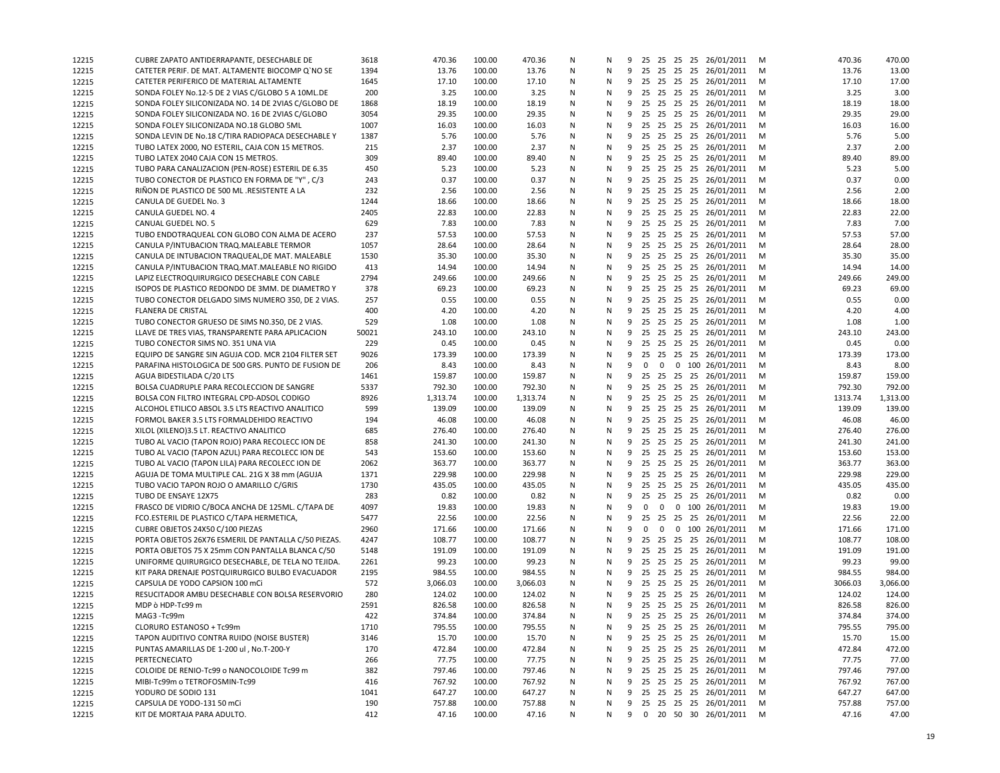| 12215          | CUBRE ZAPATO ANTIDERRAPANTE, DESECHABLE DE                              | 3618        | 470.36         | 100.00           | 470.36           | N      | N      |   |                         |                |  | 9 25 25 25 25 26/01/2011                       | M      | 470.36         | 470.00         |
|----------------|-------------------------------------------------------------------------|-------------|----------------|------------------|------------------|--------|--------|---|-------------------------|----------------|--|------------------------------------------------|--------|----------------|----------------|
| 12215          | CATETER PERIF. DE MAT. ALTAMENTE BIOCOMP Q'NO SE                        | 1394        | 13.76          | 100.00           | 13.76            | N      | N      | 9 |                         |                |  | 25 25 25 25 26/01/2011                         | M      | 13.76          | 13.00          |
| 12215          | CATETER PERIFERICO DE MATERIAL ALTAMENTE                                | 1645        | 17.10          | 100.00           | 17.10            | N      | N      | 9 |                         |                |  | 25 25 25 25 26/01/2011                         | M      | 17.10          | 17.00          |
| 12215          | SONDA FOLEY No.12-5 DE 2 VIAS C/GLOBO 5 A 10ML.DE                       | 200         | 3.25           | 100.00           | 3.25             | N      | N      |   |                         |                |  | 9 25 25 25 25 26/01/2011                       | M      | 3.25           | 3.00           |
| 12215          | SONDA FOLEY SILICONIZADA NO. 14 DE 2VIAS C/GLOBO DE                     | 1868        | 18.19          | 100.00           | 18.19            | N      | N      |   |                         |                |  | 9 25 25 25 25 26/01/2011                       | M      | 18.19          | 18.00          |
| 12215          | SONDA FOLEY SILICONIZADA NO. 16 DE 2VIAS C/GLOBO                        | 3054        | 29.35          | 100.00           | 29.35            | N      | N      | 9 |                         |                |  | 25 25 25 25 26/01/2011                         | M      | 29.35          | 29.00          |
| 12215          | SONDA FOLEY SILICONIZADA NO.18 GLOBO 5ML                                | 1007        | 16.03          | 100.00           | 16.03            | N      | N      | 9 |                         |                |  | 25 25 25 25 26/01/2011                         | M      | 16.03          | 16.00          |
| 12215          | SONDA LEVIN DE No.18 C/TIRA RADIOPACA DESECHABLE Y                      | 1387        | 5.76           | 100.00           | 5.76             | N      | Ν      | 9 |                         |                |  | 25 25 25 25 26/01/2011                         | м      | 5.76           | 5.00           |
| 12215          | TUBO LATEX 2000, NO ESTERIL, CAJA CON 15 METROS.                        | 215         | 2.37           | 100.00           | 2.37             | N      | N      |   |                         |                |  | 9 25 25 25 25 26/01/2011                       | M      | 2.37           | 2.00           |
| 12215          | TUBO LATEX 2040 CAJA CON 15 METROS.                                     | 309         | 89.40          | 100.00           | 89.40            | N      | N      | 9 |                         |                |  | 25 25 25 25 26/01/2011                         | M      | 89.40          | 89.00          |
| 12215          | TUBO PARA CANALIZACION (PEN-ROSE) ESTERIL DE 6.35                       | 450         | 5.23           | 100.00           | 5.23             | N      | N      |   |                         |                |  | 9 25 25 25 25 26/01/2011                       | M      | 5.23           | 5.00           |
| 12215          | TUBO CONECTOR DE PLASTICO EN FORMA DE "Y", C/3                          | 243         | 0.37           | 100.00           | 0.37             | N      | N      |   |                         |                |  | 9 25 25 25 25 26/01/2011                       | M      | 0.37           | 0.00           |
| 12215          | RIÑON DE PLASTICO DE 500 ML .RESISTENTE A LA                            | 232         | 2.56           | 100.00           | 2.56             | Ν      | N      | 9 |                         |                |  | 25 25 25 25 26/01/2011                         | M      | 2.56           | 2.00           |
| 12215          | CANULA DE GUEDEL No. 3                                                  | 1244        | 18.66          | 100.00           | 18.66            | N      | N      | 9 |                         |                |  | 25 25 25 25 26/01/2011                         | M      | 18.66          | 18.00          |
| 12215          | CANULA GUEDEL NO. 4                                                     | 2405        | 22.83          | 100.00           | 22.83            | N      | N      | 9 |                         |                |  | 25 25 25 25 26/01/2011                         | M      | 22.83          | 22.00          |
| 12215          | CANUAL GUEDEL NO. 5                                                     | 629         | 7.83           | 100.00           | 7.83             | N      | N      | 9 |                         |                |  | 25 25 25 25 26/01/2011                         | м      | 7.83           | 7.00           |
| 12215          | TUBO ENDOTRAQUEAL CON GLOBO CON ALMA DE ACERO                           | 237         | 57.53          | 100.00           | 57.53            | N      | N      | 9 |                         |                |  | 25 25 25 25 26/01/2011                         | M      | 57.53          | 57.00          |
| 12215          | CANULA P/INTUBACION TRAQ.MALEABLE TERMOR                                | 1057        | 28.64          | 100.00           | 28.64            | N      | N      |   |                         |                |  | 9 25 25 25 25 26/01/2011                       | M      | 28.64          | 28.00          |
| 12215          | CANULA DE INTUBACION TRAQUEAL, DE MAT. MALEABLE                         | 1530        | 35.30          | 100.00           | 35.30            | N      | N      | 9 |                         |                |  | 25 25 25 25 26/01/2011                         | M      | 35.30          | 35.00          |
| 12215          | CANULA P/INTUBACION TRAQ.MAT.MALEABLE NO RIGIDO                         | 413         | 14.94          | 100.00           | 14.94            | Ν      | N      |   |                         |                |  | 9 25 25 25 25 26/01/2011                       | M      | 14.94          | 14.00          |
| 12215          | LAPIZ ELECTROQUIRURGICO DESECHABLE CON CABLE                            | 2794        | 249.66         | 100.00           | 249.66           | N      | N      |   |                         |                |  | 9 25 25 25 25 26/01/2011                       | M      | 249.66         | 249.00         |
| 12215          | ISOPOS DE PLASTICO REDONDO DE 3MM. DE DIAMETRO Y                        | 378         | 69.23          | 100.00           | 69.23            | Ν      | N      | 9 |                         |                |  | 25 25 25 25 26/01/2011                         | M      | 69.23          | 69.00          |
| 12215          | TUBO CONECTOR DELGADO SIMS NUMERO 350, DE 2 VIAS.                       | 257         | 0.55           | 100.00           | 0.55             | N      | N      | 9 |                         |                |  | 25 25 25 25 26/01/2011                         | M      | 0.55           | 0.00           |
| 12215          | <b>FLANERA DE CRISTAL</b>                                               | 400         | 4.20           | 100.00           | 4.20             | N      | N      | 9 | 25                      |                |  | 25 25 25 26/01/2011                            | M      | 4.20           | 4.00           |
| 12215          | TUBO CONECTOR GRUESO DE SIMS N0.350, DE 2 VIAS.                         | 529         | 1.08           | 100.00           | 1.08             | N      | N      | 9 |                         |                |  | 25 25 25 25 26/01/2011                         | M      | 1.08           | 1.00           |
| 12215          | LLAVE DE TRES VIAS, TRANSPARENTE PARA APLICACION                        | 50021       | 243.10         | 100.00           | 243.10           | N      | Ν      | 9 |                         |                |  | 25 25 25 25 26/01/2011                         | M      | 243.10         | 243.00         |
| 12215          | TUBO CONECTOR SIMS NO. 351 UNA VIA                                      | 229         | 0.45           | 100.00           | 0.45             | N      | N      |   |                         |                |  | 9 25 25 25 25 26/01/2011                       | M      | 0.45           | 0.00           |
| 12215          | EQUIPO DE SANGRE SIN AGUJA COD. MCR 2104 FILTER SET                     | 9026<br>206 | 173.39<br>8.43 | 100.00<br>100.00 | 173.39           | N      | N      | 9 |                         |                |  | 25 25 25 25 26/01/2011                         | M      | 173.39<br>8.43 | 173.00<br>8.00 |
| 12215          | PARAFINA HISTOLOGICA DE 500 GRS. PUNTO DE FUSION DE                     | 1461        | 159.87         | 100.00           | 8.43             | Ν<br>N | N<br>N | 9 | $\mathbf 0$             |                |  | 0 0 100 26/01/2011<br>9 25 25 25 25 26/01/2011 | M      | 159.87         | 159.00         |
| 12215          | AGUA BIDESTILADA C/20 LTS<br>BOLSA CUADRUPLE PARA RECOLECCION DE SANGRE | 5337        | 792.30         | 100.00           | 159.87<br>792.30 | Ν      | N      | 9 |                         |                |  | 25 25 25 25 26/01/2011                         | M<br>M | 792.30         | 792.00         |
| 12215<br>12215 | BOLSA CON FILTRO INTEGRAL CPD-ADSOL CODIGO                              | 8926        | 1,313.74       | 100.00           | 1,313.74         | Ν      | N      | 9 |                         |                |  | 25 25 25 25 26/01/2011                         | M      | 1313.74        | 1,313.00       |
| 12215          | ALCOHOL ETILICO ABSOL 3.5 LTS REACTIVO ANALITICO                        | 599         | 139.09         | 100.00           | 139.09           | N      | Ν      | 9 |                         |                |  | 25 25 25 25 26/01/2011                         | M      | 139.09         | 139.00         |
| 12215          | FORMOL BAKER 3.5 LTS FORMALDEHIDO REACTIVO                              | 194         | 46.08          | 100.00           | 46.08            | N      | N      |   |                         |                |  | 9 25 25 25 25 26/01/2011                       | M      | 46.08          | 46.00          |
| 12215          | XILOL (XILENO)3.5 LT. REACTIVO ANALITICO                                | 685         | 276.40         | 100.00           | 276.40           | N      | N      | 9 |                         |                |  | 25 25 25 25 26/01/2011                         | M      | 276.40         | 276.00         |
| 12215          | TUBO AL VACIO (TAPON ROJO) PARA RECOLECC ION DE                         | 858         | 241.30         | 100.00           | 241.30           | N      | N      | 9 |                         |                |  | 25 25 25 25 26/01/2011                         | M      | 241.30         | 241.00         |
| 12215          | TUBO AL VACIO (TAPON AZUL) PARA RECOLECC ION DE                         | 543         | 153.60         | 100.00           | 153.60           | N      | N      |   |                         |                |  | 9 25 25 25 25 26/01/2011                       | M      | 153.60         | 153.00         |
| 12215          | TUBO AL VACIO (TAPON LILA) PARA RECOLECC ION DE                         | 2062        | 363.77         | 100.00           | 363.77           | Ν      | N      | 9 |                         |                |  | 25 25 25 25 26/01/2011                         | M      | 363.77         | 363.00         |
| 12215          | AGUJA DE TOMA MULTIPLE CAL. 21G X 38 mm (AGUJA                          | 1371        | 229.98         | 100.00           | 229.98           | N      | N      | 9 |                         |                |  | 25 25 25 25 26/01/2011                         | M      | 229.98         | 229.00         |
| 12215          | TUBO VACIO TAPON ROJO O AMARILLO C/GRIS                                 | 1730        | 435.05         | 100.00           | 435.05           | N      | N      | 9 |                         |                |  | 25 25 25 25 26/01/2011                         | M      | 435.05         | 435.00         |
| 12215          | TUBO DE ENSAYE 12X75                                                    | 283         | 0.82           | 100.00           | 0.82             | N      | N      | 9 |                         |                |  | 25 25 25 25 26/01/2011                         | м      | 0.82           | 0.00           |
| 12215          | FRASCO DE VIDRIO C/BOCA ANCHA DE 125ML. C/TAPA DE                       | 4097        | 19.83          | 100.00           | 19.83            | N      | N      | 9 | $\mathbf 0$             | $\mathbf{0}$   |  | 0 100 26/01/2011                               | M      | 19.83          | 19.00          |
| 12215          | FCO.ESTERIL DE PLASTICO C/TAPA HERMETICA,                               | 5477        | 22.56          | 100.00           | 22.56            | N      | N      |   |                         |                |  | 9 25 25 25 25 26/01/2011                       | M      | 22.56          | 22.00          |
| 12215          | CUBRE OBJETOS 24X50 C/100 PIEZAS                                        | 2960        | 171.66         | 100.00           | 171.66           | N      | N      | 9 | $\overline{\mathbf{0}}$ | $\overline{0}$ |  | 0 100 26/01/2011                               | M      | 171.66         | 171.00         |
| 12215          | PORTA OBJETOS 26X76 ESMERIL DE PANTALLA C/50 PIEZAS.                    | 4247        | 108.77         | 100.00           | 108.77           | N      | N      | 9 |                         |                |  | 25 25 25 25 26/01/2011                         | м      | 108.77         | 108.00         |
| 12215          | PORTA OBJETOS 75 X 25mm CON PANTALLA BLANCA C/50                        | 5148        | 191.09         | 100.00           | 191.09           | N      | N      |   |                         |                |  | 9 25 25 25 25 26/01/2011                       | M      | 191.09         | 191.00         |
| 12215          | UNIFORME QUIRURGICO DESECHABLE, DE TELA NO TEJIDA.                      | 2261        | 99.23          | 100.00           | 99.23            | Ν      | N      | 9 |                         |                |  | 25 25 25 25 26/01/2011                         | M      | 99.23          | 99.00          |
| 12215          | KIT PARA DRENAJE POSTQUIRURGICO BULBO EVACUADOR                         | 2195        | 984.55         | 100.00           | 984.55           | N      | N      | 9 |                         |                |  | 25 25 25 25 26/01/2011                         | M      | 984.55         | 984.00         |
| 12215          | CAPSULA DE YODO CAPSION 100 mCi                                         | 572         | 3,066.03       | 100.00           | 3,066.03         | N      | N      | 9 | 25                      |                |  | 25 25 25 26/01/2011                            | M      | 3066.03        | 3,066.00       |
| 12215          | RESUCITADOR AMBU DESECHABLE CON BOLSA RESERVORIO                        | 280         | 124.02         | 100.00           | 124.02           | N      | N      |   |                         |                |  | 9 25 25 25 25 26/01/2011                       | м      | 124.02         | 124.00         |
| 12215          | MDP ò HDP-Tc99 m                                                        | 2591        | 826.58         | 100.00           | 826.58           | N      | N      |   |                         |                |  | 9 25 25 25 25 26/01/2011                       | M      | 826.58         | 826.00         |
| 12215          | MAG3 -Tc99m                                                             | 422         | 374.84         | 100.00           | 374.84           | N      | N      |   |                         |                |  | 9 25 25 25 25 26/01/2011                       | M      | 374.84         | 374.00         |
| 12215          | CLORURO ESTANOSO + Tc99m                                                | 1710        | 795.55         | 100.00           | 795.55           | N      | Ν      |   |                         |                |  | 9 25 25 25 25 26/01/2011                       | M      | 795.55         | 795.00         |
| 12215          | TAPON AUDITIVO CONTRA RUIDO (NOISE BUSTER)                              | 3146        | 15.70          | 100.00           | 15.70            | N      | Ν      | 9 |                         |                |  | 25 25 25 25 26/01/2011                         | M      | 15.70          | 15.00          |
| 12215          | PUNTAS AMARILLAS DE 1-200 ul, No.T-200-Y                                | 170         | 472.84         | 100.00           | 472.84           | N      | Ν      | 9 |                         |                |  | 25 25 25 25 26/01/2011                         | M      | 472.84         | 472.00         |
| 12215          | PERTECNECIATO                                                           | 266         | 77.75          | 100.00           | 77.75            | N      | N      | 9 |                         |                |  | 25 25 25 25 26/01/2011                         | M      | 77.75          | 77.00          |
| 12215          | COLOIDE DE RENIO-Tc99 o NANOCOLOIDE Tc99 m                              | 382         | 797.46         | 100.00           | 797.46           | N      | N      | 9 |                         |                |  | 25 25 25 25 26/01/2011                         | M      | 797.46         | 797.00         |
| 12215          | MIBI-Tc99m o TETROFOSMIN-Tc99                                           | 416         | 767.92         | 100.00           | 767.92           | N      | Ν      | 9 |                         |                |  | 25 25 25 25 26/01/2011                         | M      | 767.92         | 767.00         |
| 12215          | YODURO DE SODIO 131                                                     | 1041        | 647.27         | 100.00           | 647.27           | N      | N      | 9 |                         |                |  | 25 25 25 25 26/01/2011                         | M      | 647.27         | 647.00         |
| 12215          | CAPSULA DE YODO-131 50 mCi                                              | 190         | 757.88         | 100.00           | 757.88           | Ν      | Ν      | 9 |                         |                |  | 25 25 25 25 26/01/2011 M                       |        | 757.88         | 757.00         |
| 12215          | KIT DE MORTAJA PARA ADULTO.                                             | 412         | 47.16          | 100.00           | 47.16            | Ν      | N      | 9 |                         |                |  | 0 20 50 30 26/01/2011 M                        |        | 47.16          | 47.00          |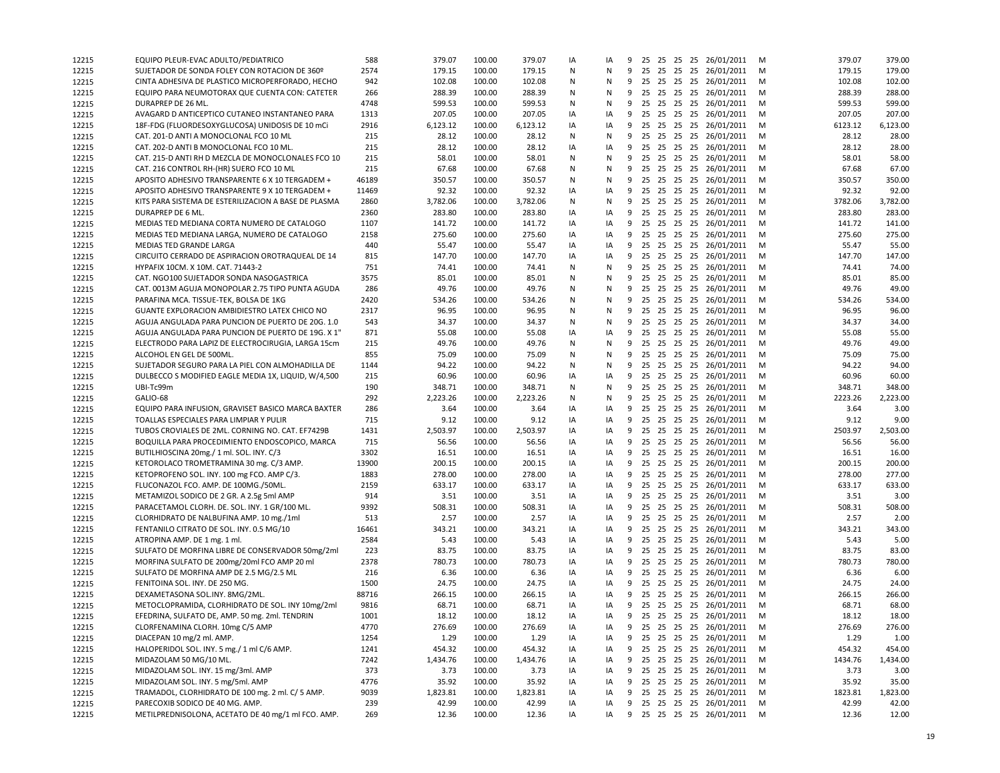| 12215 | EQUIPO PLEUR-EVAC ADULTO/PEDIATRICO                                            | 588        | 379.07   | 100.00           | 379.07         | IA | IA | 9 |             |  | 25 25 25 25 26/01/2011                           | M      | 379.07  | 379.00   |
|-------|--------------------------------------------------------------------------------|------------|----------|------------------|----------------|----|----|---|-------------|--|--------------------------------------------------|--------|---------|----------|
| 12215 | SUJETADOR DE SONDA FOLEY CON ROTACION DE 360º                                  | 2574       | 179.15   | 100.00           | 179.15         | N  | N  | 9 |             |  | 25 25 25 25 26/01/2011                           | M      | 179.15  | 179.00   |
| 12215 | CINTA ADHESIVA DE PLASTICO MICROPERFORADO, HECHO                               | 942        | 102.08   | 100.00           | 102.08         | Ν  | N  | 9 |             |  | 25 25 25 25 26/01/2011                           | M      | 102.08  | 102.00   |
| 12215 | EQUIPO PARA NEUMOTORAX QUE CUENTA CON: CATETER                                 | 266        | 288.39   | 100.00           | 288.39         | N  | N  | 9 |             |  | 25 25 25 25 26/01/2011                           | M      | 288.39  | 288.00   |
| 12215 | DURAPREP DE 26 ML.                                                             | 4748       | 599.53   | 100.00           | 599.53         | N  | N  | 9 |             |  | 25 25 25 25 26/01/2011                           | M      | 599.53  | 599.00   |
| 12215 | AVAGARD D ANTICEPTICO CUTANEO INSTANTANEO PARA                                 | 1313       | 207.05   | 100.00           | 207.05         | IA | IA | 9 |             |  | 25 25 25 25 26/01/2011                           | M      | 207.05  | 207.00   |
| 12215 | 18F-FDG (FLUORDESOXYGLUCOSA) UNIDOSIS DE 10 mCi                                | 2916       | 6,123.12 | 100.00           | 6,123.12       | IA | IA | 9 |             |  | 25 25 25 25 26/01/2011                           | M      | 6123.12 | 6,123.00 |
| 12215 | CAT. 201-D ANTI A MONOCLONAL FCO 10 ML                                         | 215        | 28.12    | 100.00           | 28.12          | N  | N  | 9 |             |  | 25 25 25 25 26/01/2011                           | M      | 28.12   | 28.00    |
| 12215 | CAT. 202-D ANTI B MONOCLONAL FCO 10 ML.                                        | 215        | 28.12    | 100.00           | 28.12          | IA | IA |   |             |  | 9 25 25 25 25 26/01/2011                         | M      | 28.12   | 28.00    |
| 12215 | CAT. 215-D ANTI RH D MEZCLA DE MONOCLONALES FCO 10                             | 215        | 58.01    | 100.00           | 58.01          | N  | N  | 9 |             |  | 25 25 25 25 26/01/2011                           | M      | 58.01   | 58.00    |
| 12215 | CAT. 216 CONTROL RH-(HR) SUERO FCO 10 ML                                       | 215        | 67.68    | 100.00           | 67.68          | Ν  | N  | 9 |             |  | 25 25 25 25 26/01/2011                           | M      | 67.68   | 67.00    |
| 12215 | APOSITO ADHESIVO TRANSPARENTE 6 X 10 TERGADEM +                                | 46189      | 350.57   | 100.00           | 350.57         | N  | N  | 9 |             |  | 25 25 25 25 26/01/2011                           | M      | 350.57  | 350.00   |
| 12215 | APOSITO ADHESIVO TRANSPARENTE 9 X 10 TERGADEM +                                | 11469      | 92.32    | 100.00           | 92.32          | IA | IA | 9 |             |  | 25 25 25 25 26/01/2011                           | M      | 92.32   | 92.00    |
| 12215 | KITS PARA SISTEMA DE ESTERILIZACION A BASE DE PLASMA                           | 2860       | 3,782.06 | 100.00           | 3,782.06       | N  | N  | 9 |             |  | 25 25 25 25 26/01/2011                           | M      | 3782.06 | 3,782.00 |
| 12215 | DURAPREP DE 6 ML.                                                              | 2360       | 283.80   | 100.00           | 283.80         | IA | IA | 9 |             |  | 25 25 25 25 26/01/2011                           | M      | 283.80  | 283.00   |
| 12215 | MEDIAS TED MEDIANA CORTA NUMERO DE CATALOGO                                    | 1107       | 141.72   | 100.00           | 141.72         | IA | IA | 9 |             |  | 25 25 25 25 26/01/2011                           | M      | 141.72  | 141.00   |
| 12215 | MEDIAS TED MEDIANA LARGA, NUMERO DE CATALOGO                                   | 2158       | 275.60   | 100.00           | 275.60         | IA | IA | 9 |             |  | 25 25 25 25 26/01/2011                           | M      | 275.60  | 275.00   |
| 12215 | MEDIAS TED GRANDE LARGA                                                        | 440        | 55.47    | 100.00           | 55.47          | IA | IA | 9 |             |  | 25 25 25 25 26/01/2011                           | M      | 55.47   | 55.00    |
| 12215 | CIRCUITO CERRADO DE ASPIRACION OROTRAQUEAL DE 14                               | 815        | 147.70   | 100.00           | 147.70         | IA | IA | 9 |             |  | 25 25 25 25 26/01/2011                           | M      | 147.70  | 147.00   |
| 12215 | HYPAFIX 10CM. X 10M. CAT. 71443-2                                              | 751        | 74.41    | 100.00           | 74.41          | N  | N  | 9 |             |  | 25 25 25 25 26/01/2011                           | M      | 74.41   | 74.00    |
| 12215 | CAT. NGO100 SUJETADOR SONDA NASOGASTRICA                                       | 3575       | 85.01    | 100.00           | 85.01          | N  | N  | 9 |             |  | 25 25 25 25 26/01/2011                           | M      | 85.01   | 85.00    |
| 12215 | CAT. 0013M AGUJA MONOPOLAR 2.75 TIPO PUNTA AGUDA                               | 286        | 49.76    | 100.00           | 49.76          | N  | N  | 9 |             |  | 25 25 25 25 26/01/2011                           | M      | 49.76   | 49.00    |
| 12215 | PARAFINA MCA. TISSUE-TEK. BOLSA DE 1KG                                         | 2420       | 534.26   | 100.00           | 534.26         | N  | N  | 9 |             |  | 25 25 25 25 26/01/2011                           | M      | 534.26  | 534.00   |
| 12215 | GUANTE EXPLORACION AMBIDIESTRO LATEX CHICO NO                                  | 2317       | 96.95    | 100.00           | 96.95          | N  | N  | 9 |             |  | 25 25 25 25 26/01/2011                           | M      | 96.95   | 96.00    |
| 12215 | AGUJA ANGULADA PARA PUNCION DE PUERTO DE 20G. 1.0                              | 543        | 34.37    | 100.00           | 34.37          | N  | N  | 9 |             |  | 25 25 25 25 26/01/2011                           | M      | 34.37   | 34.00    |
| 12215 | AGUJA ANGULADA PARA PUNCION DE PUERTO DE 19G. X 1"                             | 871        | 55.08    | 100.00           | 55.08          | IA | IA | 9 |             |  | 25 25 25 25 26/01/2011                           |        | 55.08   | 55.00    |
| 12215 |                                                                                | 215        | 49.76    | 100.00           |                | N  | N  | 9 |             |  | 25 25 25 25 26/01/2011                           | M<br>M | 49.76   | 49.00    |
|       | ELECTRODO PARA LAPIZ DE ELECTROCIRUGIA, LARGA 15cm<br>ALCOHOL EN GEL DE 500ML. | 855        | 75.09    | 100.00           | 49.76<br>75.09 | N  | N  | 9 |             |  | 25 25 25 25 26/01/2011                           |        | 75.09   | 75.00    |
| 12215 |                                                                                |            | 94.22    | 100.00           |                |    |    |   |             |  |                                                  | M      | 94.22   | 94.00    |
| 12215 | SUJETADOR SEGURO PARA LA PIEL CON ALMOHADILLA DE                               | 1144       |          |                  | 94.22          | N  | N  | 9 |             |  | 25 25 25 25 26/01/2011<br>25 25 25 25 26/01/2011 | M      |         |          |
| 12215 | DULBECCO S MODIFIED EAGLE MEDIA 1X, LIQUID, W/4,500                            | 215        | 60.96    | 100.00           | 60.96          | IA | IA | 9 |             |  |                                                  | M      | 60.96   | 60.00    |
| 12215 | UBI-Tc99m<br>GALIO-68                                                          | 190<br>292 | 348.71   | 100.00<br>100.00 | 348.71         | Ν  | N  | 9 |             |  | 25 25 25 25 26/01/2011                           | M      | 348.71  | 348.00   |
| 12215 |                                                                                |            | 2,223.26 |                  | 2,223.26       | Ν  | N  | 9 |             |  | 25 25 25 25 26/01/2011<br>25 25 25 25 26/01/2011 | M      | 2223.26 | 2,223.00 |
| 12215 | EQUIPO PARA INFUSION, GRAVISET BASICO MARCA BAXTER                             | 286        | 3.64     | 100.00           | 3.64           | IA | IA | 9 |             |  |                                                  | M      | 3.64    | 3.00     |
| 12215 | TOALLAS ESPECIALES PARA LIMPIAR Y PULIR                                        | 715        | 9.12     | 100.00           | 9.12           | IA | IA |   |             |  | 9 25 25 25 25 26/01/2011                         | M      | 9.12    | 9.00     |
| 12215 | TUBOS CROVIALES DE 2ML. CORNING NO. CAT. EF7429B                               | 1431       | 2,503.97 | 100.00           | 2,503.97       | IA | IA | 9 |             |  | 25 25 25 25 26/01/2011                           | M      | 2503.97 | 2,503.00 |
| 12215 | BOQUILLA PARA PROCEDIMIENTO ENDOSCOPICO, MARCA                                 | 715        | 56.56    | 100.00           | 56.56          | IA | IA | 9 |             |  | 25 25 25 25 26/01/2011                           | M      | 56.56   | 56.00    |
| 12215 | BUTILHIOSCINA 20mg./ 1 ml. SOL. INY. C/3                                       | 3302       | 16.51    | 100.00           | 16.51          | IA | IA | 9 |             |  | 25 25 25 25 26/01/2011                           | M      | 16.51   | 16.00    |
| 12215 | KETOROLACO TROMETRAMINA 30 mg. C/3 AMP.                                        | 13900      | 200.15   | 100.00           | 200.15         | IA | IA | 9 |             |  | 25 25 25 25 26/01/2011                           | M      | 200.15  | 200.00   |
| 12215 | KETOPROFENO SOL. INY. 100 mg FCO. AMP C/3.                                     | 1883       | 278.00   | 100.00           | 278.00         | IA | IA | 9 |             |  | 25 25 25 25 26/01/2011                           | M      | 278.00  | 277.00   |
| 12215 | FLUCONAZOL FCO. AMP. DE 100MG./50ML.                                           | 2159       | 633.17   | 100.00           | 633.17         | IA | IA | 9 |             |  | 25 25 25 25 26/01/2011                           | M      | 633.17  | 633.00   |
| 12215 | METAMIZOL SODICO DE 2 GR. A 2.5g 5ml AMP                                       | 914        | 3.51     | 100.00           | 3.51           | IA | IA | 9 |             |  | 25 25 25 25 26/01/2011                           | M      | 3.51    | 3.00     |
| 12215 | PARACETAMOL CLORH. DE. SOL. INY. 1 GR/100 ML.                                  | 9392       | 508.31   | 100.00           | 508.31         | IA | IA | 9 |             |  | 25 25 25 25 26/01/2011                           | M      | 508.31  | 508.00   |
| 12215 | CLORHIDRATO DE NALBUFINA AMP. 10 mg./1ml                                       | 513        | 2.57     | 100.00           | 2.57           | IA | IA |   |             |  | 9 25 25 25 25 26/01/2011                         | M      | 2.57    | 2.00     |
| 12215 | FENTANILO CITRATO DE SOL. INY. 0.5 MG/10                                       | 16461      | 343.21   | 100.00           | 343.21         | IA | IA | 9 |             |  | 25 25 25 25 26/01/2011                           | M      | 343.21  | 343.00   |
| 12215 | ATROPINA AMP. DE 1 mg. 1 ml.                                                   | 2584       | 5.43     | 100.00           | 5.43           | IA | IA | 9 |             |  | 25 25 25 25 26/01/2011                           | M      | 5.43    | 5.00     |
| 12215 | SULFATO DE MORFINA LIBRE DE CONSERVADOR 50mg/2ml                               | 223        | 83.75    | 100.00           | 83.75          | IA | IA |   |             |  | 9 25 25 25 25 26/01/2011                         | M      | 83.75   | 83.00    |
| 12215 | MORFINA SULFATO DE 200mg/20ml FCO AMP 20 ml                                    | 2378       | 780.73   | 100.00           | 780.73         | IA | IA | 9 |             |  | 25 25 25 25 26/01/2011                           | M      | 780.73  | 780.00   |
| 12215 | SULFATO DE MORFINA AMP DE 2.5 MG/2.5 ML                                        | 216        | 6.36     | 100.00           | 6.36           | IA | IA | 9 |             |  | 25 25 25 25 26/01/2011                           | M      | 6.36    | 6.00     |
| 12215 | FENITOINA SOL. INY. DE 250 MG.                                                 | 1500       | 24.75    | 100.00           | 24.75          | IA | IA | 9 | 25 25 25 25 |  | 26/01/2011                                       | M      | 24.75   | 24.00    |
| 12215 | DEXAMETASONA SOL.INY. 8MG/2ML.                                                 | 88716      | 266.15   | 100.00           | 266.15         | IA | IA |   |             |  | 9 25 25 25 25 26/01/2011                         | M      | 266.15  | 266.00   |
| 12215 | METOCLOPRAMIDA, CLORHIDRATO DE SOL. INY 10mg/2ml                               | 9816       | 68.71    | 100.00           | 68.71          | IA | IA |   |             |  | 9 25 25 25 25 26/01/2011                         | M      | 68.71   | 68.00    |
| 12215 | EFEDRINA, SULFATO DE, AMP. 50 mg. 2ml. TENDRIN                                 | 1001       | 18.12    | 100.00           | 18.12          | IA | IA |   |             |  | 9 25 25 25 25 26/01/2011                         | M      | 18.12   | 18.00    |
| 12215 | CLORFENAMINA CLORH. 10mg C/5 AMP                                               | 4770       | 276.69   | 100.00           | 276.69         | IA | IA |   |             |  | 9 25 25 25 25 26/01/2011                         | M      | 276.69  | 276.00   |
| 12215 | DIACEPAN 10 mg/2 ml. AMP.                                                      | 1254       | 1.29     | 100.00           | 1.29           | IA | IA | 9 |             |  | 25 25 25 25 26/01/2011                           | M      | 1.29    | 1.00     |
| 12215 | HALOPERIDOL SOL. INY. 5 mg./ 1 ml C/6 AMP.                                     | 1241       | 454.32   | 100.00           | 454.32         | IA | IA | 9 |             |  | 25 25 25 25 26/01/2011                           | M      | 454.32  | 454.00   |
| 12215 | MIDAZOLAM 50 MG/10 ML.                                                         | 7242       | 1,434.76 | 100.00           | 1,434.76       | IA | IA | 9 |             |  | 25 25 25 25 26/01/2011                           | M      | 1434.76 | 1,434.00 |
| 12215 | MIDAZOLAM SOL. INY. 15 mg/3ml. AMP                                             | 373        | 3.73     | 100.00           | 3.73           | IA | IA | 9 |             |  | 25 25 25 25 26/01/2011                           | M      | 3.73    | 3.00     |
| 12215 | MIDAZOLAM SOL. INY. 5 mg/5ml. AMP                                              | 4776       | 35.92    | 100.00           | 35.92          | IA | IA | 9 |             |  | 25 25 25 25 26/01/2011                           | M      | 35.92   | 35.00    |
| 12215 | TRAMADOL, CLORHIDRATO DE 100 mg. 2 ml. C/ 5 AMP.                               | 9039       | 1,823.81 | 100.00           | 1,823.81       | IA | IA | 9 |             |  | 25 25 25 25 26/01/2011                           | M      | 1823.81 | 1,823.00 |
| 12215 | PARECOXIB SODICO DE 40 MG. AMP.                                                | 239        | 42.99    | 100.00           | 42.99          | IA | IA | 9 |             |  | 25 25 25 25 26/01/2011                           | M      | 42.99   | 42.00    |
| 12215 | METILPREDNISOLONA, ACETATO DE 40 mg/1 ml FCO. AMP.                             | 269        | 12.36    | 100.00           | 12.36          | IA | IA |   |             |  | 9 25 25 25 25 26/01/2011 M                       |        | 12.36   | 12.00    |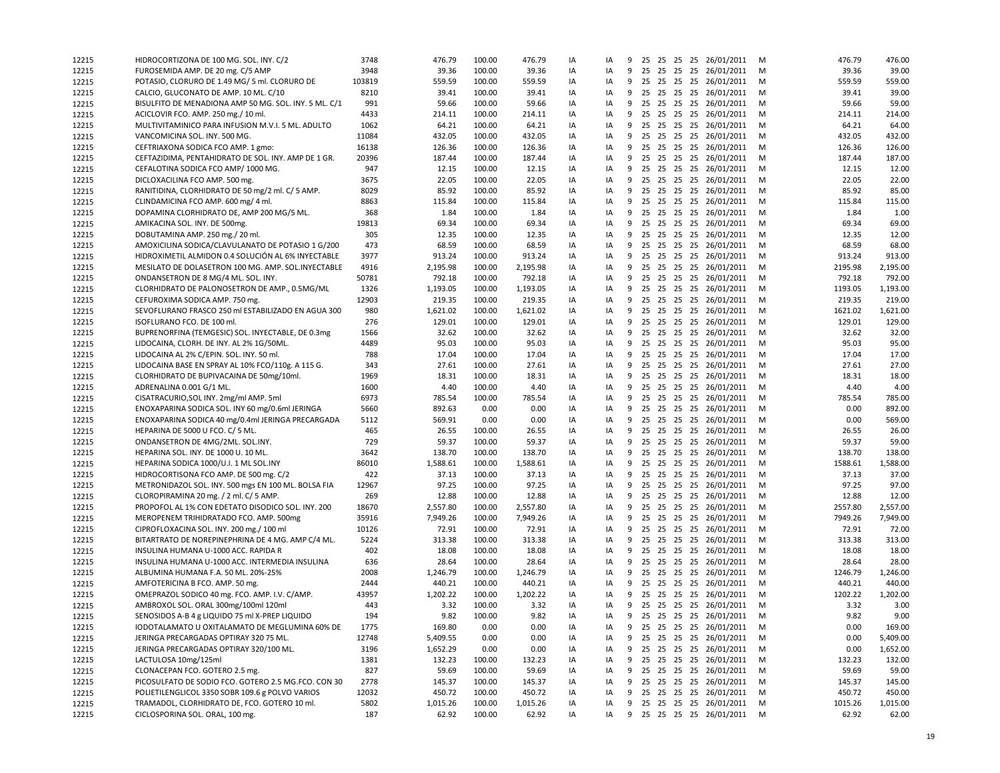| 12215 | HIDROCORTIZONA DE 100 MG. SOL. INY. C/2               | 3748   | 476.79   | 100.00 | 476.79   | IA | IA | 9 |  |  | 25 25 25 25 26/01/2011     | M | 476.79  | 476.00   |
|-------|-------------------------------------------------------|--------|----------|--------|----------|----|----|---|--|--|----------------------------|---|---------|----------|
| 12215 | FUROSEMIDA AMP. DE 20 mg. C/5 AMP                     | 3948   | 39.36    | 100.00 | 39.36    | IA | IA | 9 |  |  | 25 25 25 25 26/01/2011     | M | 39.36   | 39.00    |
| 12215 | POTASIO, CLORURO DE 1.49 MG/ 5 ml. CLORURO DE         | 103819 | 559.59   | 100.00 | 559.59   | IA | IA | 9 |  |  | 25 25 25 25 26/01/2011     | M | 559.59  | 559.00   |
| 12215 | CALCIO, GLUCONATO DE AMP. 10 ML. C/10                 | 8210   | 39.41    | 100.00 | 39.41    | IA | IA | 9 |  |  | 25 25 25 25 26/01/2011     | M | 39.41   | 39.00    |
| 12215 | BISULFITO DE MENADIONA AMP 50 MG. SOL. INY. 5 ML. C/1 | 991    | 59.66    | 100.00 | 59.66    | IA | IA | 9 |  |  | 25 25 25 25 26/01/2011     | M | 59.66   | 59.00    |
| 12215 | ACICLOVIR FCO. AMP. 250 mg./ 10 ml.                   | 4433   | 214.11   | 100.00 | 214.11   | IA | IA | 9 |  |  | 25 25 25 25 26/01/2011     | M | 214.11  | 214.00   |
| 12215 | MULTIVITAMINICO PARA INFUSION M.V.I. 5 ML. ADULTO     | 1062   | 64.21    | 100.00 | 64.21    | IA | IA | 9 |  |  | 25 25 25 25 26/01/2011     | м | 64.21   | 64.00    |
| 12215 | VANCOMICINA SOL. INY. 500 MG.                         | 11084  | 432.05   | 100.00 | 432.05   | IA | IA | 9 |  |  | 25 25 25 25 26/01/2011     | м | 432.05  | 432.00   |
| 12215 | CEFTRIAXONA SODICA FCO AMP. 1 gmo:                    | 16138  | 126.36   | 100.00 | 126.36   | IA | IA | 9 |  |  | 25 25 25 25 26/01/2011     | M | 126.36  | 126.00   |
| 12215 | CEFTAZIDIMA, PENTAHIDRATO DE SOL. INY. AMP DE 1 GR.   | 20396  | 187.44   | 100.00 | 187.44   | IA | IA | 9 |  |  | 25 25 25 25 26/01/2011     | M | 187.44  | 187.00   |
| 12215 | CEFALOTINA SODICA FCO AMP/1000 MG.                    | 947    | 12.15    | 100.00 | 12.15    | IA | IA | 9 |  |  | 25 25 25 25 26/01/2011     | м | 12.15   | 12.00    |
| 12215 | DICLOXACILINA FCO AMP. 500 mg.                        | 3675   | 22.05    | 100.00 | 22.05    | IA | IA | 9 |  |  | 25 25 25 25 26/01/2011     | M | 22.05   | 22.00    |
| 12215 | RANITIDINA, CLORHIDRATO DE 50 mg/2 ml. C/ 5 AMP.      | 8029   | 85.92    | 100.00 | 85.92    | IA | IA | 9 |  |  | 25 25 25 25 26/01/2011     | M | 85.92   | 85.00    |
| 12215 | CLINDAMICINA FCO AMP. 600 mg/ 4 ml.                   | 8863   | 115.84   | 100.00 | 115.84   | IA | IA | 9 |  |  | 25 25 25 25 26/01/2011     | M | 115.84  | 115.00   |
| 12215 | DOPAMINA CLORHIDRATO DE, AMP 200 MG/5 ML.             | 368    | 1.84     | 100.00 | 1.84     | IA | IA | 9 |  |  | 25 25 25 25 26/01/2011     | м | 1.84    | 1.00     |
| 12215 | AMIKACINA SOL. INY. DE 500mg.                         | 19813  | 69.34    | 100.00 | 69.34    | IA | IA | 9 |  |  | 25 25 25 25 26/01/2011     | M | 69.34   | 69.00    |
| 12215 | DOBUTAMINA AMP. 250 mg./ 20 ml.                       | 305    | 12.35    | 100.00 | 12.35    | IA | IA | 9 |  |  | 25 25 25 25 26/01/2011     | M | 12.35   | 12.00    |
|       | AMOXICILINA SODICA/CLAVULANATO DE POTASIO 1 G/200     | 473    | 68.59    | 100.00 | 68.59    | IA | IA | 9 |  |  | 25 25 25 25 26/01/2011     | M | 68.59   | 68.00    |
| 12215 | HIDROXIMETIL ALMIDON 0.4 SOLUCIÓN AL 6% INYECTABLE    | 3977   | 913.24   | 100.00 | 913.24   | IA | IA | 9 |  |  | 25 25 25 25 26/01/2011     | M | 913.24  | 913.00   |
| 12215 |                                                       | 4916   | 2,195.98 | 100.00 | 2,195.98 |    | IA | 9 |  |  | 25 25 25 25 26/01/2011     | M | 2195.98 | 2,195.00 |
| 12215 | MESILATO DE DOLASETRON 100 MG. AMP. SOL.INYECTABLE    |        |          |        |          | IA |    |   |  |  |                            |   |         |          |
| 12215 | ONDANSETRON DE 8 MG/4 ML. SOL. INY.                   | 50781  | 792.18   | 100.00 | 792.18   | IA | IA | 9 |  |  | 25 25 25 25 26/01/2011     | M | 792.18  | 792.00   |
| 12215 | CLORHIDRATO DE PALONOSETRON DE AMP., 0.5MG/ML         | 1326   | 1,193.05 | 100.00 | 1,193.05 | IA | IA | 9 |  |  | 25 25 25 25 26/01/2011     | M | 1193.05 | 1,193.00 |
| 12215 | CEFUROXIMA SODICA AMP. 750 mg.                        | 12903  | 219.35   | 100.00 | 219.35   | IA | IA | 9 |  |  | 25 25 25 25 26/01/2011     | M | 219.35  | 219.00   |
| 12215 | SEVOFLURANO FRASCO 250 ml ESTABILIZADO EN AGUA 300    | 980    | 1,621.02 | 100.00 | 1,621.02 | IA | IA | 9 |  |  | 25 25 25 25 26/01/2011     | M | 1621.02 | 1,621.00 |
| 12215 | ISOFLURANO FCO. DE 100 ml.                            | 276    | 129.01   | 100.00 | 129.01   | IA | IA | 9 |  |  | 25 25 25 25 26/01/2011     | м | 129.01  | 129.00   |
| 12215 | BUPRENORFINA (TEMGESIC) SOL. INYECTABLE, DE 0.3mg     | 1566   | 32.62    | 100.00 | 32.62    | IA | IA | 9 |  |  | 25 25 25 25 26/01/2011     | м | 32.62   | 32.00    |
| 12215 | LIDOCAINA, CLORH. DE INY. AL 2% 1G/50ML.              | 4489   | 95.03    | 100.00 | 95.03    | IA | IA | 9 |  |  | 25 25 25 25 26/01/2011     | M | 95.03   | 95.00    |
| 12215 | LIDOCAINA AL 2% C/EPIN. SOL. INY. 50 ml.              | 788    | 17.04    | 100.00 | 17.04    | IA | IA | 9 |  |  | 25 25 25 25 26/01/2011     | м | 17.04   | 17.00    |
| 12215 | LIDOCAINA BASE EN SPRAY AL 10% FCO/110g. A 115 G.     | 343    | 27.61    | 100.00 | 27.61    | IA | IA | 9 |  |  | 25 25 25 25 26/01/2011     | M | 27.61   | 27.00    |
| 12215 | CLORHIDRATO DE BUPIVACAINA DE 50mg/10ml.              | 1969   | 18.31    | 100.00 | 18.31    | IA | IA | 9 |  |  | 25 25 25 25 26/01/2011     | M | 18.31   | 18.00    |
| 12215 | ADRENALINA 0.001 G/1 ML.                              | 1600   | 4.40     | 100.00 | 4.40     | IA | IA | 9 |  |  | 25 25 25 25 26/01/2011     | M | 4.40    | 4.00     |
| 12215 | CISATRACURIO, SOL INY. 2mg/ml AMP. 5ml                | 6973   | 785.54   | 100.00 | 785.54   | IA | IA | 9 |  |  | 25 25 25 25 26/01/2011     | м | 785.54  | 785.00   |
| 12215 | ENOXAPARINA SODICA SOL. INY 60 mg/0.6ml JERINGA       | 5660   | 892.63   | 0.00   | 0.00     | IA | IA | 9 |  |  | 25 25 25 25 26/01/2011     | м | 0.00    | 892.00   |
| 12215 | ENOXAPARINA SODICA 40 mg/0.4ml JERINGA PRECARGADA     | 5112   | 569.91   | 0.00   | 0.00     | IA | IA | 9 |  |  | 25 25 25 25 26/01/2011     | M | 0.00    | 569.00   |
| 12215 | HEPARINA DE 5000 U FCO. C/ 5 ML.                      | 465    | 26.55    | 100.00 | 26.55    | IA | IA | 9 |  |  | 25 25 25 25 26/01/2011     | M | 26.55   | 26.00    |
| 12215 | ONDANSETRON DE 4MG/2ML. SOL.INY.                      | 729    | 59.37    | 100.00 | 59.37    | IA | IA | 9 |  |  | 25 25 25 25 26/01/2011     | м | 59.37   | 59.00    |
| 12215 | HEPARINA SOL. INY. DE 1000 U. 10 ML.                  | 3642   | 138.70   | 100.00 | 138.70   | IA | IA | 9 |  |  | 25 25 25 25 26/01/2011     | M | 138.70  | 138.00   |
| 12215 | HEPARINA SODICA 1000/U.I. 1 ML SOL.INY                | 86010  | 1,588.61 | 100.00 | 1,588.61 | IA | IA | 9 |  |  | 25 25 25 25 26/01/2011     | M | 1588.61 | 1,588.00 |
| 12215 | HIDROCORTISONA FCO AMP. DE 500 mg. C/2                | 422    | 37.13    | 100.00 | 37.13    | IA | IA | 9 |  |  | 25 25 25 25 26/01/2011     | M | 37.13   | 37.00    |
| 12215 | METRONIDAZOL SOL. INY. 500 mgs EN 100 ML. BOLSA FIA   | 12967  | 97.25    | 100.00 | 97.25    | IA | IA | 9 |  |  | 25 25 25 25 26/01/2011     | м | 97.25   | 97.00    |
| 12215 | CLOROPIRAMINA 20 mg. / 2 ml. C/ 5 AMP.                | 269    | 12.88    | 100.00 | 12.88    | IA | IA | 9 |  |  | 25 25 25 25 26/01/2011     | M | 12.88   | 12.00    |
| 12215 | PROPOFOL AL 1% CON EDETATO DISODICO SOL. INY. 200     | 18670  | 2,557.80 | 100.00 | 2,557.80 | IA | IA | 9 |  |  | 25 25 25 25 26/01/2011     | м | 2557.80 | 2,557.00 |
| 12215 | MEROPENEM TRIHIDRATADO FCO. AMP. 500mg                | 35916  | 7,949.26 | 100.00 | 7,949.26 | IA | IA | 9 |  |  | 25 25 25 25 26/01/2011     | м | 7949.26 | 7,949.00 |
| 12215 | CIPROFLOXACINA SOL. INY. 200 mg./ 100 ml              | 10126  | 72.91    | 100.00 | 72.91    | IA | IA | 9 |  |  | 25 25 25 25 26/01/2011     | M | 72.91   | 72.00    |
| 12215 | BITARTRATO DE NOREPINEPHRINA DE 4 MG. AMP C/4 ML.     | 5224   | 313.38   | 100.00 | 313.38   | IA | IA | 9 |  |  | 25 25 25 25 26/01/2011     | м | 313.38  | 313.00   |
| 12215 | INSULINA HUMANA U-1000 ACC. RAPIDA R                  | 402    | 18.08    | 100.00 | 18.08    | IA | IA | 9 |  |  | 25 25 25 25 26/01/2011     | M | 18.08   | 18.00    |
| 12215 | INSULINA HUMANA U-1000 ACC. INTERMEDIA INSULINA       | 636    | 28.64    | 100.00 | 28.64    | IA | IA | 9 |  |  | 25 25 25 25 26/01/2011     | M | 28.64   | 28.00    |
| 12215 | ALBUMINA HUMANA F.A. 50 ML. 20%-25%                   | 2008   | 1,246.79 | 100.00 | 1,246.79 | IA | IA | 9 |  |  | 25 25 25 25 26/01/2011     | M | 1246.79 | 1,246.00 |
| 12215 | AMFOTERICINA B FCO. AMP. 50 mg.                       | 2444   | 440.21   | 100.00 | 440.21   | IA | IA | 9 |  |  | 25 25 25 25 26/01/2011     | м | 440.21  | 440.00   |
| 12215 | OMEPRAZOL SODICO 40 mg. FCO. AMP. I.V. C/AMP.         | 43957  | 1,202.22 | 100.00 | 1,202.22 | IA | IA | 9 |  |  | 25 25 25 25 26/01/2011     | м | 1202.22 | 1,202.00 |
| 12215 | AMBROXOL SOL. ORAL 300mg/100ml 120ml                  | 443    | 3.32     | 100.00 | 3.32     | ΙA | IA |   |  |  | 9 25 25 25 25 26/01/2011   | м | 3.32    | 3.00     |
| 12215 | SENOSIDOS A-B 4 g LIQUIDO 75 ml X-PREP LIQUIDO        | 194    | 9.82     | 100.00 | 9.82     | IA | IA |   |  |  | 9 25 25 25 25 26/01/2011   | M | 9.82    | 9.00     |
| 12215 | IODOTALAMATO U OXITALAMATO DE MEGLUMINA 60% DE        | 1775   | 169.80   | 0.00   | 0.00     | IA | IA |   |  |  | 9 25 25 25 25 26/01/2011   | M | 0.00    | 169.00   |
| 12215 | JERINGA PRECARGADAS OPTIRAY 320 75 ML.                | 12748  | 5,409.55 | 0.00   | 0.00     | IA | IA | 9 |  |  | 25 25 25 25 26/01/2011     | M | 0.00    | 5,409.00 |
| 12215 | JERINGA PRECARGADAS OPTIRAY 320/100 ML.               | 3196   | 1,652.29 | 0.00   | 0.00     | IA | IA | 9 |  |  | 25 25 25 25 26/01/2011     | M | 0.00    | 1,652.00 |
| 12215 | LACTULOSA 10mg/125ml                                  | 1381   | 132.23   | 100.00 | 132.23   | IA | IA | 9 |  |  | 25 25 25 25 26/01/2011     | M | 132.23  | 132.00   |
| 12215 | CLONACEPAN FCO. GOTERO 2.5 mg.                        | 827    | 59.69    | 100.00 | 59.69    | IA | IA | 9 |  |  | 25 25 25 25 26/01/2011     | M | 59.69   | 59.00    |
| 12215 | PICOSULFATO DE SODIO FCO. GOTERO 2.5 MG.FCO. CON 30   | 2778   | 145.37   | 100.00 | 145.37   | IA | IA | 9 |  |  | 25 25 25 25 26/01/2011     | M | 145.37  | 145.00   |
| 12215 | POLIETILENGLICOL 3350 SOBR 109.6 g POLVO VARIOS       | 12032  | 450.72   | 100.00 | 450.72   | IA | IA | 9 |  |  | 25 25 25 25 26/01/2011     | M | 450.72  | 450.00   |
| 12215 | TRAMADOL, CLORHIDRATO DE, FCO. GOTERO 10 ml.          | 5802   | 1,015.26 | 100.00 | 1,015.26 | IA | IA | 9 |  |  | 25 25 25 25 26/01/2011     | M | 1015.26 | 1,015.00 |
| 12215 | CICLOSPORINA SOL. ORAL, 100 mg.                       | 187    | 62.92    | 100.00 | 62.92    | IA | IA |   |  |  | 9 25 25 25 25 26/01/2011 M |   | 62.92   | 62.00    |
|       |                                                       |        |          |        |          |    |    |   |  |  |                            |   |         |          |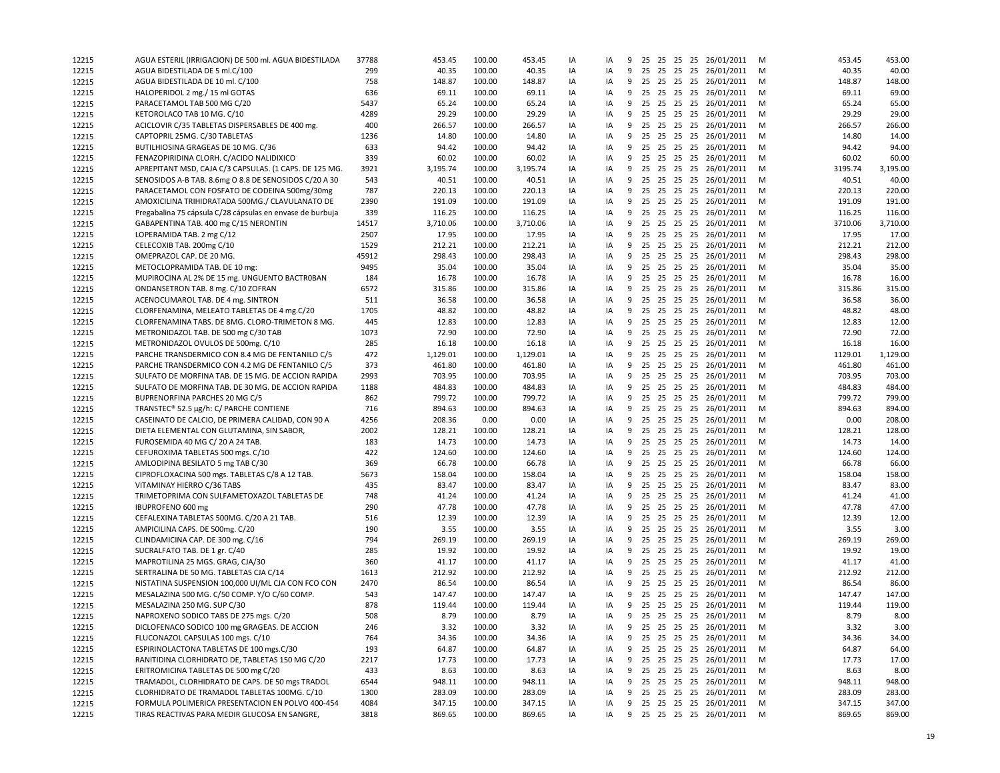| 12215 | AGUA ESTERIL (IRRIGACION) DE 500 ml. AGUA BIDESTILADA                                   | 37788 | 453.45   | 100.00 | 453.45   | IA | IA |   |  |  | 9 25 25 25 25 26/01/2011 | м | 453.45  | 453.00   |
|-------|-----------------------------------------------------------------------------------------|-------|----------|--------|----------|----|----|---|--|--|--------------------------|---|---------|----------|
| 12215 | AGUA BIDESTILADA DE 5 ml.C/100                                                          | 299   | 40.35    | 100.00 | 40.35    | IA | IA |   |  |  | 9 25 25 25 25 26/01/2011 | M | 40.35   | 40.00    |
| 12215 | AGUA BIDESTILADA DE 10 ml. C/100                                                        | 758   | 148.87   | 100.00 | 148.87   | IA | IA |   |  |  | 9 25 25 25 25 26/01/2011 | M | 148.87  | 148.00   |
| 12215 | HALOPERIDOL 2 mg./ 15 ml GOTAS                                                          | 636   | 69.11    | 100.00 | 69.11    | IA | IA |   |  |  | 9 25 25 25 25 26/01/2011 | M | 69.11   | 69.00    |
| 12215 | PARACETAMOL TAB 500 MG C/20                                                             | 5437  | 65.24    | 100.00 | 65.24    | IA | IA |   |  |  | 9 25 25 25 25 26/01/2011 | M | 65.24   | 65.00    |
| 12215 | KETOROLACO TAB 10 MG. C/10                                                              | 4289  | 29.29    | 100.00 | 29.29    | IA | IA | 9 |  |  | 25 25 25 25 26/01/2011   | M | 29.29   | 29.00    |
| 12215 | ACICLOVIR C/35 TABLETAS DISPERSABLES DE 400 mg.                                         | 400   | 266.57   | 100.00 | 266.57   | IA | IA |   |  |  | 9 25 25 25 25 26/01/2011 | м | 266.57  | 266.00   |
| 12215 | CAPTOPRIL 25MG. C/30 TABLETAS                                                           | 1236  | 14.80    | 100.00 | 14.80    | IA | IA | 9 |  |  | 25 25 25 25 26/01/2011   | M | 14.80   | 14.00    |
| 12215 | BUTILHIOSINA GRAGEAS DE 10 MG. C/36                                                     | 633   | 94.42    | 100.00 | 94.42    | IA | IA |   |  |  | 9 25 25 25 25 26/01/2011 | M | 94.42   | 94.00    |
| 12215 | FENAZOPIRIDINA CLORH. C/ACIDO NALIDIXICO                                                | 339   | 60.02    | 100.00 | 60.02    | IA | IA | 9 |  |  | 25 25 25 25 26/01/2011   | M | 60.02   | 60.00    |
| 12215 | APREPITANT MSD, CAJA C/3 CAPSULAS. (1 CAPS. DE 125 MG.                                  | 3921  | 3,195.74 | 100.00 | 3,195.74 | IA | IA |   |  |  | 9 25 25 25 25 26/01/2011 | м | 3195.74 | 3,195.00 |
| 12215 | SENOSIDOS A-B TAB. 8.6mg O 8.8 DE SENOSIDOS C/20 A 30                                   | 543   | 40.51    | 100.00 | 40.51    | IA | IA |   |  |  | 9 25 25 25 25 26/01/2011 | M | 40.51   | 40.00    |
| 12215 | PARACETAMOL CON FOSFATO DE CODEINA 500mg/30mg                                           | 787   | 220.13   | 100.00 | 220.13   | IA | IA |   |  |  | 9 25 25 25 25 26/01/2011 | M | 220.13  | 220.00   |
| 12215 | AMOXICILINA TRIHIDRATADA 500MG./ CLAVULANATO DE                                         | 2390  | 191.09   | 100.00 | 191.09   | IA | IA |   |  |  | 9 25 25 25 25 26/01/2011 | M | 191.09  | 191.00   |
| 12215 | Pregabalina 75 cápsula C/28 cápsulas en envase de burbuja                               | 339   | 116.25   | 100.00 | 116.25   | IA | IA | 9 |  |  | 25 25 25 25 26/01/2011   | м | 116.25  | 116.00   |
| 12215 | GABAPENTINA TAB. 400 mg C/15 NERONTIN                                                   | 14517 | 3,710.06 | 100.00 | 3,710.06 | IA | IA |   |  |  | 9 25 25 25 25 26/01/2011 | M | 3710.06 | 3,710.00 |
| 12215 | LOPERAMIDA TAB. 2 mg C/12                                                               | 2507  | 17.95    | 100.00 | 17.95    | IA | IA |   |  |  | 9 25 25 25 25 26/01/2011 | M | 17.95   | 17.00    |
| 12215 | CELECOXIB TAB. 200mg C/10                                                               | 1529  | 212.21   | 100.00 | 212.21   | IA | IA |   |  |  | 9 25 25 25 25 26/01/2011 | M | 212.21  | 212.00   |
| 12215 | OMEPRAZOL CAP. DE 20 MG.                                                                | 45912 | 298.43   | 100.00 | 298.43   | IA | IA | 9 |  |  | 25 25 25 25 26/01/2011   | M | 298.43  | 298.00   |
| 12215 | METOCLOPRAMIDA TAB. DE 10 mg:                                                           | 9495  | 35.04    | 100.00 | 35.04    | IA | IA |   |  |  | 9 25 25 25 25 26/01/2011 | M | 35.04   | 35.00    |
| 12215 | MUPIROCINA AL 2% DE 15 mg. UNGUENTO BACTROBAN                                           | 184   | 16.78    | 100.00 | 16.78    | IA | IA |   |  |  | 9 25 25 25 25 26/01/2011 | M | 16.78   | 16.00    |
| 12215 | ONDANSETRON TAB. 8 mg. C/10 ZOFRAN                                                      | 6572  | 315.86   | 100.00 | 315.86   | IA | IA |   |  |  | 9 25 25 25 25 26/01/2011 | M | 315.86  | 315.00   |
| 12215 | ACENOCUMAROL TAB. DE 4 mg. SINTRON                                                      | 511   | 36.58    | 100.00 | 36.58    | IA | IA | 9 |  |  | 25 25 25 25 26/01/2011   | M | 36.58   | 36.00    |
| 12215 | CLORFENAMINA, MELEATO TABLETAS DE 4 mg.C/20                                             | 1705  | 48.82    | 100.00 | 48.82    | IA | IA | 9 |  |  | 25 25 25 25 26/01/2011   | M | 48.82   | 48.00    |
| 12215 |                                                                                         | 445   | 12.83    | 100.00 |          | IA |    |   |  |  | 9 25 25 25 25 26/01/2011 | M | 12.83   | 12.00    |
|       | CLORFENAMINA TABS. DE 8MG. CLORO-TRIMETON 8 MG.<br>METRONIDAZOL TAB. DE 500 mg C/30 TAB |       |          |        | 12.83    |    | IA |   |  |  |                          |   |         |          |
| 12215 |                                                                                         | 1073  | 72.90    | 100.00 | 72.90    | IA | IA |   |  |  | 9 25 25 25 25 26/01/2011 | M | 72.90   | 72.00    |
| 12215 | METRONIDAZOL OVULOS DE 500mg. C/10                                                      | 285   | 16.18    | 100.00 | 16.18    | IA | IA |   |  |  | 9 25 25 25 25 26/01/2011 | M | 16.18   | 16.00    |
| 12215 | PARCHE TRANSDERMICO CON 8.4 MG DE FENTANILO C/5                                         | 472   | 1,129.01 | 100.00 | 1,129.01 | IA | IA |   |  |  | 9 25 25 25 25 26/01/2011 | M | 1129.01 | 1,129.00 |
| 12215 | PARCHE TRANSDERMICO CON 4.2 MG DE FENTANILO C/5                                         | 373   | 461.80   | 100.00 | 461.80   | IA | IA |   |  |  | 9 25 25 25 25 26/01/2011 | M | 461.80  | 461.00   |
| 12215 | SULFATO DE MORFINA TAB. DE 15 MG. DE ACCION RAPIDA                                      | 2993  | 703.95   | 100.00 | 703.95   | IA | IA |   |  |  | 9 25 25 25 25 26/01/2011 | M | 703.95  | 703.00   |
| 12215 | SULFATO DE MORFINA TAB. DE 30 MG. DE ACCION RAPIDA                                      | 1188  | 484.83   | 100.00 | 484.83   | IA | IA | 9 |  |  | 25 25 25 25 26/01/2011   | M | 484.83  | 484.00   |
| 12215 | BUPRENORFINA PARCHES 20 MG C/5                                                          | 862   | 799.72   | 100.00 | 799.72   | IA | IA |   |  |  | 9 25 25 25 25 26/01/2011 | м | 799.72  | 799.00   |
| 12215 | TRANSTEC® 52.5 µg/h: C/ PARCHE CONTIENE                                                 | 716   | 894.63   | 100.00 | 894.63   | IA | IA | 9 |  |  | 25 25 25 25 26/01/2011   | м | 894.63  | 894.00   |
| 12215 | CASEINATO DE CALCIO, DE PRIMERA CALIDAD, CON 90 A                                       | 4256  | 208.36   | 0.00   | 0.00     | IA | IA |   |  |  | 9 25 25 25 25 26/01/2011 | M | 0.00    | 208.00   |
| 12215 | DIETA ELEMENTAL CON GLUTAMINA, SIN SABOR,                                               | 2002  | 128.21   | 100.00 | 128.21   | IA | IA | 9 |  |  | 25 25 25 25 26/01/2011   | M | 128.21  | 128.00   |
| 12215 | FUROSEMIDA 40 MG C/20 A 24 TAB.                                                         | 183   | 14.73    | 100.00 | 14.73    | IA | IA |   |  |  | 9 25 25 25 25 26/01/2011 | м | 14.73   | 14.00    |
| 12215 | CEFUROXIMA TABLETAS 500 mgs. C/10                                                       | 422   | 124.60   | 100.00 | 124.60   | IA | IA |   |  |  | 9 25 25 25 25 26/01/2011 | M | 124.60  | 124.00   |
| 12215 | AMLODIPINA BESILATO 5 mg TAB C/30                                                       | 369   | 66.78    | 100.00 | 66.78    | IA | IA |   |  |  | 9 25 25 25 25 26/01/2011 | M | 66.78   | 66.00    |
| 12215 | CIPROFLOXACINA 500 mgs. TABLETAS C/8 A 12 TAB.                                          | 5673  | 158.04   | 100.00 | 158.04   | IA | IA |   |  |  | 9 25 25 25 25 26/01/2011 | M | 158.04  | 158.00   |
| 12215 | VITAMINAY HIERRO C/36 TABS                                                              | 435   | 83.47    | 100.00 | 83.47    | IA | IA | 9 |  |  | 25 25 25 25 26/01/2011   | м | 83.47   | 83.00    |
| 12215 | TRIMETOPRIMA CON SULFAMETOXAZOL TABLETAS DE                                             | 748   | 41.24    | 100.00 | 41.24    | IA | IA |   |  |  | 9 25 25 25 25 26/01/2011 | M | 41.24   | 41.00    |
| 12215 | IBUPROFENO 600 mg                                                                       | 290   | 47.78    | 100.00 | 47.78    | IA | IA |   |  |  | 9 25 25 25 25 26/01/2011 | M | 47.78   | 47.00    |
| 12215 | CEFALEXINA TABLETAS 500MG. C/20 A 21 TAB.                                               | 516   | 12.39    | 100.00 | 12.39    | IA | IA |   |  |  | 9 25 25 25 25 26/01/2011 | M | 12.39   | 12.00    |
| 12215 | AMPICILINA CAPS. DE 500mg. C/20                                                         | 190   | 3.55     | 100.00 | 3.55     | IA | IA | 9 |  |  | 25 25 25 25 26/01/2011   | M | 3.55    | 3.00     |
| 12215 | CLINDAMICINA CAP. DE 300 mg. C/16                                                       | 794   | 269.19   | 100.00 | 269.19   | IA | IA |   |  |  | 9 25 25 25 25 26/01/2011 | M | 269.19  | 269.00   |
| 12215 | SUCRALFATO TAB. DE 1 gr. C/40                                                           | 285   | 19.92    | 100.00 | 19.92    | IA | IA |   |  |  | 9 25 25 25 25 26/01/2011 | M | 19.92   | 19.00    |
| 12215 | MAPROTILINA 25 MGS. GRAG, CJA/30                                                        | 360   | 41.17    | 100.00 | 41.17    | IA | IA |   |  |  | 9 25 25 25 25 26/01/2011 | M | 41.17   | 41.00    |
| 12215 | SERTRALINA DE 50 MG. TABLETAS CJA C/14                                                  | 1613  | 212.92   | 100.00 | 212.92   | IA | IA |   |  |  | 9 25 25 25 25 26/01/2011 | M | 212.92  | 212.00   |
| 12215 | NISTATINA SUSPENSION 100,000 UI/ML CJA CON FCO CON                                      | 2470  | 86.54    | 100.00 | 86.54    | IA | IA | 9 |  |  | 25 25 25 25 26/01/2011   | м | 86.54   | 86.00    |
| 12215 | MESALAZINA 500 MG. C/50 COMP. Y/O C/60 COMP.                                            | 543   | 147.47   | 100.00 | 147.47   | IA | IA |   |  |  | 9 25 25 25 25 26/01/2011 | М | 147.47  | 147.00   |
| 12215 | MESALAZINA 250 MG. SUP C/30                                                             | 878   | 119.44   | 100.00 | 119.44   | IA | IA |   |  |  | 9 25 25 25 25 26/01/2011 | М | 119.44  | 119.00   |
| 12215 | NAPROXENO SODICO TABS DE 275 mgs. C/20                                                  | 508   | 8.79     | 100.00 | 8.79     | IA | IA |   |  |  | 9 25 25 25 25 26/01/2011 | M | 8.79    | 8.00     |
| 12215 | DICLOFENACO SODICO 100 mg GRAGEAS. DE ACCION                                            | 246   | 3.32     | 100.00 | 3.32     | IA | IA |   |  |  | 9 25 25 25 25 26/01/2011 | M | 3.32    | 3.00     |
| 12215 | FLUCONAZOL CAPSULAS 100 mgs. C/10                                                       | 764   | 34.36    | 100.00 | 34.36    | IA | IA |   |  |  | 9 25 25 25 25 26/01/2011 | M | 34.36   | 34.00    |
| 12215 | ESPIRINOLACTONA TABLETAS DE 100 mgs.C/30                                                | 193   | 64.87    | 100.00 | 64.87    | IA | IA | 9 |  |  | 25 25 25 25 26/01/2011   | M | 64.87   | 64.00    |
| 12215 | RANITIDINA CLORHIDRATO DE, TABLETAS 150 MG C/20                                         | 2217  | 17.73    | 100.00 | 17.73    | IA | IA | 9 |  |  | 25 25 25 25 26/01/2011   | M | 17.73   | 17.00    |
| 12215 | ERITROMICINA TABLETAS DE 500 mg C/20                                                    | 433   | 8.63     | 100.00 | 8.63     | IA | IA | 9 |  |  | 25 25 25 25 26/01/2011   | M | 8.63    | 8.00     |
| 12215 | TRAMADOL, CLORHIDRATO DE CAPS. DE 50 mgs TRADOL                                         | 6544  | 948.11   | 100.00 | 948.11   | IA | IA | 9 |  |  | 25 25 25 25 26/01/2011   | M | 948.11  | 948.00   |
| 12215 | CLORHIDRATO DE TRAMADOL TABLETAS 100MG. C/10                                            | 1300  | 283.09   | 100.00 | 283.09   | IA | IA |   |  |  | 9 25 25 25 25 26/01/2011 | M | 283.09  | 283.00   |
| 12215 | FORMULA POLIMERICA PRESENTACION EN POLVO 400-454                                        | 4084  | 347.15   | 100.00 | 347.15   | IA | IA |   |  |  | 9 25 25 25 25 26/01/2011 | M | 347.15  | 347.00   |
| 12215 | TIRAS REACTIVAS PARA MEDIR GLUCOSA EN SANGRE,                                           | 3818  | 869.65   | 100.00 | 869.65   | IA | IA |   |  |  | 9 25 25 25 25 26/01/2011 | M | 869.65  | 869.00   |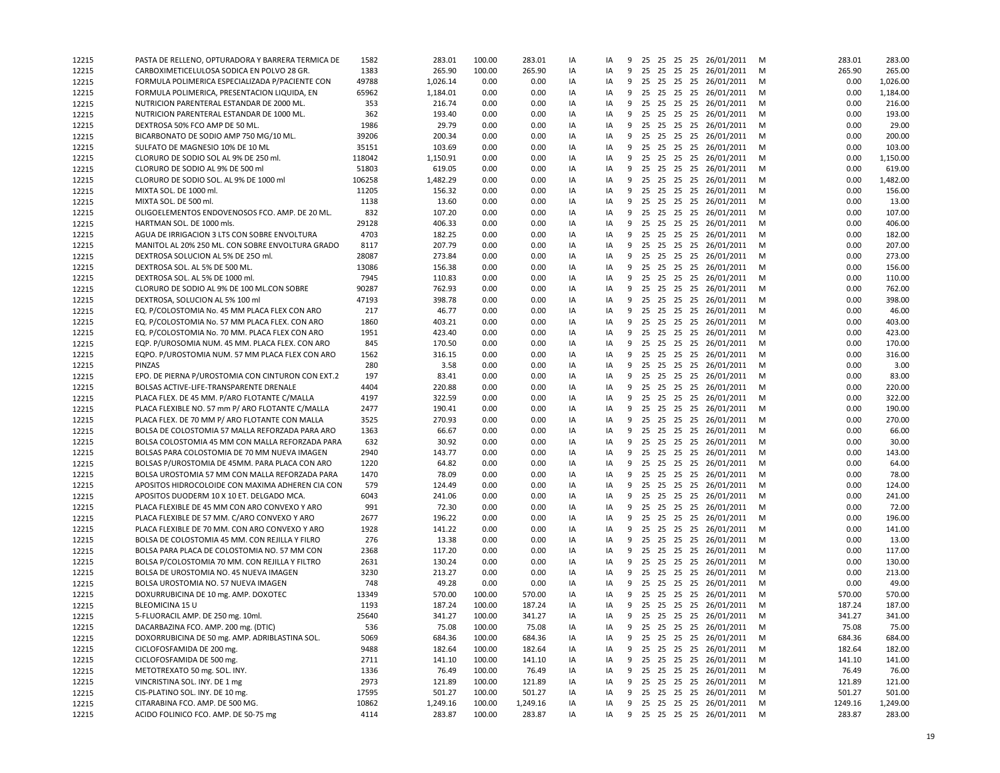| 12215          | PASTA DE RELLENO, OPTURADORA Y BARRERA TERMICA DE      | 1582   | 283.01   | 100.00 | 283.01   | IA | IA |   |  |  | 9 25 25 25 25 26/01/2011 | м | 283.01  | 283.00   |
|----------------|--------------------------------------------------------|--------|----------|--------|----------|----|----|---|--|--|--------------------------|---|---------|----------|
| 12215          | CARBOXIMETICELULOSA SODICA EN POLVO 28 GR.             | 1383   | 265.90   | 100.00 | 265.90   | IA | IA |   |  |  | 9 25 25 25 25 26/01/2011 | м | 265.90  | 265.00   |
| 12215          | FORMULA POLIMERICA ESPECIALIZADA P/PACIENTE CON        | 49788  | 1,026.14 | 0.00   | 0.00     | IA | IA |   |  |  | 9 25 25 25 25 26/01/2011 | м | 0.00    | 1,026.00 |
| 12215          | FORMULA POLIMERICA, PRESENTACION LIQUIDA, EN           | 65962  | 1,184.01 | 0.00   | 0.00     | IA | IA |   |  |  | 9 25 25 25 25 26/01/2011 | M | 0.00    | 1,184.00 |
| 12215          | NUTRICION PARENTERAL ESTANDAR DE 2000 ML.              | 353    | 216.74   | 0.00   | 0.00     | IA | IA |   |  |  | 9 25 25 25 25 26/01/2011 | M | 0.00    | 216.00   |
| 12215          | NUTRICION PARENTERAL ESTANDAR DE 1000 ML.              | 362    | 193.40   | 0.00   | 0.00     | IA | IA | 9 |  |  | 25 25 25 25 26/01/2011   | м | 0.00    | 193.00   |
| 12215          | DEXTROSA 50% FCO AMP DE 50 ML.                         | 1986   | 29.79    | 0.00   | 0.00     | IA | IA |   |  |  | 9 25 25 25 25 26/01/2011 | м | 0.00    | 29.00    |
| 12215          | BICARBONATO DE SODIO AMP 750 MG/10 ML.                 | 39206  | 200.34   | 0.00   | 0.00     | IA | IA |   |  |  | 9 25 25 25 25 26/01/2011 | м | 0.00    | 200.00   |
| 12215          | SULFATO DE MAGNESIO 10% DE 10 ML                       | 35151  | 103.69   | 0.00   | 0.00     | IA | IA |   |  |  | 9 25 25 25 25 26/01/2011 | M | 0.00    | 103.00   |
| 12215          | CLORURO DE SODIO SOL AL 9% DE 250 ml.                  | 118042 | 1,150.91 | 0.00   | 0.00     | IA | IA | 9 |  |  | 25 25 25 25 26/01/2011   | м | 0.00    | 1,150.00 |
| 12215          | CLORURO DE SODIO AL 9% DE 500 ml                       | 51803  | 619.05   | 0.00   | 0.00     | IA | IA |   |  |  | 9 25 25 25 25 26/01/2011 | м | 0.00    | 619.00   |
| 12215          | CLORURO DE SODIO SOL. AL 9% DE 1000 ml                 | 106258 | 1,482.29 | 0.00   | 0.00     | IA | IA |   |  |  | 9 25 25 25 25 26/01/2011 | M | 0.00    | 1,482.00 |
| 12215          | MIXTA SOL. DE 1000 ml.                                 | 11205  | 156.32   | 0.00   | 0.00     | IA | IA | 9 |  |  | 25 25 25 25 26/01/2011   | M | 0.00    | 156.00   |
| 12215          | MIXTA SOL. DE 500 ml.                                  | 1138   | 13.60    | 0.00   | 0.00     | IA | IA | 9 |  |  | 25 25 25 25 26/01/2011   | м | 0.00    | 13.00    |
| 12215          | OLIGOELEMENTOS ENDOVENOSOS FCO. AMP. DE 20 ML.         | 832    | 107.20   | 0.00   | 0.00     | IA | IA | 9 |  |  | 25 25 25 25 26/01/2011   | м | 0.00    | 107.00   |
| 12215          | HARTMAN SOL. DE 1000 mls.                              | 29128  | 406.33   | 0.00   | 0.00     | IA | IA |   |  |  | 9 25 25 25 25 26/01/2011 | M | 0.00    | 406.00   |
| 12215          | AGUA DE IRRIGACION 3 LTS CON SOBRE ENVOLTURA           | 4703   | 182.25   | 0.00   | 0.00     | IA | IA | 9 |  |  | 25 25 25 25 26/01/2011   | M | 0.00    | 182.00   |
| 12215          | MANITOL AL 20% 250 ML. CON SOBRE ENVOLTURA GRADO       | 8117   | 207.79   | 0.00   | 0.00     | IA | IA |   |  |  | 9 25 25 25 25 26/01/2011 | м | 0.00    | 207.00   |
|                | DEXTROSA SOLUCION AL 5% DE 250 ml.                     | 28087  | 273.84   | 0.00   | 0.00     | IA | IA |   |  |  | 9 25 25 25 25 26/01/2011 | м | 0.00    | 273.00   |
| 12215          |                                                        | 13086  | 156.38   | 0.00   | 0.00     | IA |    |   |  |  | 9 25 25 25 25 26/01/2011 | M | 0.00    | 156.00   |
| 12215          | DEXTROSA SOL. AL 5% DE 500 ML.                         |        |          |        |          |    | IA | 9 |  |  |                          | M | 0.00    |          |
| 12215          | DEXTROSA SOL. AL 5% DE 1000 ml.                        | 7945   | 110.83   | 0.00   | 0.00     | IA | IA |   |  |  | 25 25 25 25 26/01/2011   |   |         | 110.00   |
| 12215          | CLORURO DE SODIO AL 9% DE 100 ML.CON SOBRE             | 90287  | 762.93   | 0.00   | 0.00     | IA | IA | 9 |  |  | 25 25 25 25 26/01/2011   | M | 0.00    | 762.00   |
| 12215          | DEXTROSA, SOLUCION AL 5% 100 ml                        | 47193  | 398.78   | 0.00   | 0.00     | IA | IA | 9 |  |  | 25 25 25 25 26/01/2011   | M | 0.00    | 398.00   |
| 12215          | EQ. P/COLOSTOMIA No. 45 MM PLACA FLEX CON ARO          | 217    | 46.77    | 0.00   | 0.00     | IA | IA | 9 |  |  | 25 25 25 25 26/01/2011   | м | 0.00    | 46.00    |
| 12215          | EQ. P/COLOSTOMIA No. 57 MM PLACA FLEX. CON ARO         | 1860   | 403.21   | 0.00   | 0.00     | IA | IA |   |  |  | 9 25 25 25 25 26/01/2011 | M | 0.00    | 403.00   |
| 12215          | EQ. P/COLOSTOMIA No. 70 MM. PLACA FLEX CON ARO         | 1951   | 423.40   | 0.00   | 0.00     | IA | IA | 9 |  |  | 25 25 25 25 26/01/2011   | м | 0.00    | 423.00   |
| 12215          | EQP. P/UROSOMIA NUM. 45 MM. PLACA FLEX. CON ARO        | 845    | 170.50   | 0.00   | 0.00     | IA | IA |   |  |  | 9 25 25 25 25 26/01/2011 | M | 0.00    | 170.00   |
| 12215          | EQPO. P/UROSTOMIA NUM. 57 MM PLACA FLEX CON ARO        | 1562   | 316.15   | 0.00   | 0.00     | IA | IA |   |  |  | 9 25 25 25 25 26/01/2011 | м | 0.00    | 316.00   |
| 12215          | PINZAS                                                 | 280    | 3.58     | 0.00   | 0.00     | IA | IA |   |  |  | 9 25 25 25 25 26/01/2011 | M | 0.00    | 3.00     |
| 12215          | EPO. DE PIERNA P/UROSTOMIA CON CINTURON CON EXT.2      | 197    | 83.41    | 0.00   | 0.00     | IA | IA |   |  |  | 9 25 25 25 25 26/01/2011 | M | 0.00    | 83.00    |
| 12215          | BOLSAS ACTIVE-LIFE-TRANSPARENTE DRENALE                | 4404   | 220.88   | 0.00   | 0.00     | IA | IA | 9 |  |  | 25 25 25 25 26/01/2011   | M | 0.00    | 220.00   |
| 12215          | PLACA FLEX. DE 45 MM. P/ARO FLOTANTE C/MALLA           | 4197   | 322.59   | 0.00   | 0.00     | IA | IA |   |  |  | 9 25 25 25 25 26/01/2011 | м | 0.00    | 322.00   |
| 12215          | PLACA FLEXIBLE NO. 57 mm P/ ARO FLOTANTE C/MALLA       | 2477   | 190.41   | 0.00   | 0.00     | IA | IA |   |  |  | 9 25 25 25 25 26/01/2011 | м | 0.00    | 190.00   |
| 12215          | PLACA FLEX. DE 70 MM P/ ARO FLOTANTE CON MALLA         | 3525   | 270.93   | 0.00   | 0.00     | IA | IA |   |  |  | 9 25 25 25 25 26/01/2011 | M | 0.00    | 270.00   |
| 12215          | BOLSA DE COLOSTOMIA 57 MALLA REFORZADA PARA ARO        | 1363   | 66.67    | 0.00   | 0.00     | IA | IA | 9 |  |  | 25 25 25 25 26/01/2011   | м | 0.00    | 66.00    |
| 12215          | BOLSA COLOSTOMIA 45 MM CON MALLA REFORZADA PARA        | 632    | 30.92    | 0.00   | 0.00     | IA | IA |   |  |  | 9 25 25 25 25 26/01/2011 | м | 0.00    | 30.00    |
| 12215          | BOLSAS PARA COLOSTOMIA DE 70 MM NUEVA IMAGEN           | 2940   | 143.77   | 0.00   | 0.00     | IA | IA |   |  |  | 9 25 25 25 25 26/01/2011 | M | 0.00    | 143.00   |
| 12215          | BOLSAS P/UROSTOMIA DE 45MM. PARA PLACA CON ARO         | 1220   | 64.82    | 0.00   | 0.00     | IA | IA | 9 |  |  | 25 25 25 25 26/01/2011   | M | 0.00    | 64.00    |
| 12215          | BOLSA UROSTOMIA 57 MM CON MALLA REFORZADA PARA         | 1470   | 78.09    | 0.00   | 0.00     | IA | IA | 9 |  |  | 25 25 25 25 26/01/2011   | м | 0.00    | 78.00    |
| 12215          | APOSITOS HIDROCOLOIDE CON MAXIMA ADHEREN CIA CON       | 579    | 124.49   | 0.00   | 0.00     | IA | IA | 9 |  |  | 25 25 25 25 26/01/2011   | м | 0.00    | 124.00   |
| 12215          | APOSITOS DUODERM 10 X 10 ET. DELGADO MCA.              | 6043   | 241.06   | 0.00   | 0.00     | IA | IA |   |  |  | 9 25 25 25 25 26/01/2011 | M | 0.00    | 241.00   |
| 12215          | PLACA FLEXIBLE DE 45 MM CON ARO CONVEXO Y ARO          | 991    | 72.30    | 0.00   | 0.00     | IA | IA | 9 |  |  | 25 25 25 25 26/01/2011   | м | 0.00    | 72.00    |
| 12215          | PLACA FLEXIBLE DE 57 MM. C/ARO CONVEXO Y ARO           | 2677   | 196.22   | 0.00   | 0.00     | IA | IA |   |  |  | 9 25 25 25 25 26/01/2011 | м | 0.00    | 196.00   |
| 12215          | PLACA FLEXIBLE DE 70 MM. CON ARO CONVEXO Y ARO         | 1928   | 141.22   | 0.00   | 0.00     | IA | IA | 9 |  |  | 25 25 25 25 26/01/2011   | м | 0.00    | 141.00   |
| 12215          | BOLSA DE COLOSTOMIA 45 MM. CON REJILLA Y FILRO         | 276    | 13.38    | 0.00   | 0.00     | IA | IA |   |  |  | 9 25 25 25 25 26/01/2011 | M | 0.00    | 13.00    |
| 12215          | BOLSA PARA PLACA DE COLOSTOMIA NO. 57 MM CON           | 2368   | 117.20   | 0.00   | 0.00     | IA | IA | 9 |  |  | 25 25 25 25 26/01/2011   | M | 0.00    | 117.00   |
| 12215          | BOLSA P/COLOSTOMIA 70 MM. CON REJILLA Y FILTRO         | 2631   | 130.24   | 0.00   | 0.00     | IA | IA | 9 |  |  | 25 25 25 25 26/01/2011   | M | 0.00    | 130.00   |
| 12215          | BOLSA DE UROSTOMIA NO. 45 NUEVA IMAGEN                 | 3230   | 213.27   | 0.00   | 0.00     | IA | IA | 9 |  |  | 25 25 25 25 26/01/2011   | м | 0.00    | 213.00   |
| 12215          | BOLSA UROSTOMIA NO. 57 NUEVA IMAGEN                    | 748    | 49.28    | 0.00   | 0.00     | IA | IA | 9 |  |  | 25 25 25 25 26/01/2011   | м | 0.00    | 49.00    |
| 12215          | DOXURRUBICINA DE 10 mg. AMP. DOXOTEC                   | 13349  | 570.00   | 100.00 | 570.00   | IA | IA |   |  |  | 9 25 25 25 25 26/01/2011 | м | 570.00  | 570.00   |
| 12215          | BLEOMICINA 15 U                                        | 1193   | 187.24   | 100.00 | 187.24   | IA | IA |   |  |  | 9 25 25 25 25 26/01/2011 | м | 187.24  | 187.00   |
| 12215          | 5-FLUORACIL AMP. DE 250 mg. 10ml.                      | 25640  | 341.27   | 100.00 | 341.27   | IA | IA |   |  |  | 9 25 25 25 25 26/01/2011 | M | 341.27  | 341.00   |
|                | DACARBAZINA FCO. AMP. 200 mg. (DTIC)                   | 536    | 75.08    | 100.00 | 75.08    | IA | IA |   |  |  | 9 25 25 25 25 26/01/2011 | M | 75.08   | 75.00    |
| 12215<br>12215 | DOXORRUBICINA DE 50 mg. AMP. ADRIBLASTINA SOL.         | 5069   | 684.36   | 100.00 | 684.36   | IA | IA | 9 |  |  | 25 25 25 25 26/01/2011   | M | 684.36  | 684.00   |
|                |                                                        |        |          |        |          |    | IA | 9 |  |  | 25 25 25 25 26/01/2011   |   |         | 182.00   |
| 12215          | CICLOFOSFAMIDA DE 200 mg.<br>CICLOFOSFAMIDA DE 500 mg. | 9488   | 182.64   | 100.00 | 182.64   | IA |    |   |  |  |                          | M | 182.64  |          |
| 12215          |                                                        | 2711   | 141.10   | 100.00 | 141.10   | IA | IA | 9 |  |  | 25 25 25 25 26/01/2011   | M | 141.10  | 141.00   |
| 12215          | METOTREXATO 50 mg. SOL. INY.                           | 1336   | 76.49    | 100.00 | 76.49    | IA | IA | 9 |  |  | 25 25 25 25 26/01/2011   | M | 76.49   | 76.00    |
| 12215          | VINCRISTINA SOL. INY. DE 1 mg                          | 2973   | 121.89   | 100.00 | 121.89   | IA | IA | 9 |  |  | 25 25 25 25 26/01/2011   | M | 121.89  | 121.00   |
| 12215          | CIS-PLATINO SOL. INY. DE 10 mg.                        | 17595  | 501.27   | 100.00 | 501.27   | IA | IA | 9 |  |  | 25 25 25 25 26/01/2011   | M | 501.27  | 501.00   |
| 12215          | CITARABINA FCO. AMP. DE 500 MG.                        | 10862  | 1,249.16 | 100.00 | 1,249.16 | IA | IA | 9 |  |  | 25 25 25 25 26/01/2011   | M | 1249.16 | 1,249.00 |
| 12215          | ACIDO FOLINICO FCO. AMP. DE 50-75 mg                   | 4114   | 283.87   | 100.00 | 283.87   | IA | IA |   |  |  | 9 25 25 25 25 26/01/2011 | M | 283.87  | 283.00   |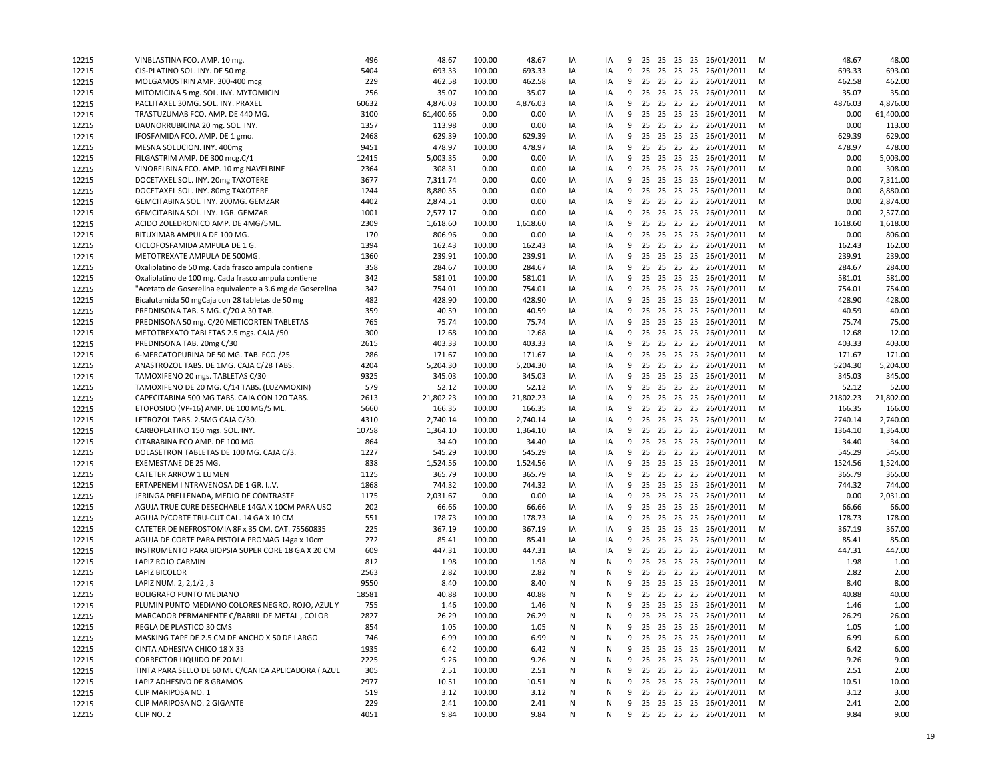| 12215 | VINBLASTINA FCO. AMP. 10 mg                                         | 496         | 48.67            | 100.00 | 48.67           | IA       | IA       | 9      |  |  | 25 25 25 25 26/01/2011     | М      | 48.67            | 48.00            |
|-------|---------------------------------------------------------------------|-------------|------------------|--------|-----------------|----------|----------|--------|--|--|----------------------------|--------|------------------|------------------|
| 12215 | CIS-PLATINO SOL. INY. DE 50 mg.                                     | 5404        | 693.33           | 100.00 | 693.33          | IA       | IA       | 9      |  |  | 25 25 25 25 26/01/2011     | M      | 693.33           | 693.00           |
| 12215 | MOLGAMOSTRIN AMP. 300-400 mcg                                       | 229         | 462.58           | 100.00 | 462.58          | IA       | IA       | 9      |  |  | 25 25 25 25 26/01/2011     | M      | 462.58           | 462.00           |
| 12215 | MITOMICINA 5 mg. SOL. INY. MYTOMICIN                                | 256         | 35.07            | 100.00 | 35.07           | IA       | IA       | 9      |  |  | 25 25 25 25 26/01/2011     | M      | 35.07            | 35.00            |
| 12215 | PACLITAXEL 30MG. SOL. INY. PRAXEL                                   | 60632       | 4,876.03         | 100.00 | 4,876.03        | IA       | IA       | 9      |  |  | 25 25 25 25 26/01/2011     | M      | 4876.03          | 4,876.00         |
| 12215 | TRASTUZUMAB FCO. AMP. DE 440 MG.                                    | 3100        | 61,400.66        | 0.00   | 0.00            | IA       | IA       | 9      |  |  | 25 25 25 25 26/01/2011     | M      | 0.00             | 61,400.00        |
| 12215 | DAUNORRUBICINA 20 mg. SOL. INY.                                     | 1357        | 113.98           | 0.00   | 0.00            | IA       | IA       | 9      |  |  | 25 25 25 25 26/01/2011     | M      | 0.00             | 113.00           |
| 12215 | IFOSFAMIDA FCO. AMP. DE 1 gmo.                                      | 2468        | 629.39           | 100.00 | 629.39          | IA       | IA       | 9      |  |  | 25 25 25 25 26/01/2011     | M      | 629.39           | 629.00           |
| 12215 | MESNA SOLUCION. INY. 400mg                                          | 9451        | 478.97           | 100.00 | 478.97          | IA       | IA       | 9      |  |  | 25 25 25 25 26/01/2011     | M      | 478.97           | 478.00           |
| 12215 | FILGASTRIM AMP. DE 300 mcg.C/1                                      | 12415       | 5,003.35         | 0.00   | 0.00            | IA       | IA       | 9      |  |  | 25 25 25 25 26/01/2011     | M      | 0.00             | 5,003.00         |
| 12215 | VINORELBINA FCO. AMP. 10 mg NAVELBINE                               | 2364        | 308.31           | 0.00   | 0.00            | IA       | IA       | 9      |  |  | 25 25 25 25 26/01/2011     | M      | 0.00             | 308.00           |
| 12215 | DOCETAXEL SOL. INY. 20mg TAXOTERE                                   | 3677        | 7,311.74         | 0.00   | 0.00            | IA       | IA       | 9      |  |  | 25 25 25 25 26/01/2011     | M      | 0.00             | 7,311.00         |
| 12215 | DOCETAXEL SOL. INY. 80mg TAXOTERE                                   | 1244        | 8,880.35         | 0.00   | 0.00            | IA       | IA       | 9      |  |  | 25 25 25 25 26/01/2011     | M      | 0.00             | 8,880.00         |
| 12215 | GEMCITABINA SOL. INY. 200MG. GEMZAR                                 | 4402        | 2,874.51         | 0.00   | 0.00            | IA       | IA       | 9      |  |  | 25 25 25 25 26/01/2011     | M      | 0.00             | 2,874.00         |
| 12215 | GEMCITABINA SOL. INY. 1GR. GEMZAR                                   | 1001        | 2,577.17         | 0.00   | 0.00            | IA       | IA       | 9      |  |  | 25 25 25 25 26/01/2011     | M      | 0.00             | 2,577.00         |
| 12215 | ACIDO ZOLEDRONICO AMP. DE 4MG/5ML.                                  | 2309        | 1,618.60         | 100.00 | 1,618.60        | IA       | IA       | 9      |  |  | 25 25 25 25 26/01/2011     | M      | 1618.60          | 1,618.00         |
| 12215 | RITUXIMAB AMPULA DE 100 MG.                                         | 170         | 806.96           | 0.00   | 0.00            | IA       | IA       | 9      |  |  | 25 25 25 25 26/01/2011     | M      | 0.00             | 806.00           |
| 12215 | CICLOFOSFAMIDA AMPULA DE 1 G.                                       | 1394        | 162.43           | 100.00 | 162.43          | IA       | IA       | 9      |  |  | 25 25 25 25 26/01/2011     | M      | 162.43           | 162.00           |
| 12215 | METOTREXATE AMPULA DE 500MG.                                        | 1360        | 239.91           | 100.00 | 239.91          | IA       | IA       | 9      |  |  | 25 25 25 25 26/01/2011     | M      | 239.91           | 239.00           |
| 12215 | Oxaliplatino de 50 mg. Cada frasco ampula contiene                  | 358         | 284.67           | 100.00 | 284.67          | IA       | IA       | 9      |  |  | 25 25 25 25 26/01/2011     | M      | 284.67           | 284.00           |
| 12215 | Oxaliplatino de 100 mg. Cada frasco ampula contiene                 | 342         | 581.01           | 100.00 | 581.01          | IA       | IA       | 9      |  |  | 25 25 25 25 26/01/2011     | M      | 581.01           | 581.00           |
| 12215 | "Acetato de Goserelina equivalente a 3.6 mg de Goserelina           | 342         | 754.01           | 100.00 | 754.01          | IA       | IA       | 9      |  |  | 25 25 25 25 26/01/2011     | M      | 754.01           | 754.00           |
| 12215 | Bicalutamida 50 mgCaja con 28 tabletas de 50 mg                     | 482         | 428.90           | 100.00 | 428.90          | IA       | IA       | 9      |  |  | 25 25 25 25 26/01/2011     | M      | 428.90           | 428.00           |
| 12215 | PREDNISONA TAB. 5 MG. C/20 A 30 TAB.                                | 359         | 40.59            | 100.00 | 40.59           | IA       | IA       | 9      |  |  | 25 25 25 25 26/01/2011     | M      | 40.59            | 40.00            |
| 12215 |                                                                     | 765         | 75.74            | 100.00 | 75.74           | IA       | IA       | 9      |  |  | 25 25 25 25 26/01/2011     | M      | 75.74            | 75.00            |
| 12215 | PREDNISONA 50 mg. C/20 METICORTEN TABLETAS                          | 300         | 12.68            | 100.00 | 12.68           | IA       | IA       | 9      |  |  | 25 25 25 25 26/01/2011     | M      | 12.68            | 12.00            |
|       | METOTREXATO TABLETAS 2.5 mgs. CAJA /50                              |             |                  |        |                 |          |          |        |  |  | 25 25 25 25 26/01/2011     |        |                  |                  |
| 12215 | PREDNISONA TAB. 20mg C/30<br>6-MERCATOPURINA DE 50 MG. TAB. FCO./25 | 2615<br>286 | 403.33<br>171.67 | 100.00 | 403.33          | IA<br>IA | IA<br>IA | 9<br>9 |  |  |                            | M<br>M | 403.33<br>171.67 | 403.00<br>171.00 |
| 12215 | ANASTROZOL TABS. DE 1MG. CAJA C/28 TABS.                            |             |                  | 100.00 | 171.67          |          |          |        |  |  | 25 25 25 25 26/01/2011     |        |                  |                  |
| 12215 | TAMOXIFENO 20 mgs. TABLETAS C/30                                    | 4204        | 5,204.30         | 100.00 | 5,204.30        | IA       | IA       | 9      |  |  | 25 25 25 25 26/01/2011     | M      | 5204.30          | 5,204.00         |
| 12215 | TAMOXIFENO DE 20 MG. C/14 TABS. (LUZAMOXIN)                         | 9325        | 345.03           | 100.00 | 345.03<br>52.12 | IA       | IA       | 9<br>9 |  |  | 25 25 25 25 26/01/2011     | M<br>M | 345.03<br>52.12  | 345.00<br>52.00  |
| 12215 |                                                                     | 579         | 52.12            | 100.00 |                 | IA       | IA<br>IA | 9      |  |  | 25 25 25 25 26/01/2011     | M      |                  |                  |
| 12215 | CAPECITABINA 500 MG TABS. CAJA CON 120 TABS.                        | 2613        | 21,802.23        | 100.00 | 21,802.23       | IA       |          |        |  |  | 25 25 25 25 26/01/2011     |        | 21802.23         | 21,802.00        |
| 12215 | ETOPOSIDO (VP-16) AMP. DE 100 MG/5 ML.                              | 5660        | 166.35           | 100.00 | 166.35          | IA       | IA       | 9      |  |  | 25 25 25 25 26/01/2011     | M      | 166.35           | 166.00           |
| 12215 | LETROZOL TABS. 2.5MG CAJA C/30.                                     | 4310        | 2,740.14         | 100.00 | 2,740.14        | IA       | IA       | 9      |  |  | 25 25 25 25 26/01/2011     | M      | 2740.14          | 2,740.00         |
| 12215 | CARBOPLATINO 150 mgs. SOL. INY.                                     | 10758       | 1,364.10         | 100.00 | 1,364.10        | IA       | IA       | 9      |  |  | 25 25 25 25 26/01/2011     | M      | 1364.10          | 1,364.00         |
| 12215 | CITARABINA FCO AMP. DE 100 MG.                                      | 864         | 34.40            | 100.00 | 34.40           | IA       | IA       | 9      |  |  | 25 25 25 25 26/01/2011     | M      | 34.40            | 34.00            |
| 12215 | DOLASETRON TABLETAS DE 100 MG. CAJA C/3.                            | 1227        | 545.29           | 100.00 | 545.29          | IA       | IA       | 9      |  |  | 25 25 25 25 26/01/2011     | M      | 545.29           | 545.00           |
| 12215 | EXEMESTANE DE 25 MG.                                                | 838         | 1,524.56         | 100.00 | 1,524.56        | IA       | IA       | 9      |  |  | 25 25 25 25 26/01/2011     | M      | 1524.56          | 1,524.00         |
| 12215 | CATETER ARROW 1 LUMEN                                               | 1125        | 365.79           | 100.00 | 365.79          | IA       | IA       | 9      |  |  | 25 25 25 25 26/01/2011     | M      | 365.79           | 365.00           |
| 12215 | ERTAPENEM I NTRAVENOSA DE 1 GR. IV.                                 | 1868        | 744.32           | 100.00 | 744.32          | IA       | IA       | 9      |  |  | 25 25 25 25 26/01/2011     | M      | 744.32           | 744.00           |
| 12215 | JERINGA PRELLENADA, MEDIO DE CONTRASTE                              | 1175        | 2,031.67         | 0.00   | 0.00            | IA       | IA       | 9      |  |  | 25 25 25 25 26/01/2011     | M      | 0.00             | 2,031.00         |
| 12215 | AGUJA TRUE CURE DESECHABLE 14GA X 10CM PARA USO                     | 202         | 66.66            | 100.00 | 66.66           | IA       | IA       | 9      |  |  | 25 25 25 25 26/01/2011     | M      | 66.66            | 66.00            |
| 12215 | AGUJA P/CORTE TRU-CUT CAL. 14 GA X 10 CM                            | 551         | 178.73           | 100.00 | 178.73          | IA       | IA       | 9      |  |  | 25 25 25 25 26/01/2011     | M      | 178.73           | 178.00           |
| 12215 | CATETER DE NEFROSTOMIA 8F x 35 CM. CAT. 75560835                    | 225         | 367.19           | 100.00 | 367.19          | IA       | IA       | 9      |  |  | 25 25 25 25 26/01/2011     | M      | 367.19           | 367.00           |
| 12215 | AGUJA DE CORTE PARA PISTOLA PROMAG 14ga x 10cm                      | 272         | 85.41            | 100.00 | 85.41           | IA       | IA       | 9      |  |  | 25 25 25 25 26/01/2011     | M      | 85.41            | 85.00            |
| 12215 | INSTRUMENTO PARA BIOPSIA SUPER CORE 18 GA X 20 CM                   | 609         | 447.31           | 100.00 | 447.31          | IA       | IA       | 9      |  |  | 25 25 25 25 26/01/2011     | M      | 447.31           | 447.00           |
| 12215 | LAPIZ ROJO CARMIN                                                   | 812         | 1.98             | 100.00 | 1.98            | N        | N        | 9      |  |  | 25 25 25 25 26/01/2011     | M      | 1.98             | 1.00             |
| 12215 | LAPIZ BICOLOR                                                       | 2563        | 2.82             | 100.00 | 2.82            | N        | N        | 9      |  |  | 25 25 25 25 26/01/2011     | M      | 2.82             | 2.00             |
| 12215 | LAPIZ NUM. 2, 2, 1/2, 3                                             | 9550        | 8.40             | 100.00 | 8.40            | N        | N        | 9      |  |  | 25 25 25 25 26/01/2011     | M      | 8.40             | 8.00             |
| 12215 | BOLIGRAFO PUNTO MEDIANO                                             | 18581       | 40.88            | 100.00 | 40.88           | N        | N        | 9      |  |  | 25 25 25 25 26/01/2011     | M      | 40.88            | 40.00            |
| 12215 | PLUMIN PUNTO MEDIANO COLORES NEGRO, ROJO, AZUL Y                    | 755         | 1.46             | 100.00 | 1.46            | N        | N        | 9      |  |  | 25 25 25 25 26/01/2011     | M      | 1.46             | 1.00             |
| 12215 | MARCADOR PERMANENTE C/BARRIL DE METAL, COLOR                        | 2827        | 26.29            | 100.00 | 26.29           | N        | N        |        |  |  | 9 25 25 25 25 26/01/2011   | M      | 26.29            | 26.00            |
| 12215 | REGLA DE PLASTICO 30 CMS                                            | 854         | 1.05             | 100.00 | 1.05            | N        | N        |        |  |  | 9 25 25 25 25 26/01/2011   | M      | 1.05             | 1.00             |
| 12215 | MASKING TAPE DE 2.5 CM DE ANCHO X 50 DE LARGO                       | 746         | 6.99             | 100.00 | 6.99            | N        | N        | 9      |  |  | 25 25 25 25 26/01/2011     | M      | 6.99             | 6.00             |
| 12215 | CINTA ADHESIVA CHICO 18 X 33                                        | 1935        | 6.42             | 100.00 | 6.42            | N        | N        | 9      |  |  | 25 25 25 25 26/01/2011     | M      | 6.42             | 6.00             |
| 12215 | CORRECTOR LIQUIDO DE 20 ML.                                         | 2225        | 9.26             | 100.00 | 9.26            | N        | N        |        |  |  | 9 25 25 25 25 26/01/2011   | M      | 9.26             | 9.00             |
| 12215 | TINTA PARA SELLO DE 60 ML C/CANICA APLICADORA (AZUL                 | 305         | 2.51             | 100.00 | 2.51            | N        | N        | 9      |  |  | 25 25 25 25 26/01/2011     | M      | 2.51             | 2.00             |
| 12215 | LAPIZ ADHESIVO DE 8 GRAMOS                                          | 2977        | 10.51            | 100.00 | 10.51           | N        | N        | 9      |  |  | 25 25 25 25 26/01/2011     | M      | 10.51            | 10.00            |
| 12215 | CLIP MARIPOSA NO. 1                                                 | 519         | 3.12             | 100.00 | 3.12            | N        | N        | 9      |  |  | 25 25 25 25 26/01/2011     | M      | 3.12             | 3.00             |
| 12215 | CLIP MARIPOSA NO. 2 GIGANTE                                         | 229         | 2.41             | 100.00 | 2.41            | Ν        | N        | 9      |  |  | 25 25 25 25 26/01/2011     | M      | 2.41             | 2.00             |
| 12215 | CLIP NO. 2                                                          | 4051        | 9.84             | 100.00 | 9.84            | N        | N        |        |  |  | 9 25 25 25 25 26/01/2011 M |        | 9.84             | 9.00             |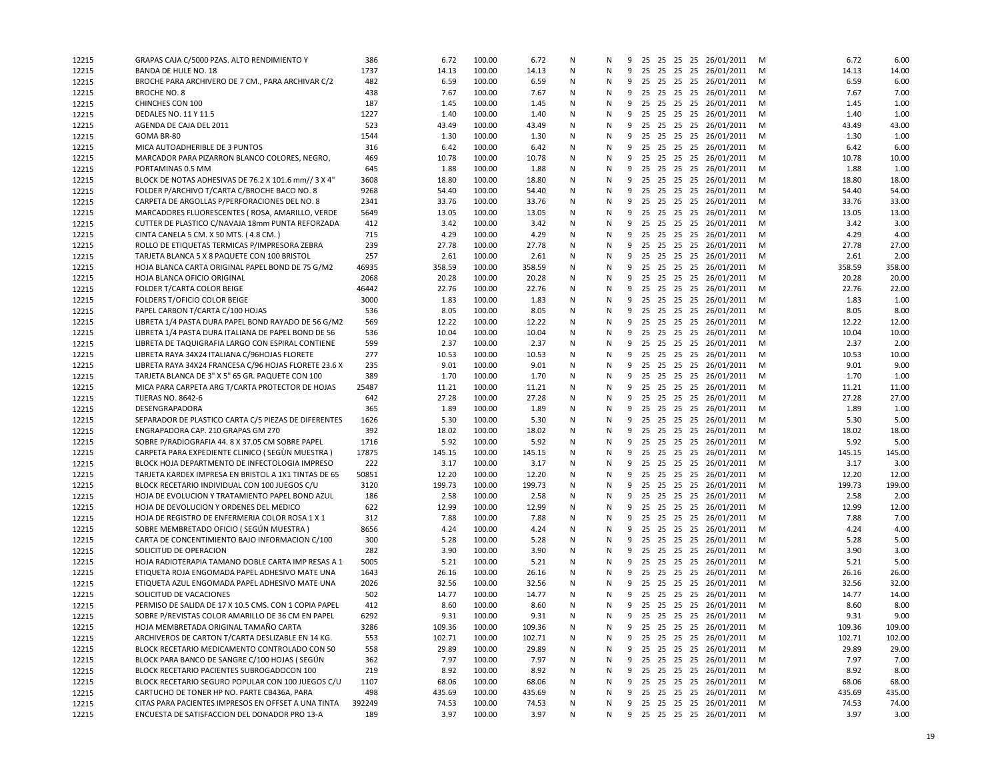| 12215 | GRAPAS CAJA C/5000 PZAS. ALTO RENDIMIENTO Y                                                              | 386    | 6.72   | 100.00 | 6.72   | N         | N         | 9 |    |  | 25 25 25 25 26/01/2011     | M | 6.72   | 6.00   |
|-------|----------------------------------------------------------------------------------------------------------|--------|--------|--------|--------|-----------|-----------|---|----|--|----------------------------|---|--------|--------|
| 12215 | BANDA DE HULE NO. 18                                                                                     | 1737   | 14.13  | 100.00 | 14.13  | N         | N         |   |    |  | 9 25 25 25 25 26/01/2011   | M | 14.13  | 14.00  |
| 12215 | BROCHE PARA ARCHIVERO DE 7 CM., PARA ARCHIVAR C/2                                                        | 482    | 6.59   | 100.00 | 6.59   | N         | N         |   |    |  | 9 25 25 25 25 26/01/2011   | M | 6.59   | 6.00   |
| 12215 | <b>BROCHE NO. 8</b>                                                                                      | 438    | 7.67   | 100.00 | 7.67   | N         | N         | 9 |    |  | 25 25 25 25 26/01/2011     | M | 7.67   | 7.00   |
| 12215 | CHINCHES CON 100                                                                                         | 187    | 1.45   | 100.00 | 1.45   | N         | N         | 9 |    |  | 25 25 25 25 26/01/2011     | M | 1.45   | 1.00   |
| 12215 | <b>DEDALES NO. 11 Y 11.5</b>                                                                             | 1227   | 1.40   | 100.00 | 1.40   | N         | N         | 9 |    |  | 25 25 25 25 26/01/2011     | M | 1.40   | 1.00   |
| 12215 | AGENDA DE CAJA DEL 2011                                                                                  | 523    | 43.49  | 100.00 | 43.49  | N         | N         | 9 |    |  | 25 25 25 25 26/01/2011     | M | 43.49  | 43.00  |
| 12215 | GOMA BR-80                                                                                               | 1544   | 1.30   | 100.00 | 1.30   | N         | N         | 9 |    |  | 25 25 25 25 26/01/2011     | M | 1.30   | 1.00   |
| 12215 | MICA AUTOADHERIBLE DE 3 PUNTOS                                                                           | 316    | 6.42   | 100.00 | 6.42   | N         | N         | 9 |    |  | 25 25 25 25 26/01/2011     | M | 6.42   | 6.00   |
| 12215 | MARCADOR PARA PIZARRON BLANCO COLORES, NEGRO,                                                            | 469    | 10.78  | 100.00 | 10.78  | N         | N         | 9 |    |  | 25 25 25 25 26/01/2011     | M | 10.78  | 10.00  |
| 12215 | PORTAMINAS 0.5 MM                                                                                        | 645    | 1.88   | 100.00 | 1.88   | N         | N         |   |    |  | 9 25 25 25 25 26/01/2011   | M | 1.88   | 1.00   |
| 12215 | BLOCK DE NOTAS ADHESIVAS DE 76.2 X 101.6 mm// 3 X 4"                                                     | 3608   | 18.80  | 100.00 | 18.80  | N         | N         | 9 |    |  | 25 25 25 25 26/01/2011     | M | 18.80  | 18.00  |
| 12215 | FOLDER P/ARCHIVO T/CARTA C/BROCHE BACO NO. 8                                                             | 9268   | 54.40  | 100.00 | 54.40  | N         | N         | 9 |    |  | 25 25 25 25 26/01/2011     | M | 54.40  | 54.00  |
| 12215 | CARPETA DE ARGOLLAS P/PERFORACIONES DEL NO. 8                                                            | 2341   | 33.76  | 100.00 | 33.76  | N         | N         | 9 |    |  | 25 25 25 25 26/01/2011     | M | 33.76  | 33.00  |
| 12215 | MARCADORES FLUORESCENTES (ROSA, AMARILLO, VERDE                                                          | 5649   | 13.05  | 100.00 | 13.05  | N         | N         | 9 |    |  | 25 25 25 25 26/01/2011     | м | 13.05  | 13.00  |
| 12215 | CUTTER DE PLASTICO C/NAVAJA 18mm PUNTA REFORZADA                                                         | 412    | 3.42   | 100.00 | 3.42   | N         | N         | 9 |    |  | 25 25 25 25 26/01/2011     | M | 3.42   | 3.00   |
| 12215 | CINTA CANELA 5 CM. X 50 MTS. (4.8 CM.)                                                                   | 715    | 4.29   | 100.00 | 4.29   | N         | N         | 9 |    |  | 25 25 25 25 26/01/2011     | M | 4.29   | 4.00   |
| 12215 | ROLLO DE ETIQUETAS TERMICAS P/IMPRESORA ZEBRA                                                            | 239    | 27.78  | 100.00 | 27.78  | N         | N         | 9 |    |  | 25 25 25 25 26/01/2011     | M | 27.78  | 27.00  |
| 12215 | TARJETA BLANCA 5 X 8 PAQUETE CON 100 BRISTOL                                                             | 257    | 2.61   | 100.00 | 2.61   | N         | N         | 9 |    |  | 25 25 25 25 26/01/2011     | M | 2.61   | 2.00   |
| 12215 | HOJA BLANCA CARTA ORIGINAL PAPEL BOND DE 75 G/M2                                                         | 46935  | 358.59 | 100.00 | 358.59 | N         | N         | 9 |    |  | 25 25 25 25 26/01/2011     | M | 358.59 | 358.00 |
| 12215 | HOJA BLANCA OFICIO ORIGINAL                                                                              | 2068   | 20.28  | 100.00 | 20.28  | N         | N         | 9 |    |  | 25 25 25 25 26/01/2011     | M | 20.28  | 20.00  |
| 12215 | FOLDER T/CARTA COLOR BEIGE                                                                               | 46442  | 22.76  | 100.00 | 22.76  | N         | N         | 9 |    |  | 25 25 25 25 26/01/2011     | M | 22.76  | 22.00  |
| 12215 | FOLDERS T/OFICIO COLOR BEIGE                                                                             | 3000   | 1.83   | 100.00 | 1.83   | N         | N         | 9 |    |  | 25 25 25 25 26/01/2011     | M | 1.83   | 1.00   |
| 12215 | PAPEL CARBON T/CARTA C/100 HOJAS                                                                         | 536    | 8.05   | 100.00 | 8.05   | N         | N         | 9 | 25 |  | 25 25 25 26/01/2011        | м | 8.05   | 8.00   |
|       |                                                                                                          |        |        |        |        |           | N         |   |    |  | 9 25 25 25 25 26/01/2011   |   | 12.22  | 12.00  |
| 12215 | LIBRETA 1/4 PASTA DURA PAPEL BOND RAYADO DE 56 G/M2                                                      | 569    | 12.22  | 100.00 | 12.22  | N         |           |   |    |  |                            | M |        |        |
| 12215 | LIBRETA 1/4 PASTA DURA ITALIANA DE PAPEL BOND DE 56<br>LIBRETA DE TAQUIGRAFIA LARGO CON ESPIRAL CONTIENE | 536    | 10.04  | 100.00 | 10.04  | N         | N         | 9 |    |  | 25 25 25 25 26/01/2011     | M | 10.04  | 10.00  |
| 12215 |                                                                                                          | 599    | 2.37   | 100.00 | 2.37   | N         | N         | 9 |    |  | 25 25 25 25 26/01/2011     | M | 2.37   | 2.00   |
| 12215 | LIBRETA RAYA 34X24 ITALIANA C/96HOJAS FLORETE                                                            | 277    | 10.53  | 100.00 | 10.53  | N         | N         |   |    |  | 9 25 25 25 25 26/01/2011   | M | 10.53  | 10.00  |
| 12215 | LIBRETA RAYA 34X24 FRANCESA C/96 HOJAS FLORETE 23.6 X                                                    | 235    | 9.01   | 100.00 | 9.01   | N         | N         | 9 |    |  | 25 25 25 25 26/01/2011     | M | 9.01   | 9.00   |
| 12215 | TARJETA BLANCA DE 3" X 5" 65 GR. PAQUETE CON 100                                                         | 389    | 1.70   | 100.00 | 1.70   | N         | N         | 9 |    |  | 25 25 25 25 26/01/2011     | M | 1.70   | 1.00   |
| 12215 | MICA PARA CARPETA ARG T/CARTA PROTECTOR DE HOJAS                                                         | 25487  | 11.21  | 100.00 | 11.21  | N         | N         | 9 |    |  | 25 25 25 25 26/01/2011     | M | 11.21  | 11.00  |
| 12215 | <b>TIJERAS NO. 8642-6</b>                                                                                | 642    | 27.28  | 100.00 | 27.28  | N         | N         | 9 |    |  | 25 25 25 25 26/01/2011     | м | 27.28  | 27.00  |
| 12215 | DESENGRAPADORA                                                                                           | 365    | 1.89   | 100.00 | 1.89   | N         | N         | 9 |    |  | 25 25 25 25 26/01/2011     | M | 1.89   | 1.00   |
| 12215 | SEPARADOR DE PLASTICO CARTA C/5 PIEZAS DE DIFERENTES                                                     | 1626   | 5.30   | 100.00 | 5.30   | N         | N         | 9 |    |  | 25 25 25 25 26/01/2011     | M | 5.30   | 5.00   |
| 12215 | ENGRAPADORA CAP. 210 GRAPAS GM 270                                                                       | 392    | 18.02  | 100.00 | 18.02  | N         | ${\sf N}$ | 9 |    |  | 25 25 25 25 26/01/2011     | M | 18.02  | 18.00  |
| 12215 | SOBRE P/RADIOGRAFIA 44.8 X 37.05 CM SOBRE PAPEL                                                          | 1716   | 5.92   | 100.00 | 5.92   | N         | N         |   |    |  | 9 25 25 25 25 26/01/2011   | M | 5.92   | 5.00   |
| 12215 | CARPETA PARA EXPEDIENTE CLINICO (SEGUN MUESTRA)                                                          | 17875  | 145.15 | 100.00 | 145.15 | N         | N         | 9 |    |  | 25 25 25 25 26/01/2011     | M | 145.15 | 145.00 |
| 12215 | BLOCK HOJA DEPARTMENTO DE INFECTOLOGIA IMPRESO                                                           | 222    | 3.17   | 100.00 | 3.17   | N         | N         | 9 |    |  | 25 25 25 25 26/01/2011     | M | 3.17   | 3.00   |
| 12215 | TARJETA KARDEX IMPRESA EN BRISTOL A 1X1 TINTAS DE 65                                                     | 50851  | 12.20  | 100.00 | 12.20  | N         | N         | 9 |    |  | 25 25 25 25 26/01/2011     | M | 12.20  | 12.00  |
| 12215 | BLOCK RECETARIO INDIVIDUAL CON 100 JUEGOS C/U                                                            | 3120   | 199.73 | 100.00 | 199.73 | N         | N         | 9 |    |  | 25 25 25 25 26/01/2011     | м | 199.73 | 199.00 |
| 12215 | HOJA DE EVOLUCION Y TRATAMIENTO PAPEL BOND AZUL                                                          | 186    | 2.58   | 100.00 | 2.58   | N         | N         |   |    |  | 9 25 25 25 25 26/01/2011   | M | 2.58   | 2.00   |
| 12215 | HOJA DE DEVOLUCION Y ORDENES DEL MEDICO                                                                  | 622    | 12.99  | 100.00 | 12.99  | ${\sf N}$ | N         | 9 |    |  | 25 25 25 25 26/01/2011     | M | 12.99  | 12.00  |
| 12215 | HOJA DE REGISTRO DE ENFERMERIA COLOR ROSA 1 X 1                                                          | 312    | 7.88   | 100.00 | 7.88   | N         | N         | 9 |    |  | 25 25 25 25 26/01/2011     | M | 7.88   | 7.00   |
| 12215 | SOBRE MEMBRETADO OFICIO (SEGÚN MUESTRA)                                                                  | 8656   | 4.24   | 100.00 | 4.24   | N         | N         | 9 |    |  | 25 25 25 25 26/01/2011     | M | 4.24   | 4.00   |
| 12215 | CARTA DE CONCENTIMIENTO BAJO INFORMACION C/100                                                           | 300    | 5.28   | 100.00 | 5.28   | N         | N         |   |    |  | 9 25 25 25 25 26/01/2011   | M | 5.28   | 5.00   |
| 12215 | SOLICITUD DE OPERACION                                                                                   | 282    | 3.90   | 100.00 | 3.90   | N         | N         | 9 |    |  | 25 25 25 25 26/01/2011     | M | 3.90   | 3.00   |
| 12215 | HOJA RADIOTERAPIA TAMANO DOBLE CARTA IMP RESAS A 1                                                       | 5005   | 5.21   | 100.00 | 5.21   | N         | N         | 9 |    |  | 25 25 25 25 26/01/2011     | M | 5.21   | 5.00   |
| 12215 | ETIQUETA ROJA ENGOMADA PAPEL ADHESIVO MATE UNA                                                           | 1643   | 26.16  | 100.00 | 26.16  | N         | N         | 9 |    |  | 25 25 25 25 26/01/2011     | M | 26.16  | 26.00  |
| 12215 | ETIQUETA AZUL ENGOMADA PAPEL ADHESIVO MATE UNA                                                           | 2026   | 32.56  | 100.00 | 32.56  | N         | N         | 9 |    |  | 25 25 25 25 26/01/2011     | м | 32.56  | 32.00  |
| 12215 | SOLICITUD DE VACACIONES                                                                                  | 502    | 14.77  | 100.00 | 14.77  | N         | N         |   |    |  | 9 25 25 25 25 26/01/2011   | M | 14.77  | 14.00  |
| 12215 | PERMISO DE SALIDA DE 17 X 10.5 CMS. CON 1 COPIA PAPEL                                                    | 412    | 8.60   | 100.00 | 8.60   | N         | N         | 9 |    |  | 25 25 25 25 26/01/2011     | M | 8.60   | 8.00   |
| 12215 | SOBRE P/REVISTAS COLOR AMARILLO DE 36 CM EN PAPEL                                                        | 6292   | 9.31   | 100.00 | 9.31   | N         | N         |   |    |  | 9 25 25 25 25 26/01/2011   | M | 9.31   | 9.00   |
| 12215 | HOJA MEMBRETADA ORIGINAL TAMANO CARTA                                                                    | 3286   | 109.36 | 100.00 | 109.36 | N         | N         |   |    |  | 9 25 25 25 25 26/01/2011   | M | 109.36 | 109.00 |
| 12215 | ARCHIVEROS DE CARTON T/CARTA DESLIZABLE EN 14 KG.                                                        | 553    | 102.71 | 100.00 | 102.71 | N         | N         | 9 |    |  | 25 25 25 25 26/01/2011     | M | 102.71 | 102.00 |
| 12215 | BLOCK RECETARIO MEDICAMENTO CONTROLADO CON 50                                                            | 558    | 29.89  | 100.00 | 29.89  | N         | N         | 9 |    |  | 25 25 25 25 26/01/2011     | M | 29.89  | 29.00  |
| 12215 | BLOCK PARA BANCO DE SANGRE C/100 HOJAS (SEGÚN                                                            | 362    | 7.97   | 100.00 | 7.97   | N         | N         | 9 |    |  | 25 25 25 25 26/01/2011     | M | 7.97   | 7.00   |
| 12215 | BLOCK RECETARIO PACIENTES SUBROGADOCON 100                                                               | 219    | 8.92   | 100.00 | 8.92   | N         | N         | 9 |    |  | 25 25 25 25 26/01/2011     | M | 8.92   | 8.00   |
| 12215 | BLOCK RECETARIO SEGURO POPULAR CON 100 JUEGOS C/U                                                        | 1107   | 68.06  | 100.00 | 68.06  | N         | N         | 9 |    |  | 25 25 25 25 26/01/2011     | M | 68.06  | 68.00  |
| 12215 | CARTUCHO DE TONER HP NO. PARTE CB436A, PARA                                                              | 498    | 435.69 | 100.00 | 435.69 | N         | N         |   |    |  | 9 25 25 25 25 26/01/2011   | M | 435.69 | 435.00 |
| 12215 | CITAS PARA PACIENTES IMPRESOS EN OFFSET A UNA TINTA                                                      | 392249 | 74.53  | 100.00 | 74.53  | N         | N         | 9 |    |  | 25 25 25 25 26/01/2011     | M | 74.53  | 74.00  |
| 12215 | ENCUESTA DE SATISFACCION DEL DONADOR PRO 13-A                                                            | 189    | 3.97   | 100.00 | 3.97   | N         | N         |   |    |  | 9 25 25 25 25 26/01/2011 M |   | 3.97   | 3.00   |
|       |                                                                                                          |        |        |        |        |           |           |   |    |  |                            |   |        |        |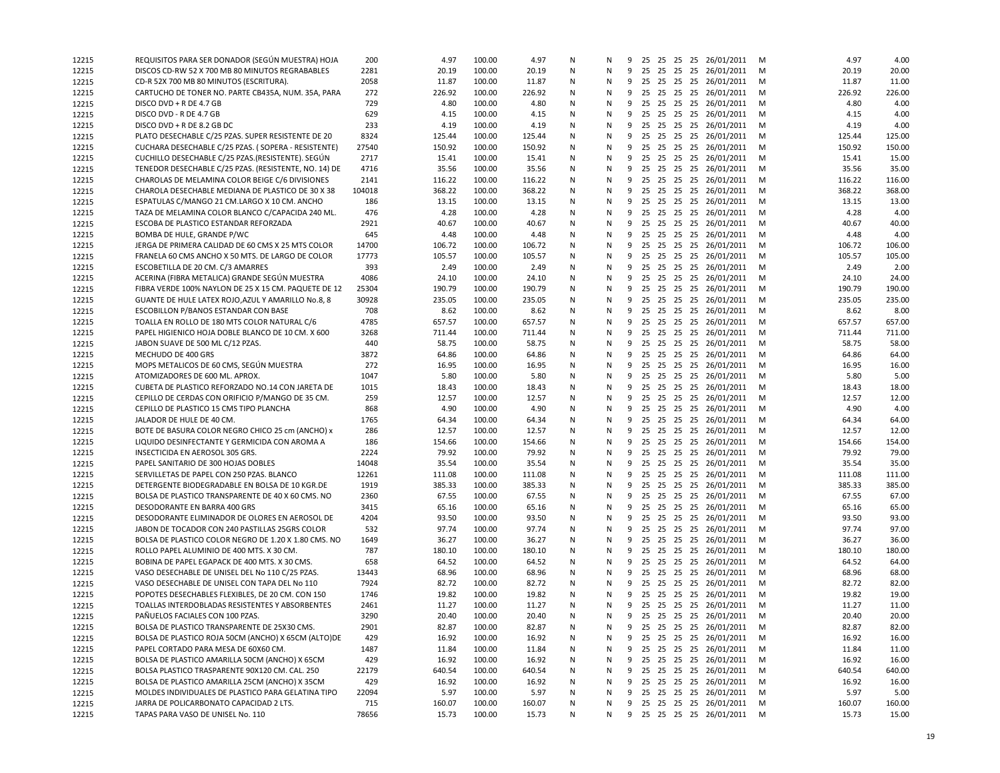| 12215 | REQUISITOS PARA SER DONADOR (SEGÚN MUESTRA) HOJA      | 200    | 4.97   | 100.00 | 4.97   | N | N |   |  |  | 9 25 25 25 25 26/01/2011 | м | 4.97   | 4.00   |
|-------|-------------------------------------------------------|--------|--------|--------|--------|---|---|---|--|--|--------------------------|---|--------|--------|
| 12215 | DISCOS CD-RW 52 X 700 MB 80 MINUTOS REGRABABLES       | 2281   | 20.19  | 100.00 | 20.19  | N | N | 9 |  |  | 25 25 25 25 26/01/2011   | M | 20.19  | 20.00  |
| 12215 | CD-R 52X 700 MB 80 MINUTOS (ESCRITURA).               | 2058   | 11.87  | 100.00 | 11.87  | N | N | 9 |  |  | 25 25 25 25 26/01/2011   | м | 11.87  | 11.00  |
| 12215 | CARTUCHO DE TONER NO. PARTE CB435A, NUM. 35A, PARA    | 272    | 226.92 | 100.00 | 226.92 | N | N |   |  |  | 9 25 25 25 25 26/01/2011 | м | 226.92 | 226.00 |
| 12215 | DISCO DVD + R DE 4.7 GB                               | 729    | 4.80   | 100.00 | 4.80   | N | N | 9 |  |  | 25 25 25 25 26/01/2011   | M | 4.80   | 4.00   |
| 12215 | DISCO DVD - R DE 4.7 GB                               | 629    | 4.15   | 100.00 | 4.15   | N | N | 9 |  |  | 25 25 25 25 26/01/2011   | M | 4.15   | 4.00   |
| 12215 | DISCO DVD + R DE 8.2 GB DC                            | 233    | 4.19   | 100.00 | 4.19   | N | N | 9 |  |  | 25 25 25 25 26/01/2011   | м | 4.19   | 4.00   |
| 12215 | PLATO DESECHABLE C/25 PZAS. SUPER RESISTENTE DE 20    | 8324   | 125.44 | 100.00 | 125.44 | N | N | 9 |  |  | 25 25 25 25 26/01/2011   | м | 125.44 | 125.00 |
| 12215 | CUCHARA DESECHABLE C/25 PZAS. (SOPERA - RESISTENTE)   | 27540  | 150.92 | 100.00 | 150.92 | N | N |   |  |  | 9 25 25 25 25 26/01/2011 | M | 150.92 | 150.00 |
| 12215 | CUCHILLO DESECHABLE C/25 PZAS.(RESISTENTE). SEGUN     | 2717   | 15.41  | 100.00 | 15.41  | N | N | 9 |  |  | 25 25 25 25 26/01/2011   | M | 15.41  | 15.00  |
| 12215 | TENEDOR DESECHABLE C/25 PZAS. (RESISTENTE, NO. 14) DE | 4716   | 35.56  | 100.00 | 35.56  | N | N | 9 |  |  | 25 25 25 25 26/01/2011   | м | 35.56  | 35.00  |
| 12215 | CHAROLAS DE MELAMINA COLOR BEIGE C/6 DIVISIONES       | 2141   | 116.22 | 100.00 | 116.22 | N | N |   |  |  | 9 25 25 25 25 26/01/2011 | м | 116.22 | 116.00 |
| 12215 | CHAROLA DESECHABLE MEDIANA DE PLASTICO DE 30 X 38     | 104018 | 368.22 | 100.00 | 368.22 | N | N | 9 |  |  | 25 25 25 25 26/01/2011   | M | 368.22 | 368.00 |
| 12215 | ESPATULAS C/MANGO 21 CM.LARGO X 10 CM. ANCHO          | 186    | 13.15  | 100.00 | 13.15  | N | N | 9 |  |  | 25 25 25 25 26/01/2011   | M | 13.15  | 13.00  |
| 12215 | TAZA DE MELAMINA COLOR BLANCO C/CAPACIDA 240 ML.      | 476    | 4.28   | 100.00 | 4.28   | N | N | 9 |  |  | 25 25 25 25 26/01/2011   | м | 4.28   | 4.00   |
| 12215 | ESCOBA DE PLASTICO ESTANDAR REFORZADA                 | 2921   | 40.67  | 100.00 | 40.67  | N | N | 9 |  |  | 25 25 25 25 26/01/2011   | м | 40.67  | 40.00  |
| 12215 | BOMBA DE HULE, GRANDE P/WC                            | 645    | 4.48   | 100.00 | 4.48   | N | N | 9 |  |  | 25 25 25 25 26/01/2011   | м | 4.48   | 4.00   |
|       | JERGA DE PRIMERA CALIDAD DE 60 CMS X 25 MTS COLOR     | 14700  | 106.72 | 100.00 | 106.72 | N | N | 9 |  |  | 25 25 25 25 26/01/2011   | м | 106.72 | 106.00 |
| 12215 | FRANELA 60 CMS ANCHO X 50 MTS. DE LARGO DE COLOR      | 17773  | 105.57 | 100.00 | 105.57 | N | N | 9 |  |  | 25 25 25 25 26/01/2011   | м | 105.57 | 105.00 |
| 12215 |                                                       | 393    | 2.49   | 100.00 | 2.49   | N | N | 9 |  |  | 25 25 25 25 26/01/2011   |   | 2.49   | 2.00   |
| 12215 | ESCOBETILLA DE 20 CM. C/3 AMARRES                     | 4086   |        |        |        |   | N | 9 |  |  |                          | м |        |        |
| 12215 | ACERINA (FIBRA METALICA) GRANDE SEGÚN MUESTRA         |        | 24.10  | 100.00 | 24.10  | N |   |   |  |  | 25 25 25 25 26/01/2011   | M | 24.10  | 24.00  |
| 12215 | FIBRA VERDE 100% NAYLON DE 25 X 15 CM. PAQUETE DE 12  | 25304  | 190.79 | 100.00 | 190.79 | N | N | 9 |  |  | 25 25 25 25 26/01/2011   | M | 190.79 | 190.00 |
| 12215 | GUANTE DE HULE LATEX ROJO, AZUL Y AMARILLO No.8, 8    | 30928  | 235.05 | 100.00 | 235.05 | N | N | 9 |  |  | 25 25 25 25 26/01/2011   | M | 235.05 | 235.00 |
| 12215 | ESCOBILLON P/BANOS ESTANDAR CON BASE                  | 708    | 8.62   | 100.00 | 8.62   | N | N | 9 |  |  | 25 25 25 25 26/01/2011   | м | 8.62   | 8.00   |
| 12215 | TOALLA EN ROLLO DE 180 MTS COLOR NATURAL C/6          | 4785   | 657.57 | 100.00 | 657.57 | N | N | 9 |  |  | 25 25 25 25 26/01/2011   | м | 657.57 | 657.00 |
| 12215 | PAPEL HIGIENICO HOJA DOBLE BLANCO DE 10 CM. X 600     | 3268   | 711.44 | 100.00 | 711.44 | N | N | 9 |  |  | 25 25 25 25 26/01/2011   | м | 711.44 | 711.00 |
| 12215 | JABON SUAVE DE 500 ML C/12 PZAS.                      | 440    | 58.75  | 100.00 | 58.75  | N | N | 9 |  |  | 25 25 25 25 26/01/2011   | M | 58.75  | 58.00  |
| 12215 | MECHUDO DE 400 GRS                                    | 3872   | 64.86  | 100.00 | 64.86  | N | N | 9 |  |  | 25 25 25 25 26/01/2011   | м | 64.86  | 64.00  |
| 12215 | MOPS METALICOS DE 60 CMS, SEGÚN MUESTRA               | 272    | 16.95  | 100.00 | 16.95  | N | N |   |  |  | 9 25 25 25 25 26/01/2011 | м | 16.95  | 16.00  |
| 12215 | ATOMIZADORES DE 600 ML. APROX.                        | 1047   | 5.80   | 100.00 | 5.80   | N | N | 9 |  |  | 25 25 25 25 26/01/2011   | M | 5.80   | 5.00   |
| 12215 | CUBETA DE PLASTICO REFORZADO NO.14 CON JARETA DE      | 1015   | 18.43  | 100.00 | 18.43  | N | N | 9 |  |  | 25 25 25 25 26/01/2011   | M | 18.43  | 18.00  |
| 12215 | CEPILLO DE CERDAS CON ORIFICIO P/MANGO DE 35 CM.      | 259    | 12.57  | 100.00 | 12.57  | N | N | 9 |  |  | 25 25 25 25 26/01/2011   | м | 12.57  | 12.00  |
| 12215 | CEPILLO DE PLASTICO 15 CMS TIPO PLANCHA               | 868    | 4.90   | 100.00 | 4.90   | N | N | 9 |  |  | 25 25 25 25 26/01/2011   | м | 4.90   | 4.00   |
| 12215 | JALADOR DE HULE DE 40 CM.                             | 1765   | 64.34  | 100.00 | 64.34  | N | N |   |  |  | 9 25 25 25 25 26/01/2011 | M | 64.34  | 64.00  |
| 12215 | BOTE DE BASURA COLOR NEGRO CHICO 25 cm (ANCHO) x      | 286    | 12.57  | 100.00 | 12.57  | N | N | 9 |  |  | 25 25 25 25 26/01/2011   | M | 12.57  | 12.00  |
| 12215 | LIQUIDO DESINFECTANTE Y GERMICIDA CON AROMA A         | 186    | 154.66 | 100.00 | 154.66 | N | N | 9 |  |  | 25 25 25 25 26/01/2011   | м | 154.66 | 154.00 |
| 12215 | INSECTICIDA EN AEROSOL 305 GRS.                       | 2224   | 79.92  | 100.00 | 79.92  | N | N |   |  |  | 9 25 25 25 25 26/01/2011 | м | 79.92  | 79.00  |
| 12215 | PAPEL SANITARIO DE 300 HOJAS DOBLES                   | 14048  | 35.54  | 100.00 | 35.54  | N | N | 9 |  |  | 25 25 25 25 26/01/2011   | M | 35.54  | 35.00  |
| 12215 | SERVILLETAS DE PAPEL CON 250 PZAS. BLANCO             | 12261  | 111.08 | 100.00 | 111.08 | N | N | 9 |  |  | 25 25 25 25 26/01/2011   | м | 111.08 | 111.00 |
| 12215 | DETERGENTE BIODEGRADABLE EN BOLSA DE 10 KGR.DE        | 1919   | 385.33 | 100.00 | 385.33 | N | N | 9 |  |  | 25 25 25 25 26/01/2011   | м | 385.33 | 385.00 |
| 12215 | BOLSA DE PLASTICO TRANSPARENTE DE 40 X 60 CMS. NO     | 2360   | 67.55  | 100.00 | 67.55  | N | N | 9 |  |  | 25 25 25 25 26/01/2011   | м | 67.55  | 67.00  |
| 12215 | DESODORANTE EN BARRA 400 GRS                          | 3415   | 65.16  | 100.00 | 65.16  | N | N | 9 |  |  | 25 25 25 25 26/01/2011   | M | 65.16  | 65.00  |
| 12215 | DESODORANTE ELIMINADOR DE OLORES EN AEROSOL DE        | 4204   | 93.50  | 100.00 | 93.50  | N | N |   |  |  | 9 25 25 25 25 26/01/2011 | м | 93.50  | 93.00  |
| 12215 | JABON DE TOCADOR CON 240 PASTILLAS 25GRS COLOR        | 532    | 97.74  | 100.00 | 97.74  | N | N | 9 |  |  | 25 25 25 25 26/01/2011   | M | 97.74  | 97.00  |
| 12215 | BOLSA DE PLASTICO COLOR NEGRO DE 1.20 X 1.80 CMS. NO  | 1649   | 36.27  | 100.00 | 36.27  | N | N | 9 |  |  | 25 25 25 25 26/01/2011   | м | 36.27  | 36.00  |
| 12215 | ROLLO PAPEL ALUMINIO DE 400 MTS. X 30 CM.             | 787    | 180.10 | 100.00 | 180.10 | N | N |   |  |  | 9 25 25 25 25 26/01/2011 | м | 180.10 | 180.00 |
| 12215 | BOBINA DE PAPEL EGAPACK DE 400 MTS. X 30 CMS.         | 658    | 64.52  | 100.00 | 64.52  | N | N | 9 |  |  | 25 25 25 25 26/01/2011   | м | 64.52  | 64.00  |
| 12215 | VASO DESECHABLE DE UNISEL DEL No 110 C/25 PZAS.       | 13443  | 68.96  | 100.00 | 68.96  | N | N | 9 |  |  | 25 25 25 25 26/01/2011   | M | 68.96  | 68.00  |
| 12215 | VASO DESECHABLE DE UNISEL CON TAPA DEL No 110         | 7924   | 82.72  | 100.00 | 82.72  | N | N | 9 |  |  | 25 25 25 25 26/01/2011   | м | 82.72  | 82.00  |
| 12215 | POPOTES DESECHABLES FLEXIBLES, DE 20 CM. CON 150      | 1746   | 19.82  | 100.00 | 19.82  | N | N |   |  |  | 9 25 25 25 25 26/01/2011 | М | 19.82  | 19.00  |
| 12215 | TOALLAS INTERDOBLADAS RESISTENTES Y ABSORBENTES       | 2461   | 11.27  | 100.00 | 11.27  | N | N |   |  |  | 9 25 25 25 25 26/01/2011 | м | 11.27  | 11.00  |
| 12215 | PAÑUELOS FACIALES CON 100 PZAS.                       | 3290   | 20.40  | 100.00 | 20.40  | N | N |   |  |  | 9 25 25 25 25 26/01/2011 | M | 20.40  | 20.00  |
| 12215 | BOLSA DE PLASTICO TRANSPARENTE DE 25X30 CMS.          | 2901   | 82.87  | 100.00 | 82.87  | N | N |   |  |  | 9 25 25 25 25 26/01/2011 | M | 82.87  | 82.00  |
| 12215 | BOLSA DE PLASTICO ROJA 50CM (ANCHO) X 65CM (ALTO)DE   | 429    | 16.92  | 100.00 | 16.92  | N | N | 9 |  |  | 25 25 25 25 26/01/2011   | м | 16.92  | 16.00  |
| 12215 | PAPEL CORTADO PARA MESA DE 60X60 CM.                  | 1487   | 11.84  | 100.00 | 11.84  | N | N | 9 |  |  | 25 25 25 25 26/01/2011   | M | 11.84  | 11.00  |
| 12215 | BOLSA DE PLASTICO AMARILLA 50CM (ANCHO) X 65CM        | 429    | 16.92  | 100.00 | 16.92  | N | N | 9 |  |  | 25 25 25 25 26/01/2011   | M | 16.92  | 16.00  |
| 12215 | BOLSA PLASTICO TRASPARENTE 90X120 CM. CAL. 250        | 22179  | 640.54 | 100.00 | 640.54 | N | N | 9 |  |  | 25 25 25 25 26/01/2011   | м | 640.54 | 640.00 |
| 12215 | BOLSA DE PLASTICO AMARILLA 25CM (ANCHO) X 35CM        | 429    | 16.92  | 100.00 | 16.92  | Ν | N | 9 |  |  | 25 25 25 25 26/01/2011   | M | 16.92  | 16.00  |
| 12215 | MOLDES INDIVIDUALES DE PLASTICO PARA GELATINA TIPO    | 22094  | 5.97   | 100.00 | 5.97   | N | N | 9 |  |  | 25 25 25 25 26/01/2011   | M | 5.97   | 5.00   |
| 12215 | JARRA DE POLICARBONATO CAPACIDAD 2 LTS.               | 715    | 160.07 | 100.00 | 160.07 | N | N | 9 |  |  | 25 25 25 25 26/01/2011   | M | 160.07 | 160.00 |
| 12215 | TAPAS PARA VASO DE UNISEL No. 110                     | 78656  | 15.73  | 100.00 | 15.73  | N | N |   |  |  | 9 25 25 25 25 26/01/2011 | M | 15.73  | 15.00  |
|       |                                                       |        |        |        |        |   |   |   |  |  |                          |   |        |        |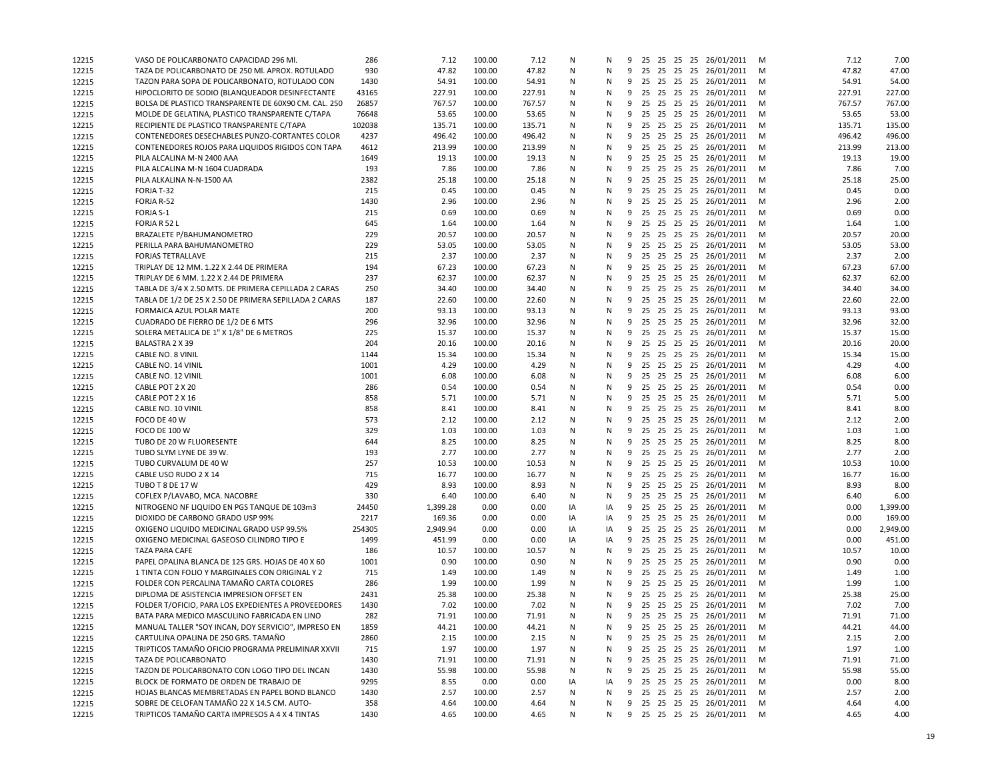| 12215 | VASO DE POLICARBONATO CAPACIDAD 296 MI                      | 286    | 7.12         | 100.00           | 7.12   | Ν  | N  |   |    |  | 9 25 25 25 25 26/01/2011                        | м      | 7.12          | 7.00     |
|-------|-------------------------------------------------------------|--------|--------------|------------------|--------|----|----|---|----|--|-------------------------------------------------|--------|---------------|----------|
| 12215 | TAZA DE POLICARBONATO DE 250 MI. APROX. ROTULADO            | 930    | 47.82        | 100.00           | 47.82  | N  | N  |   |    |  | 9 25 25 25 25 26/01/2011                        | M      | 47.82         | 47.00    |
| 12215 | TAZON PARA SOPA DE POLICARBONATO, ROTULADO CON              | 1430   | 54.91        | 100.00           | 54.91  | N  | N  |   |    |  | 9 25 25 25 25 26/01/2011                        | M      | 54.91         | 54.00    |
| 12215 | HIPOCLORITO DE SODIO (BLANQUEADOR DESINFECTANTE             | 43165  | 227.91       | 100.00           | 227.91 | N  | N  | 9 |    |  | 25 25 25 25 26/01/2011                          | M      | 227.91        | 227.00   |
| 12215 | BOLSA DE PLASTICO TRANSPARENTE DE 60X90 CM. CAL. 250        | 26857  | 767.57       | 100.00           | 767.57 | N  | N  | 9 |    |  | 25 25 25 25 26/01/2011                          | M      | 767.57        | 767.00   |
| 12215 | MOLDE DE GELATINA, PLASTICO TRANSPARENTE C/TAPA             | 76648  | 53.65        | 100.00           | 53.65  | N  | N  | 9 | 25 |  | 25 25 25 26/01/2011                             | M      | 53.65         | 53.00    |
| 12215 | RECIPIENTE DE PLASTICO TRANSPARENTE C/TAPA                  | 102038 | 135.71       | 100.00           | 135.71 | N  | N  | 9 |    |  | 25 25 25 25 26/01/2011                          | M      | 135.71        | 135.00   |
| 12215 | CONTENEDORES DESECHABLES PUNZO-CORTANTES COLOR              | 4237   | 496.42       | 100.00           | 496.42 | N  | N  | 9 |    |  | 25 25 25 25 26/01/2011                          | M      | 496.42        | 496.00   |
| 12215 | CONTENEDORES ROJOS PARA LIQUIDOS RIGIDOS CON TAPA           | 4612   | 213.99       | 100.00           | 213.99 | N  | N  | 9 |    |  | 25 25 25 25 26/01/2011                          | м      | 213.99        | 213.00   |
| 12215 | PILA ALCALINA M-N 2400 AAA                                  | 1649   | 19.13        | 100.00           | 19.13  | N  | N  |   |    |  | 9 25 25 25 25 26/01/2011                        | M      | 19.13         | 19.00    |
| 12215 | PILA ALCALINA M-N 1604 CUADRADA                             | 193    | 7.86         | 100.00           | 7.86   | N  | N  | 9 |    |  | 25 25 25 25 26/01/2011                          | M      | 7.86          | 7.00     |
| 12215 | PILA ALKALINA N-N-1500 AA                                   | 2382   | 25.18        | 100.00           | 25.18  | N  | N  | 9 |    |  | 25 25 25 25 26/01/2011                          | M      | 25.18         | 25.00    |
| 12215 | FORJA T-32                                                  | 215    | 0.45         | 100.00           | 0.45   | N  | N  | 9 | 25 |  | 25 25 25 26/01/2011                             | M      | 0.45          | 0.00     |
| 12215 | FORJA R-52                                                  | 1430   | 2.96         | 100.00           | 2.96   | N  | N  | 9 |    |  | 25 25 25 25 26/01/2011                          | M      | 2.96          | 2.00     |
| 12215 | FORJA S-1                                                   | 215    | 0.69         | 100.00           | 0.69   | N  | N  | 9 |    |  | 25 25 25 25 26/01/2011                          | M      | 0.69          | 0.00     |
| 12215 | FORJA R 52 L                                                | 645    | 1.64         | 100.00           | 1.64   | N  | N  | 9 |    |  | 25 25 25 25 26/01/2011                          | M      | 1.64          | 1.00     |
| 12215 | BRAZALETE P/BAHUMANOMETRO                                   | 229    | 20.57        | 100.00           | 20.57  | N  | N  | 9 |    |  | 25 25 25 25 26/01/2011                          | м      | 20.57         | 20.00    |
| 12215 | PERILLA PARA BAHUMANOMETRO                                  | 229    | 53.05        | 100.00           | 53.05  | N  | N  |   |    |  | 9 25 25 25 25 26/01/2011                        | M      | 53.05         | 53.00    |
| 12215 | <b>FORJAS TETRALLAVE</b>                                    | 215    | 2.37         | 100.00           | 2.37   | N  | N  |   |    |  | 9 25 25 25 25 26/01/2011                        | M      | 2.37          | 2.00     |
| 12215 | TRIPLAY DE 12 MM. 1.22 X 2.44 DE PRIMERA                    | 194    | 67.23        | 100.00           | 67.23  | N  | N  | 9 |    |  | 25 25 25 25 26/01/2011                          | M      | 67.23         | 67.00    |
| 12215 | TRIPLAY DE 6 MM. 1.22 X 2.44 DE PRIMERA                     | 237    | 62.37        | 100.00           | 62.37  | N  | N  | 9 |    |  | 25 25 25 25 26/01/2011                          | M      | 62.37         | 62.00    |
| 12215 | TABLA DE 3/4 X 2.50 MTS. DE PRIMERA CEPILLADA 2 CARAS       | 250    | 34.40        | 100.00           | 34.40  | N  | N  | 9 |    |  | 25 25 25 25 26/01/2011                          | м      | 34.40         | 34.00    |
| 12215 | TABLA DE 1/2 DE 25 X 2.50 DE PRIMERA SEPILLADA 2 CARAS      | 187    | 22.60        | 100.00           | 22.60  | N  | N  | 9 |    |  | 25 25 25 25 26/01/2011                          | м      | 22.60         | 22.00    |
| 12215 | FORMAICA AZUL POLAR MATE                                    | 200    | 93.13        | 100.00           | 93.13  | N  | N  | 9 | 25 |  | 25 25 25 26/01/2011                             | M      | 93.13         | 93.00    |
| 12215 | CUADRADO DE FIERRO DE 1/2 DE 6 MTS                          | 296    | 32.96        | 100.00           | 32.96  | N  | N  | 9 |    |  | 25 25 25 25 26/01/2011                          | M      | 32.96         | 32.00    |
| 12215 |                                                             | 225    | 15.37        | 100.00           | 15.37  | N  | N  | 9 |    |  | 25 25 25 25 26/01/2011                          |        | 15.37         | 15.00    |
| 12215 | SOLERA METALICA DE 1" X 1/8" DE 6 METROS<br>BALASTRA 2 X 39 | 204    | 20.16        | 100.00           |        | N  | N  |   |    |  | 9 25 25 25 25 26/01/2011                        | м<br>M | 20.16         | 20.00    |
|       |                                                             |        |              |                  | 20.16  |    | N  |   |    |  |                                                 |        |               |          |
| 12215 | CABLE NO. 8 VINIL                                           | 1144   | 15.34        | 100.00<br>100.00 | 15.34  | N  |    |   |    |  | 9 25 25 25 25 26/01/2011                        | M<br>M | 15.34<br>4.29 | 15.00    |
| 12215 | CABLE NO. 14 VINIL                                          | 1001   | 4.29         |                  | 4.29   | N  | N  | 9 |    |  | 25 25 25 25 26/01/2011                          |        |               | 4.00     |
| 12215 | CABLE NO. 12 VINIL                                          | 1001   | 6.08<br>0.54 | 100.00<br>100.00 | 6.08   | N  | N  | 9 |    |  | 25 25 25 25 26/01/2011                          | M      | 6.08<br>0.54  | 6.00     |
| 12215 | CABLE POT 2 X 20                                            | 286    |              |                  | 0.54   | N  | N  | 9 | 25 |  | 25 25 25 26/01/2011<br>9 25 25 25 25 26/01/2011 | M      |               | 0.00     |
| 12215 | CABLE POT 2 X 16                                            | 858    | 5.71         | 100.00           | 5.71   | N  | N  |   |    |  |                                                 | м      | 5.71          | 5.00     |
| 12215 | CABLE NO. 10 VINIL                                          | 858    | 8.41         | 100.00           | 8.41   | N  | N  | 9 |    |  | 25 25 25 25 26/01/2011                          | M      | 8.41          | 8.00     |
| 12215 | FOCO DE 40 W                                                | 573    | 2.12         | 100.00           | 2.12   | N  | N  | 9 |    |  | 25 25 25 25 26/01/2011                          | м      | 2.12          | 2.00     |
| 12215 | <b>FOCO DE 100 W</b>                                        | 329    | 1.03         | 100.00           | 1.03   | N  | N  |   |    |  | 9 25 25 25 25 26/01/2011                        | M      | 1.03          | 1.00     |
| 12215 | TUBO DE 20 W FLUORESENTE                                    | 644    | 8.25         | 100.00           | 8.25   | N  | N  | 9 |    |  | 25 25 25 25 26/01/2011                          | M      | 8.25          | 8.00     |
| 12215 | TUBO SLYM LYNE DE 39 W.                                     | 193    | 2.77         | 100.00           | 2.77   | N  | N  | 9 |    |  | 25 25 25 25 26/01/2011                          | M      | 2.77          | 2.00     |
| 12215 | TUBO CURVALUM DE 40 W                                       | 257    | 10.53        | 100.00           | 10.53  | N  | N  | 9 | 25 |  | 25 25 25 26/01/2011                             | M      | 10.53         | 10.00    |
| 12215 | CABLE USO RUDO 2 X 14                                       | 715    | 16.77        | 100.00           | 16.77  | N  | N  | 9 |    |  | 25 25 25 25 26/01/2011                          | м      | 16.77         | 16.00    |
| 12215 | TUBO T 8 DE 17 W                                            | 429    | 8.93         | 100.00           | 8.93   | N  | N  | 9 |    |  | 25 25 25 25 26/01/2011                          | M      | 8.93          | 8.00     |
| 12215 | COFLEX P/LAVABO, MCA. NACOBRE                               | 330    | 6.40         | 100.00           | 6.40   | N  | N  | 9 |    |  | 25 25 25 25 26/01/2011                          | M      | 6.40          | 6.00     |
| 12215 | NITROGENO NF LIQUIDO EN PGS TANQUE DE 103m3                 | 24450  | 1,399.28     | 0.00             | 0.00   | IA | IA | 9 |    |  | 25 25 25 25 26/01/2011                          | м      | 0.00          | 1,399.00 |
| 12215 | DIOXIDO DE CARBONO GRADO USP 99%                            | 2217   | 169.36       | 0.00             | 0.00   | IA | IA | 9 |    |  | 25 25 25 25 26/01/2011                          | м      | 0.00          | 169.00   |
| 12215 | OXIGENO LIQUIDO MEDICINAL GRADO USP 99.5%                   | 254305 | 2,949.94     | 0.00             | 0.00   | IA | IA |   |    |  | 9 25 25 25 25 26/01/2011                        | M      | 0.00          | 2,949.00 |
| 12215 | OXIGENO MEDICINAL GASEOSO CILINDRO TIPO E                   | 1499   | 451.99       | 0.00             | 0.00   | IA | IA | 9 |    |  | 25 25 25 25 26/01/2011                          | M      | 0.00          | 451.00   |
| 12215 | <b>TAZA PARA CAFE</b>                                       | 186    | 10.57        | 100.00           | 10.57  | N  | N  | 9 |    |  | 25 25 25 25 26/01/2011                          | M      | 10.57         | 10.00    |
| 12215 | PAPEL OPALINA BLANCA DE 125 GRS. HOJAS DE 40 X 60           | 1001   | 0.90         | 100.00           | 0.90   | N  | N  | 9 | 25 |  | 25 25 25 26/01/2011                             | M      | 0.90          | 0.00     |
| 12215 | 1 TINTA CON FOLIO Y MARGINALES CON ORIGINAL Y 2             | 715    | 1.49         | 100.00           | 1.49   | N  | N  | 9 |    |  | 25 25 25 25 26/01/2011                          | м      | 1.49          | 1.00     |
| 12215 | FOLDER CON PERCALINA TAMAÑO CARTA COLORES                   | 286    | 1.99         | 100.00           | 1.99   | N  | N  | 9 |    |  | 25 25 25 25 26/01/2011                          | M      | 1.99          | 1.00     |
| 12215 | DIPLOMA DE ASISTENCIA IMPRESION OFFSET EN                   | 2431   | 25.38        | 100.00           | 25.38  | N  | N  | 9 |    |  | 25 25 25 25 26/01/2011                          | M      | 25.38         | 25.00    |
| 12215 | FOLDER T/OFICIO, PARA LOS EXPEDIENTES A PROVEEDORES         | 1430   | 7.02         | 100.00           | 7.02   | N  | N  | 9 |    |  | 25 25 25 25 26/01/2011                          | м      | 7.02          | 7.00     |
| 12215 | BATA PARA MEDICO MASCULINO FABRICADA EN LINO                | 282    | 71.91        | 100.00           | 71.91  | N  | N  |   |    |  | 9 25 25 25 25 26/01/2011                        | M      | 71.91         | 71.00    |
| 12215 | MANUAL TALLER "SOY INCAN, DOY SERVICIO", IMPRESO EN         | 1859   | 44.21        | 100.00           | 44.21  | Ν  | Ν  |   |    |  | 9 25 25 25 25 26/01/2011                        | - M    | 44.21         | 44.00    |
| 12215 | CARTULINA OPALINA DE 250 GRS. TAMAÑO                        | 2860   | 2.15         | 100.00           | 2.15   | Ν  | N  | 9 |    |  | 25 25 25 25 26/01/2011                          | M      | 2.15          | 2.00     |
| 12215 | TRIPTICOS TAMAÑO OFICIO PROGRAMA PRELIMINAR XXVII           | 715    | 1.97         | 100.00           | 1.97   | Ν  | N  | 9 |    |  | 25 25 25 25 26/01/2011                          | M      | 1.97          | 1.00     |
| 12215 | TAZA DE POLICARBONATO                                       | 1430   | 71.91        | 100.00           | 71.91  | N  | N  | 9 |    |  | 25 25 25 25 26/01/2011                          | M      | 71.91         | 71.00    |
| 12215 | TAZON DE POLICARBONATO CON LOGO TIPO DEL INCAN              | 1430   | 55.98        | 100.00           | 55.98  | Ν  | N  |   |    |  | 9 25 25 25 25 26/01/2011                        | M      | 55.98         | 55.00    |
| 12215 | BLOCK DE FORMATO DE ORDEN DE TRABAJO DE                     | 9295   | 8.55         | 0.00             | 0.00   | IA | IA | 9 |    |  | 25 25 25 25 26/01/2011                          | M      | 0.00          | 8.00     |
| 12215 | HOJAS BLANCAS MEMBRETADAS EN PAPEL BOND BLANCO              | 1430   | 2.57         | 100.00           | 2.57   | Ν  | N  |   |    |  | 9 25 25 25 25 26/01/2011                        | M      | 2.57          | 2.00     |
| 12215 | SOBRE DE CELOFAN TAMAÑO 22 X 14.5 CM. AUTO-                 | 358    | 4.64         | 100.00           | 4.64   | Ν  | N  |   |    |  | 9 25 25 25 25 26/01/2011                        | M      | 4.64          | 4.00     |
| 12215 | TRIPTICOS TAMAÑO CARTA IMPRESOS A 4 X 4 TINTAS              | 1430   | 4.65         | 100.00           | 4.65   | N  | N  |   |    |  | 9 25 25 25 25 26/01/2011 M                      |        | 4.65          | 4.00     |
|       |                                                             |        |              |                  |        |    |    |   |    |  |                                                 |        |               |          |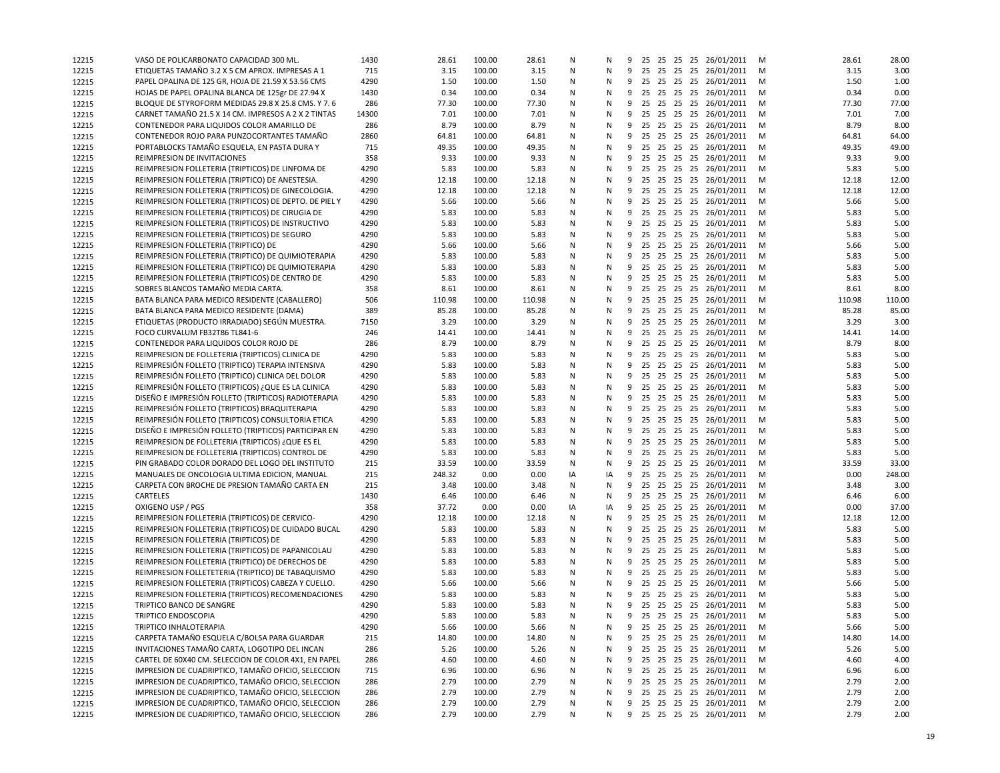| 12215 | VASO DE POLICARBONATO CAPACIDAD 300 ML.                                                    | 1430         | 28.61  | 100.00           | 28.61  | N      | Ν  | 9 |    |  | 25 25 25 25 26/01/2011                               | M | 28.61  | 28.00  |
|-------|--------------------------------------------------------------------------------------------|--------------|--------|------------------|--------|--------|----|---|----|--|------------------------------------------------------|---|--------|--------|
| 12215 | ETIQUETAS TAMAÑO 3.2 X 5 CM APROX. IMPRESAS A 1                                            | 715          | 3.15   | 100.00           | 3.15   | N      | Ν  | 9 |    |  | 25 25 25 25 26/01/2011                               | M | 3.15   | 3.00   |
| 12215 | PAPEL OPALINA DE 125 GR, HOJA DE 21.59 X 53.56 CMS                                         | 4290         | 1.50   | 100.00           | 1.50   | N      | N  | 9 |    |  | 25 25 25 25 26/01/2011                               | м | 1.50   | 1.00   |
| 12215 | HOJAS DE PAPEL OPALINA BLANCA DE 125gr DE 27.94 X                                          | 1430         | 0.34   | 100.00           | 0.34   | N      | Ν  |   |    |  | 9 25 25 25 25 26/01/2011                             | м | 0.34   | 0.00   |
| 12215 | BLOQUE DE STYROFORM MEDIDAS 29.8 X 25.8 CMS. Y 7.6                                         | 286          | 77.30  | 100.00           | 77.30  | N      | N  |   |    |  | 9 25 25 25 25 26/01/2011                             | M | 77.30  | 77.00  |
| 12215 | CARNET TAMAÑO 21.5 X 14 CM. IMPRESOS A 2 X 2 TINTAS                                        | 14300        | 7.01   | 100.00           | 7.01   | N      | N  | 9 |    |  | 25 25 25 25 26/01/2011                               | M | 7.01   | 7.00   |
| 12215 | CONTENEDOR PARA LIQUIDOS COLOR AMARILLO DE                                                 | 286          | 8.79   | 100.00           | 8.79   | N      | N  |   |    |  | 9 25 25 25 25 26/01/2011                             | м | 8.79   | 8.00   |
| 12215 | CONTENEDOR ROJO PARA PUNZOCORTANTES TAMAÑO                                                 | 2860         | 64.81  | 100.00           | 64.81  | N      | Ν  | 9 |    |  | 25 25 25 25 26/01/2011                               | M | 64.81  | 64.00  |
| 12215 | PORTABLOCKS TAMAÑO ESQUELA, EN PASTA DURA Y                                                | 715          | 49.35  | 100.00           | 49.35  | N      | N  |   |    |  | 9 25 25 25 25 26/01/2011                             | м | 49.35  | 49.00  |
| 12215 | REIMPRESION DE INVITACIONES                                                                | 358          | 9.33   | 100.00           | 9.33   | N      | Ν  | 9 |    |  | 25 25 25 25 26/01/2011                               | M | 9.33   | 9.00   |
| 12215 | REIMPRESION FOLLETERIA (TRIPTICOS) DE LINFOMA DE                                           | 4290         | 5.83   | 100.00           | 5.83   | N      | N  |   |    |  | 9 25 25 25 25 26/01/2011                             | M | 5.83   | 5.00   |
| 12215 | REIMPRESION FOLLETERIA (TRIPTICO) DE ANESTESIA.                                            | 4290         | 12.18  | 100.00           | 12.18  | N      | N  |   |    |  | 9 25 25 25 25 26/01/2011                             | м | 12.18  | 12.00  |
| 12215 | REIMPRESION FOLLETERIA (TRIPTICOS) DE GINECOLOGIA.                                         | 4290         | 12.18  | 100.00           | 12.18  | N      | Ν  |   |    |  | 9 25 25 25 25 26/01/2011                             | M | 12.18  | 12.00  |
| 12215 | REIMPRESION FOLLETERIA (TRIPTICOS) DE DEPTO. DE PIEL Y                                     | 4290         | 5.66   | 100.00           | 5.66   | N      | N  |   |    |  | 9 25 25 25 25 26/01/2011                             | M | 5.66   | 5.00   |
| 12215 | REIMPRESION FOLLETERIA (TRIPTICOS) DE CIRUGIA DE                                           | 4290         | 5.83   | 100.00           | 5.83   | N      | Ν  | 9 |    |  | 25 25 25 25 26/01/2011                               | м | 5.83   | 5.00   |
| 12215 | REIMPRESION FOLLETERIA (TRIPTICOS) DE INSTRUCTIVO                                          | 4290         | 5.83   | 100.00           | 5.83   | N      | N  |   |    |  | 9 25 25 25 25 26/01/2011                             | M | 5.83   | 5.00   |
| 12215 | REIMPRESION FOLLETERIA (TRIPTICOS) DE SEGURO                                               | 4290         | 5.83   | 100.00           | 5.83   | N      | N  | 9 |    |  | 25 25 25 25 26/01/2011                               | м | 5.83   | 5.00   |
| 12215 | REIMPRESION FOLLETERIA (TRIPTICO) DE                                                       | 4290         | 5.66   | 100.00           | 5.66   | N      | N  |   |    |  | 9 25 25 25 25 26/01/2011                             | M | 5.66   | 5.00   |
| 12215 | REIMPRESION FOLLETERIA (TRIPTICO) DE QUIMIOTERAPIA                                         | 4290         | 5.83   | 100.00           | 5.83   | N      | N  |   |    |  | 9 25 25 25 25 26/01/2011                             | M | 5.83   | 5.00   |
| 12215 | REIMPRESION FOLLETERIA (TRIPTICO) DE QUIMIOTERAPIA                                         | 4290         | 5.83   | 100.00           | 5.83   | N      | N  |   |    |  | 9 25 25 25 25 26/01/2011                             | м | 5.83   | 5.00   |
| 12215 | REIMPRESION FOLLETERIA (TRIPTICOS) DE CENTRO DE                                            | 4290         | 5.83   | 100.00           | 5.83   | N      | N  |   |    |  | 9 25 25 25 25 26/01/2011                             | M | 5.83   | 5.00   |
| 12215 | SOBRES BLANCOS TAMAÑO MEDIA CARTA.                                                         | 358          | 8.61   | 100.00           | 8.61   | N      | Ν  |   |    |  | 9 25 25 25 25 26/01/2011                             | M | 8.61   | 8.00   |
| 12215 | BATA BLANCA PARA MEDICO RESIDENTE (CABALLERO)                                              | 506          | 110.98 | 100.00           | 110.98 | N      | N  | 9 |    |  | 25 25 25 25 26/01/2011                               | M | 110.98 | 110.00 |
| 12215 | BATA BLANCA PARA MEDICO RESIDENTE (DAMA)                                                   | 389          | 85.28  | 100.00           | 85.28  | N      | N  | 9 | 25 |  | 25 25 25 26/01/2011                                  | м | 85.28  | 85.00  |
| 12215 | ETIQUETAS (PRODUCTO IRRADIADO) SEGÚN MUESTRA.                                              | 7150         | 3.29   | 100.00           | 3.29   | N      | N  |   |    |  | 9 25 25 25 25 26/01/2011                             | M | 3.29   | 3.00   |
| 12215 | FOCO CURVALUM FB32T86 TL841-6                                                              | 246          | 14.41  | 100.00           | 14.41  | N      | N  | 9 |    |  | 25 25 25 25 26/01/2011                               | м | 14.41  | 14.00  |
| 12215 | CONTENEDOR PARA LIQUIDOS COLOR ROJO DE                                                     | 286          | 8.79   | 100.00           | 8.79   | N      | Ν  | 9 |    |  | 25 25 25 25 26/01/2011                               | M | 8.79   | 8.00   |
| 12215 | REIMPRESION DE FOLLETERIA (TRIPTICOS) CLINICA DE                                           | 4290         | 5.83   | 100.00           | 5.83   | N      | N  | 9 |    |  | 25 25 25 25 26/01/2011                               | M | 5.83   | 5.00   |
| 12215 | REIMPRESIÓN FOLLETO (TRIPTICO) TERAPIA INTENSIVA                                           | 4290         | 5.83   | 100.00           | 5.83   | N      | N  |   |    |  | 9 25 25 25 25 26/01/2011                             | M | 5.83   | 5.00   |
| 12215 | REIMPRESIÓN FOLLETO (TRIPTICO) CLINICA DEL DOLOR                                           | 4290         | 5.83   | 100.00           | 5.83   | N      | N  |   |    |  | 9 25 25 25 25 26/01/2011                             | M | 5.83   | 5.00   |
| 12215 | REIMPRESIÓN FOLLETO (TRIPTICOS) ¿QUE ES LA CLINICA                                         | 4290         | 5.83   | 100.00           | 5.83   | N      | N  | 9 |    |  | 25 25 25 25 26/01/2011                               | M | 5.83   | 5.00   |
| 12215 | DISEÑO E IMPRESIÓN FOLLETO (TRIPTICOS) RADIOTERAPIA                                        | 4290         | 5.83   | 100.00           | 5.83   | N      | N  |   |    |  | 9 25 25 25 25 26/01/2011                             | м | 5.83   | 5.00   |
| 12215 | REIMPRESIÓN FOLLETO (TRIPTICOS) BRAQUITERAPIA                                              | 4290         | 5.83   | 100.00           | 5.83   | N      | Ν  | 9 |    |  | 25 25 25 25 26/01/2011                               | M | 5.83   | 5.00   |
| 12215 | REIMPRESIÓN FOLLETO (TRIPTICOS) CONSULTORIA ETICA                                          | 4290         | 5.83   | 100.00           | 5.83   | N      | N  |   |    |  | 9 25 25 25 25 26/01/2011                             | м | 5.83   | 5.00   |
| 12215 | DISEÑO E IMPRESIÓN FOLLETO (TRIPTICOS) PARTICIPAR EN                                       | 4290         | 5.83   | 100.00           | 5.83   | N      | N  | 9 |    |  | 25 25 25 25 26/01/2011                               | M | 5.83   | 5.00   |
| 12215 | REIMPRESION DE FOLLETERIA (TRIPTICOS) ¿QUE ES EL                                           | 4290         | 5.83   | 100.00           | 5.83   | N      | N  |   |    |  | 9 25 25 25 25 26/01/2011                             | M | 5.83   | 5.00   |
| 12215 | REIMPRESION DE FOLLETERIA (TRIPTICOS) CONTROL DE                                           | 4290         | 5.83   | 100.00           | 5.83   | N      | N  |   |    |  | 9 25 25 25 25 26/01/2011                             | м | 5.83   | 5.00   |
| 12215 | PIN GRABADO COLOR DORADO DEL LOGO DEL INSTITUTO                                            | 215          | 33.59  | 100.00           | 33.59  | N      | N  |   |    |  | 9 25 25 25 25 26/01/2011                             | M | 33.59  | 33.00  |
|       | MANUALES DE ONCOLOGIA ULTIMA EDICION, MANUAL                                               | 215          | 248.32 | 0.00             | 0.00   | IA     | IA |   |    |  | 9 25 25 25 25 26/01/2011                             | M | 0.00   | 248.00 |
| 12215 | CARPETA CON BROCHE DE PRESION TAMAÑO CARTA EN                                              | 215          | 3.48   | 100.00           | 3.48   | N      | Ν  | 9 |    |  | 25 25 25 25 26/01/2011                               | м | 3.48   | 3.00   |
| 12215 | CARTELES                                                                                   | 1430         | 6.46   | 100.00           | 6.46   | N      | N  |   |    |  | 9 25 25 25 25 26/01/2011                             | M | 6.46   | 6.00   |
| 12215 | OXIGENO USP / PGS                                                                          | 358          | 37.72  | 0.00             | 0.00   | IA     | IA |   |    |  | 9 25 25 25 25 26/01/2011                             | м | 0.00   | 37.00  |
| 12215 | REIMPRESION FOLLETERIA (TRIPTICOS) DE CERVICO-                                             |              | 12.18  |                  |        |        | N  |   |    |  | 9 25 25 25 25 26/01/2011                             |   | 12.18  | 12.00  |
| 12215 |                                                                                            | 4290<br>4290 |        | 100.00<br>100.00 | 12.18  | N<br>N | Ν  | 9 |    |  | 25 25 25 25 26/01/2011                               | м | 5.83   |        |
| 12215 | REIMPRESION FOLLETERIA (TRIPTICOS) DE CUIDADO BUCAL                                        |              | 5.83   |                  | 5.83   |        |    | 9 |    |  |                                                      | M |        | 5.00   |
| 12215 | REIMPRESION FOLLETERIA (TRIPTICOS) DE<br>REIMPRESION FOLLETERIA (TRIPTICOS) DE PAPANICOLAU | 4290         | 5.83   | 100.00<br>100.00 | 5.83   | N      | N  |   |    |  | 25 25 25 25 26/01/2011                               | M | 5.83   | 5.00   |
| 12215 |                                                                                            | 4290         | 5.83   |                  | 5.83   | N      | N  |   |    |  | 9 25 25 25 25 26/01/2011<br>9 25 25 25 25 26/01/2011 | м | 5.83   | 5.00   |
| 12215 | REIMPRESION FOLLETERIA (TRIPTICO) DE DERECHOS DE                                           | 4290         | 5.83   | 100.00           | 5.83   | N      | N  |   |    |  |                                                      | M | 5.83   | 5.00   |
| 12215 | REIMPRESION FOLLETETERIA (TRIPTICO) DE TABAQUISMO                                          | 4290         | 5.83   | 100.00           | 5.83   | N      | N  | 9 |    |  | 25 25 25 25 26/01/2011                               | M | 5.83   | 5.00   |
| 12215 | REIMPRESION FOLLETERIA (TRIPTICOS) CABEZA Y CUELLO.                                        | 4290         | 5.66   | 100.00           | 5.66   | N      | Ν  | 9 | 25 |  | 25 25 25 26/01/2011                                  | м | 5.66   | 5.00   |
| 12215 | REIMPRESION FOLLETERIA (TRIPTICOS) RECOMENDACIONES                                         | 4290         | 5.83   | 100.00           | 5.83   | N      | N  |   |    |  | 9 25 25 25 25 26/01/2011                             | M | 5.83   | 5.00   |
| 12215 | TRIPTICO BANCO DE SANGRE                                                                   | 4290         | 5.83   | 100.00           | 5.83   | N      | N  |   |    |  | 9 25 25 25 25 26/01/2011                             | м | 5.83   | 5.00   |
| 12215 | TRIPTICO ENDOSCOPIA                                                                        | 4290         | 5.83   | 100.00           | 5.83   | N      | N  |   |    |  | 9 25 25 25 25 26/01/2011                             | M | 5.83   | 5.00   |
| 12215 | TRIPTICO INHALOTERAPIA                                                                     | 4290         | 5.66   | 100.00           | 5.66   | N      | Ν  |   |    |  | 9 25 25 25 25 26/01/2011                             | M | 5.66   | 5.00   |
| 12215 | CARPETA TAMAÑO ESQUELA C/BOLSA PARA GUARDAR                                                | 215          | 14.80  | 100.00           | 14.80  | N      | N  | 9 |    |  | 25 25 25 25 26/01/2011                               | M | 14.80  | 14.00  |
| 12215 | INVITACIONES TAMAÑO CARTA, LOGOTIPO DEL INCAN                                              | 286          | 5.26   | 100.00           | 5.26   | N      | Ν  | 9 |    |  | 25 25 25 25 26/01/2011                               | M | 5.26   | 5.00   |
| 12215 | CARTEL DE 60X40 CM. SELECCION DE COLOR 4X1. EN PAPEL                                       | 286          | 4.60   | 100.00           | 4.60   | N      | Ν  | 9 |    |  | 25 25 25 25 26/01/2011                               | M | 4.60   | 4.00   |
| 12215 | IMPRESION DE CUADRIPTICO, TAMAÑO OFICIO, SELECCION                                         | 715          | 6.96   | 100.00           | 6.96   | N      | Ν  | 9 |    |  | 25 25 25 25 26/01/2011                               | M | 6.96   | 6.00   |
| 12215 | IMPRESION DE CUADRIPTICO, TAMAÑO OFICIO, SELECCION                                         | 286          | 2.79   | 100.00           | 2.79   | N      | Ν  | 9 |    |  | 25 25 25 25 26/01/2011                               | M | 2.79   | 2.00   |
| 12215 | IMPRESION DE CUADRIPTICO, TAMAÑO OFICIO, SELECCION                                         | 286          | 2.79   | 100.00           | 2.79   | N      | Ν  | 9 |    |  | 25 25 25 25 26/01/2011                               | M | 2.79   | 2.00   |
| 12215 | IMPRESION DE CUADRIPTICO, TAMAÑO OFICIO, SELECCION                                         | 286          | 2.79   | 100.00           | 2.79   | N      | N  | 9 |    |  | 25 25 25 25 26/01/2011                               | M | 2.79   | 2.00   |
| 12215 | IMPRESION DE CUADRIPTICO, TAMAÑO OFICIO, SELECCION                                         | 286          | 2.79   | 100.00           | 2.79   | N      | N  |   |    |  | 9 25 25 25 25 26/01/2011 M                           |   | 2.79   | 2.00   |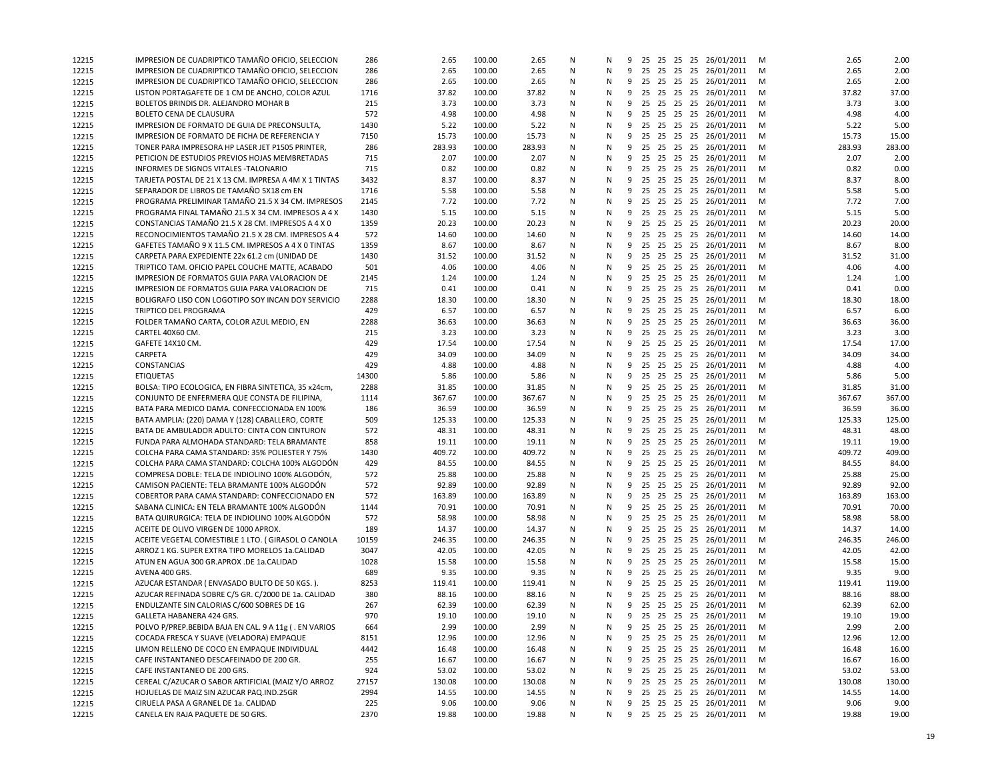| 12215          | IMPRESION DE CUADRIPTICO TAMAÑO OFICIO, SELECCION     | 286   | 2.65   | 100.00 | 2.65           | Ν | N | 9 |    |  | 25 25 25 25 26/01/2011     | M      | 2.65   | 2.00   |
|----------------|-------------------------------------------------------|-------|--------|--------|----------------|---|---|---|----|--|----------------------------|--------|--------|--------|
| 12215          | IMPRESION DE CUADRIPTICO TAMAÑO OFICIO, SELECCION     | 286   | 2.65   | 100.00 | 2.65           | Ν | N | 9 |    |  | 25 25 25 25 26/01/2011     | M      | 2.65   | 2.00   |
| 12215          | IMPRESION DE CUADRIPTICO TAMAÑO OFICIO, SELECCION     | 286   | 2.65   | 100.00 | 2.65           | N | N | 9 |    |  | 25 25 25 25 26/01/2011     | м      | 2.65   | 2.00   |
| 12215          | LISTON PORTAGAFETE DE 1 CM DE ANCHO, COLOR AZUL       | 1716  | 37.82  | 100.00 | 37.82          | Ν | N |   |    |  | 9 25 25 25 25 26/01/2011   | M      | 37.82  | 37.00  |
| 12215          | BOLETOS BRINDIS DR. ALEJANDRO MOHAR B                 | 215   | 3.73   | 100.00 | 3.73           | Ν | N |   |    |  | 9 25 25 25 25 26/01/2011   | M      | 3.73   | 3.00   |
| 12215          | BOLETO CENA DE CLAUSURA                               | 572   | 4.98   | 100.00 | 4.98           | Ν | N | 9 |    |  | 25 25 25 25 26/01/2011     | M      | 4.98   | 4.00   |
| 12215          | IMPRESION DE FORMATO DE GUIA DE PRECONSULTA,          | 1430  | 5.22   | 100.00 | 5.22           | N | N | 9 |    |  | 25 25 25 25 26/01/2011     | м      | 5.22   | 5.00   |
| 12215          | IMPRESION DE FORMATO DE FICHA DE REFERENCIA Y         | 7150  | 15.73  | 100.00 | 15.73          | N | N | 9 |    |  | 25 25 25 25 26/01/2011     | м      | 15.73  | 15.00  |
| 12215          | TONER PARA IMPRESORA HP LASER JET P1505 PRINTER,      | 286   | 283.93 | 100.00 | 283.93         | N | N |   |    |  | 9 25 25 25 25 26/01/2011   | M      | 283.93 | 283.00 |
| 12215          | PETICION DE ESTUDIOS PREVIOS HOJAS MEMBRETADAS        | 715   | 2.07   | 100.00 | 2.07           | N | N | 9 |    |  | 25 25 25 25 26/01/2011     | M      | 2.07   | 2.00   |
| 12215          | INFORMES DE SIGNOS VITALES - TALONARIO                | 715   | 0.82   | 100.00 | 0.82           | N | N |   |    |  | 9 25 25 25 25 26/01/2011   | м      | 0.82   | 0.00   |
| 12215          | TARJETA POSTAL DE 21 X 13 CM. IMPRESA A 4M X 1 TINTAS | 3432  | 8.37   | 100.00 | 8.37           | N | N |   |    |  | 9 25 25 25 25 26/01/2011   | M      | 8.37   | 8.00   |
| 12215          | SEPARADOR DE LIBROS DE TAMAÑO 5X18 cm EN              | 1716  | 5.58   | 100.00 | 5.58           | Ν | N |   |    |  | 9 25 25 25 25 26/01/2011   | M      | 5.58   | 5.00   |
| 12215          | PROGRAMA PRELIMINAR TAMAÑO 21.5 X 34 CM. IMPRESOS     | 2145  | 7.72   | 100.00 | 7.72           | N | N | 9 |    |  | 25 25 25 25 26/01/2011     | M      | 7.72   | 7.00   |
| 12215          | PROGRAMA FINAL TAMAÑO 21.5 X 34 CM. IMPRESOS A 4 X    | 1430  | 5.15   | 100.00 | 5.15           | N | N | 9 |    |  | 25 25 25 25 26/01/2011     | м      | 5.15   | 5.00   |
| 12215          | CONSTANCIAS TAMAÑO 21.5 X 28 CM. IMPRESOS A 4 X 0     | 1359  | 20.23  | 100.00 | 20.23          | N | N |   |    |  | 9 25 25 25 25 26/01/2011   | м      | 20.23  | 20.00  |
| 12215          | RECONOCIMIENTOS TAMAÑO 21.5 X 28 CM. IMPRESOS A 4     | 572   | 14.60  | 100.00 | 14.60          | N | N | 9 |    |  | 25 25 25 25 26/01/2011     | M      | 14.60  | 14.00  |
| 12215          | GAFETES TAMAÑO 9 X 11.5 CM. IMPRESOS A 4 X 0 TINTAS   | 1359  | 8.67   | 100.00 | 8.67           | Ν | N | 9 |    |  | 25 25 25 25 26/01/2011     | м      | 8.67   | 8.00   |
| 12215          | CARPETA PARA EXPEDIENTE 22x 61.2 cm (UNIDAD DE        | 1430  | 31.52  | 100.00 | 31.52          | N | N | 9 |    |  | 25 25 25 25 26/01/2011     | м      | 31.52  | 31.00  |
| 12215          | TRIPTICO TAM. OFICIO PAPEL COUCHE MATTE, ACABADO      | 501   | 4.06   | 100.00 | 4.06           | Ν | N |   |    |  | 9 25 25 25 25 26/01/2011   | M      | 4.06   | 4.00   |
| 12215          | IMPRESION DE FORMATOS GUIA PARA VALORACION DE         | 2145  | 1.24   | 100.00 | 1.24           | N | N |   |    |  | 9 25 25 25 25 26/01/2011   | M      | 1.24   | 1.00   |
| 12215          | IMPRESION DE FORMATOS GUIA PARA VALORACION DE         | 715   | 0.41   | 100.00 | 0.41           | N | N |   |    |  | 9 25 25 25 25 26/01/2011   | M      | 0.41   | 0.00   |
| 12215          | BOLIGRAFO LISO CON LOGOTIPO SOY INCAN DOY SERVICIO    | 2288  | 18.30  | 100.00 | 18.30          | Ν | N | 9 |    |  | 25 25 25 25 26/01/2011     | M      | 18.30  | 18.00  |
| 12215          | <b>TRIPTICO DEL PROGRAMA</b>                          | 429   | 6.57   | 100.00 | 6.57           | N | N | 9 | 25 |  | 25 25 25 26/01/2011        | M      | 6.57   | 6.00   |
| 12215          | FOLDER TAMAÑO CARTA, COLOR AZUL MEDIO, EN             | 2288  | 36.63  | 100.00 | 36.63          | N | N |   |    |  | 9 25 25 25 25 26/01/2011   | м      | 36.63  | 36.00  |
| 12215          | CARTEL 40X60 CM.                                      | 215   | 3.23   | 100.00 | 3.23           | N | N | 9 |    |  | 25 25 25 25 26/01/2011     | M      | 3.23   | 3.00   |
| 12215          | GAFETE 14X10 CM.                                      | 429   | 17.54  | 100.00 | 17.54          | Ν | N | 9 |    |  | 25 25 25 25 26/01/2011     | M      | 17.54  | 17.00  |
| 12215          | CARPETA                                               | 429   | 34.09  | 100.00 | 34.09          | N | N | 9 |    |  | 25 25 25 25 26/01/2011     | м      | 34.09  | 34.00  |
| 12215          | CONSTANCIAS                                           | 429   | 4.88   | 100.00 | 4.88           | Ν | N |   |    |  | 9 25 25 25 25 26/01/2011   | M      | 4.88   | 4.00   |
| 12215          | <b>ETIQUETAS</b>                                      | 14300 | 5.86   | 100.00 | 5.86           | Ν | N |   |    |  | 9 25 25 25 25 26/01/2011   | M      | 5.86   | 5.00   |
| 12215          | BOLSA: TIPO ECOLOGICA, EN FIBRA SINTETICA, 35 x24cm,  | 2288  | 31.85  | 100.00 | 31.85          | Ν | N | 9 |    |  | 25 25 25 25 26/01/2011     | M      | 31.85  | 31.00  |
| 12215          | CONJUNTO DE ENFERMERA QUE CONSTA DE FILIPINA.         | 1114  | 367.67 | 100.00 | 367.67         | N | N | 9 |    |  | 25 25 25 25 26/01/2011     | м      | 367.67 | 367.00 |
| 12215          | BATA PARA MEDICO DAMA. CONFECCIONADA EN 100%          | 186   | 36.59  | 100.00 | 36.59          | N | N | 9 |    |  | 25 25 25 25 26/01/2011     | м      | 36.59  | 36.00  |
| 12215          | BATA AMPLIA: (220) DAMA Y (128) CABALLERO, CORTE      | 509   | 125.33 | 100.00 | 125.33         | N | N |   |    |  | 9 25 25 25 25 26/01/2011   | M      | 125.33 | 125.00 |
|                | BATA DE AMBULADOR ADULTO: CINTA CON CINTURON          | 572   | 48.31  | 100.00 | 48.31          | N | N | 9 |    |  | 25 25 25 25 26/01/2011     | M      | 48.31  | 48.00  |
| 12215<br>12215 | FUNDA PARA ALMOHADA STANDARD: TELA BRAMANTE           | 858   | 19.11  | 100.00 | 19.11          | Ν | N |   |    |  | 9 25 25 25 25 26/01/2011   | м      | 19.11  | 19.00  |
|                | COLCHA PARA CAMA STANDARD: 35% POLIESTER Y 75%        | 1430  | 409.72 | 100.00 | 409.72         | N | N |   |    |  | 9 25 25 25 25 26/01/2011   | M      | 409.72 | 409.00 |
| 12215          | COLCHA PARA CAMA STANDARD: COLCHA 100% ALGODÓN        | 429   | 84.55  | 100.00 | 84.55          | Ν | N | 9 |    |  | 25 25 25 25 26/01/2011     | M      | 84.55  | 84.00  |
| 12215          | COMPRESA DOBLE: TELA DE INDIOLINO 100% ALGODÓN,       | 572   | 25.88  | 100.00 |                | Ν | N |   |    |  | 9 25 25 25 25 26/01/2011   |        | 25.88  | 25.00  |
| 12215          | CAMISON PACIENTE: TELA BRAMANTE 100% ALGODÓN          | 572   | 92.89  | 100.00 | 25.88<br>92.89 | N | N | 9 | 25 |  | 25 25 25 26/01/2011        | м<br>м | 92.89  | 92.00  |
| 12215          | COBERTOR PARA CAMA STANDARD: CONFECCIONADO EN         | 572   | 163.89 | 100.00 | 163.89         | N | N | 9 |    |  | 25 25 25 25 26/01/2011     | м      | 163.89 | 163.00 |
| 12215          | SABANA CLINICA: EN TELA BRAMANTE 100% ALGODÓN         |       | 70.91  |        |                | N | N | 9 |    |  | 25 25 25 25 26/01/2011     |        | 70.91  |        |
| 12215          |                                                       | 1144  |        | 100.00 | 70.91          |   |   |   |    |  |                            | M      |        | 70.00  |
| 12215          | BATA QUIRURGICA: TELA DE INDIOLINO 100% ALGODÓN       | 572   | 58.98  | 100.00 | 58.98          | N | N |   |    |  | 9 25 25 25 25 26/01/2011   | M      | 58.98  | 58.00  |
| 12215          | ACEITE DE OLIVO VIRGEN DE 1000 APROX.                 | 189   | 14.37  | 100.00 | 14.37          | N | N | 9 |    |  | 25 25 25 25 26/01/2011     | M      | 14.37  | 14.00  |
| 12215          | ACEITE VEGETAL COMESTIBLE 1 LTO. (GIRASOL O CANOLA    | 10159 | 246.35 | 100.00 | 246.35         | Ν | N | 9 |    |  | 25 25 25 25 26/01/2011     | м      | 246.35 | 246.00 |
| 12215          | ARROZ 1 KG. SUPER EXTRA TIPO MORELOS 1a.CALIDAD       | 3047  | 42.05  | 100.00 | 42.05          | N | N |   |    |  | 9 25 25 25 25 26/01/2011   | M      | 42.05  | 42.00  |
| 12215          | ATUN EN AGUA 300 GR.APROX .DE 1a.CALIDAD              | 1028  | 15.58  | 100.00 | 15.58          | Ν | N | 9 |    |  | 25 25 25 25 26/01/2011     | M      | 15.58  | 15.00  |
| 12215          | AVENA 400 GRS.                                        | 689   | 9.35   | 100.00 | 9.35           | N | N | 9 |    |  | 25 25 25 25 26/01/2011     | M      | 9.35   | 9.00   |
| 12215          | AZUCAR ESTANDAR (ENVASADO BULTO DE 50 KGS.).          | 8253  | 119.41 | 100.00 | 119.41         | N | N | 9 | 25 |  | 25 25 25 26/01/2011        | м      | 119.41 | 119.00 |
| 12215          | AZUCAR REFINADA SOBRE C/5 GR. C/2000 DE 1a. CALIDAD   | 380   | 88.16  | 100.00 | 88.16          | N | N |   |    |  | 9 25 25 25 25 26/01/2011   | м      | 88.16  | 88.00  |
| 12215          | ENDULZANTE SIN CALORIAS C/600 SOBRES DE 1G            | 267   | 62.39  | 100.00 | 62.39          | N | N |   |    |  | 9 25 25 25 25 26/01/2011   | м      | 62.39  | 62.00  |
| 12215          | GALLETA HABANERA 424 GRS.                             | 970   | 19.10  | 100.00 | 19.10          | N | N |   |    |  | 9 25 25 25 25 26/01/2011   | M      | 19.10  | 19.00  |
| 12215          | POLVO P/PREP.BEBIDA BAJA EN CAL. 9 A 11g (. EN VARIOS | 664   | 2.99   | 100.00 | 2.99           | N | Ν |   |    |  | 9 25 25 25 25 26/01/2011   | M      | 2.99   | 2.00   |
| 12215          | COCADA FRESCA Y SUAVE (VELADORA) EMPAQUE              | 8151  | 12.96  | 100.00 | 12.96          | Ν | N | 9 |    |  | 25 25 25 25 26/01/2011     | M      | 12.96  | 12.00  |
| 12215          | LIMON RELLENO DE COCO EN EMPAQUE INDIVIDUAL           | 4442  | 16.48  | 100.00 | 16.48          | Ν | Ν | 9 |    |  | 25 25 25 25 26/01/2011     | M      | 16.48  | 16.00  |
| 12215          | CAFE INSTANTANEO DESCAFEINADO DE 200 GR.              | 255   | 16.67  | 100.00 | 16.67          | Ν | Ν | 9 |    |  | 25 25 25 25 26/01/2011     | M      | 16.67  | 16.00  |
| 12215          | CAFE INSTANTANEO DE 200 GRS.                          | 924   | 53.02  | 100.00 | 53.02          | Ν | Ν | 9 |    |  | 25 25 25 25 26/01/2011     | M      | 53.02  | 53.00  |
| 12215          | CEREAL C/AZUCAR O SABOR ARTIFICIAL (MAIZ Y/O ARROZ    | 27157 | 130.08 | 100.00 | 130.08         | N | N | 9 |    |  | 25 25 25 25 26/01/2011     | M      | 130.08 | 130.00 |
| 12215          | HOJUELAS DE MAIZ SIN AZUCAR PAQ.IND.25GR              | 2994  | 14.55  | 100.00 | 14.55          | Ν | Ν | 9 |    |  | 25 25 25 25 26/01/2011     | M      | 14.55  | 14.00  |
| 12215          | CIRUELA PASA A GRANEL DE 1a. CALIDAD                  | 225   | 9.06   | 100.00 | 9.06           | Ν | N | 9 |    |  | 25 25 25 25 26/01/2011     | M      | 9.06   | 9.00   |
| 12215          | CANELA EN RAJA PAQUETE DE 50 GRS.                     | 2370  | 19.88  | 100.00 | 19.88          | N | N |   |    |  | 9 25 25 25 25 26/01/2011 M |        | 19.88  | 19.00  |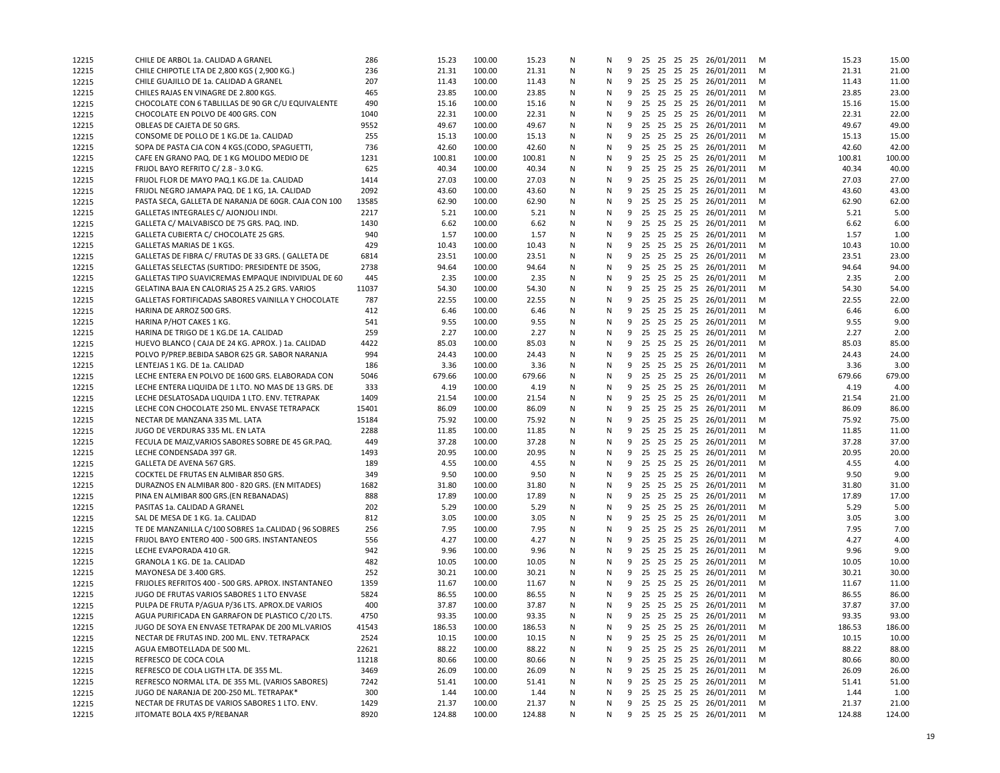| 12215 | CHILE DE ARBOL 1a. CALIDAD A GRANEL                  | 286   | 15.23  | 100.00 | 15.23  | Ν | N | 9 |    |  | 25 25 25 25 26/01/2011     | м | 15.23  | 15.00  |
|-------|------------------------------------------------------|-------|--------|--------|--------|---|---|---|----|--|----------------------------|---|--------|--------|
| 12215 | CHILE CHIPOTLE LTA DE 2,800 KGS (2,900 KG.)          | 236   | 21.31  | 100.00 | 21.31  | N | N |   |    |  | 9 25 25 25 25 26/01/2011   | М | 21.31  | 21.00  |
| 12215 | CHILE GUAJILLO DE 1a. CALIDAD A GRANEL               | 207   | 11.43  | 100.00 | 11.43  | Ν | N |   |    |  | 9 25 25 25 25 26/01/2011   | M | 11.43  | 11.00  |
| 12215 | CHILES RAJAS EN VINAGRE DE 2.800 KGS.                | 465   | 23.85  | 100.00 | 23.85  | Ν | N |   |    |  | 9 25 25 25 25 26/01/2011   | M | 23.85  | 23.00  |
| 12215 | CHOCOLATE CON 6 TABLILLAS DE 90 GR C/U EQUIVALENTE   | 490   | 15.16  | 100.00 | 15.16  | N | N | 9 |    |  | 25 25 25 25 26/01/2011     | M | 15.16  | 15.00  |
| 12215 | CHOCOLATE EN POLVO DE 400 GRS. CON                   | 1040  | 22.31  | 100.00 | 22.31  | N | N | 9 | 25 |  | 25 25 25 26/01/2011        | м | 22.31  | 22.00  |
| 12215 | OBLEAS DE CAJETA DE 50 GRS.                          | 9552  | 49.67  | 100.00 | 49.67  | N | N |   |    |  | 9 25 25 25 25 26/01/2011   | м | 49.67  | 49.00  |
| 12215 | CONSOME DE POLLO DE 1 KG.DE 1a. CALIDAD              | 255   | 15.13  | 100.00 | 15.13  | N | N | 9 |    |  | 25 25 25 25 26/01/2011     | м | 15.13  | 15.00  |
| 12215 | SOPA DE PASTA CJA CON 4 KGS. (CODO, SPAGUETTI,       | 736   | 42.60  | 100.00 | 42.60  | Ν | N | 9 |    |  | 25 25 25 25 26/01/2011     | M | 42.60  | 42.00  |
| 12215 | CAFE EN GRANO PAQ. DE 1 KG MOLIDO MEDIO DE           | 1231  | 100.81 | 100.00 | 100.81 | N | N | 9 |    |  | 25 25 25 25 26/01/2011     | м | 100.81 | 100.00 |
| 12215 | FRIJOL BAYO REFRITO C/2.8 - 3.0 KG.                  | 625   | 40.34  | 100.00 | 40.34  | Ν | N |   |    |  | 9 25 25 25 25 26/01/2011   | M | 40.34  | 40.00  |
| 12215 | FRIJOL FLOR DE MAYO PAQ.1 KG.DE 1a. CALIDAD          | 1414  | 27.03  | 100.00 | 27.03  | Ν | N |   |    |  | 9 25 25 25 25 26/01/2011   | M | 27.03  | 27.00  |
| 12215 | FRIJOL NEGRO JAMAPA PAQ. DE 1 KG, 1A. CALIDAD        | 2092  | 43.60  | 100.00 | 43.60  | Ν | N | 9 |    |  | 25 25 25 25 26/01/2011     | M | 43.60  | 43.00  |
| 12215 | PASTA SECA, GALLETA DE NARANJA DE 60GR. CAJA CON 100 | 13585 | 62.90  | 100.00 | 62.90  | N | N | 9 |    |  | 25 25 25 25 26/01/2011     | м | 62.90  | 62.00  |
| 12215 | GALLETAS INTEGRALES C/ AJONJOLI INDI.                | 2217  | 5.21   | 100.00 | 5.21   | N | N | 9 |    |  | 25 25 25 25 26/01/2011     | м | 5.21   | 5.00   |
|       | GALLETA C/ MALVABISCO DE 75 GRS. PAQ. IND.           | 1430  | 6.62   | 100.00 | 6.62   | N | N |   |    |  | 9 25 25 25 25 26/01/2011   | M | 6.62   | 6.00   |
| 12215 | GALLETA CUBIERTA C/ CHOCOLATE 25 GRS.                | 940   | 1.57   | 100.00 | 1.57   | N | N | 9 |    |  | 25 25 25 25 26/01/2011     | M | 1.57   | 1.00   |
| 12215 |                                                      | 429   | 10.43  | 100.00 | 10.43  | Ν | N |   |    |  | 9 25 25 25 25 26/01/2011   |   | 10.43  | 10.00  |
| 12215 | GALLETAS MARIAS DE 1 KGS.                            |       | 23.51  | 100.00 |        | N | N |   |    |  |                            | м | 23.51  | 23.00  |
| 12215 | GALLETAS DE FIBRA C/ FRUTAS DE 33 GRS. (GALLETA DE   | 6814  |        |        | 23.51  |   |   |   |    |  | 9 25 25 25 25 26/01/2011   | м |        |        |
| 12215 | GALLETAS SELECTAS (SURTIDO: PRESIDENTE DE 350G,      | 2738  | 94.64  | 100.00 | 94.64  | Ν | N |   |    |  | 9 25 25 25 25 26/01/2011   | M | 94.64  | 94.00  |
| 12215 | GALLETAS TIPO SUAVICREMAS EMPAQUE INDIVIDUAL DE 60   | 445   | 2.35   | 100.00 | 2.35   | N | N | 9 |    |  | 25 25 25 25 26/01/2011     | M | 2.35   | 2.00   |
| 12215 | GELATINA BAJA EN CALORIAS 25 A 25.2 GRS. VARIOS      | 11037 | 54.30  | 100.00 | 54.30  | N | N | 9 |    |  | 25 25 25 25 26/01/2011     | M | 54.30  | 54.00  |
| 12215 | GALLETAS FORTIFICADAS SABORES VAINILLA Y CHOCOLATE   | 787   | 22.55  | 100.00 | 22.55  | N | N | 9 |    |  | 25 25 25 25 26/01/2011     | м | 22.55  | 22.00  |
| 12215 | HARINA DE ARROZ 500 GRS.                             | 412   | 6.46   | 100.00 | 6.46   | N | N | 9 | 25 |  | 25 25 25 26/01/2011        | м | 6.46   | 6.00   |
| 12215 | HARINA P/HOT CAKES 1 KG.                             | 541   | 9.55   | 100.00 | 9.55   | N | N |   |    |  | 9 25 25 25 25 26/01/2011   | м | 9.55   | 9.00   |
| 12215 | HARINA DE TRIGO DE 1 KG.DE 1A. CALIDAD               | 259   | 2.27   | 100.00 | 2.27   | N | N | 9 |    |  | 25 25 25 25 26/01/2011     | м | 2.27   | 2.00   |
| 12215 | HUEVO BLANCO (CAJA DE 24 KG. APROX.) 1a. CALIDAD     | 4422  | 85.03  | 100.00 | 85.03  | N | N |   |    |  | 9 25 25 25 25 26/01/2011   | м | 85.03  | 85.00  |
| 12215 | POLVO P/PREP.BEBIDA SABOR 625 GR. SABOR NARANJA      | 994   | 24.43  | 100.00 | 24.43  | N | N |   |    |  | 9 25 25 25 25 26/01/2011   | м | 24.43  | 24.00  |
| 12215 | LENTEJAS 1 KG. DE 1a. CALIDAD                        | 186   | 3.36   | 100.00 | 3.36   | Ν | N |   |    |  | 9 25 25 25 25 26/01/2011   | M | 3.36   | 3.00   |
| 12215 | LECHE ENTERA EN POLVO DE 1600 GRS. ELABORADA CON     | 5046  | 679.66 | 100.00 | 679.66 | Ν | N | 9 |    |  | 25 25 25 25 26/01/2011     | M | 679.66 | 679.00 |
| 12215 | LECHE ENTERA LIQUIDA DE 1 LTO. NO MAS DE 13 GRS. DE  | 333   | 4.19   | 100.00 | 4.19   | N | N | 9 | 25 |  | 25 25 25 26/01/2011        | м | 4.19   | 4.00   |
| 12215 | LECHE DESLATOSADA LIQUIDA 1 LTO. ENV. TETRAPAK       | 1409  | 21.54  | 100.00 | 21.54  | N | N |   |    |  | 9 25 25 25 25 26/01/2011   | м | 21.54  | 21.00  |
| 12215 | LECHE CON CHOCOLATE 250 ML. ENVASE TETRAPACK         | 15401 | 86.09  | 100.00 | 86.09  | N | N | 9 |    |  | 25 25 25 25 26/01/2011     | M | 86.09  | 86.00  |
| 12215 | NECTAR DE MANZANA 335 ML. LATA                       | 15184 | 75.92  | 100.00 | 75.92  | Ν | N | 9 |    |  | 25 25 25 25 26/01/2011     | M | 75.92  | 75.00  |
| 12215 | JUGO DE VERDURAS 335 ML. EN LATA                     | 2288  | 11.85  | 100.00 | 11.85  | N | N | 9 |    |  | 25 25 25 25 26/01/2011     | м | 11.85  | 11.00  |
| 12215 | FECULA DE MAIZ, VARIOS SABORES SOBRE DE 45 GR.PAQ.   | 449   | 37.28  | 100.00 | 37.28  | Ν | N |   |    |  | 9 25 25 25 25 26/01/2011   | M | 37.28  | 37.00  |
| 12215 | LECHE CONDENSADA 397 GR.                             | 1493  | 20.95  | 100.00 | 20.95  | N | N |   |    |  | 9 25 25 25 25 26/01/2011   | M | 20.95  | 20.00  |
| 12215 | GALLETA DE AVENA 567 GRS.                            | 189   | 4.55   | 100.00 | 4.55   | Ν | N | 9 |    |  | 25 25 25 25 26/01/2011     | M | 4.55   | 4.00   |
| 12215 | COCKTEL DE FRUTAS EN ALMIBAR 850 GRS.                | 349   | 9.50   | 100.00 | 9.50   | N | N | 9 |    |  | 25 25 25 25 26/01/2011     | м | 9.50   | 9.00   |
| 12215 | DURAZNOS EN ALMIBAR 800 - 820 GRS. (EN MITADES)      | 1682  | 31.80  | 100.00 | 31.80  | N | N | 9 |    |  | 25 25 25 25 26/01/2011     | м | 31.80  | 31.00  |
| 12215 | PINA EN ALMIBAR 800 GRS. (EN REBANADAS)              | 888   | 17.89  | 100.00 | 17.89  | N | N |   |    |  | 9 25 25 25 25 26/01/2011   | M | 17.89  | 17.00  |
| 12215 | PASITAS 1a. CALIDAD A GRANEL                         | 202   | 5.29   | 100.00 | 5.29   | N | N | 9 |    |  | 25 25 25 25 26/01/2011     | м | 5.29   | 5.00   |
| 12215 | SAL DE MESA DE 1 KG. 1a. CALIDAD                     | 812   | 3.05   | 100.00 | 3.05   | N | N | 9 |    |  | 25 25 25 25 26/01/2011     | м | 3.05   | 3.00   |
| 12215 | TE DE MANZANILLA C/100 SOBRES 1a.CALIDAD (96 SOBRES  | 256   | 7.95   | 100.00 | 7.95   | N | N | 9 |    |  | 25 25 25 25 26/01/2011     | м | 7.95   | 7.00   |
| 12215 | FRIJOL BAYO ENTERO 400 - 500 GRS. INSTANTANEOS       | 556   | 4.27   | 100.00 | 4.27   | Ν | N |   |    |  | 9 25 25 25 25 26/01/2011   | M | 4.27   | 4.00   |
| 12215 | LECHE EVAPORADA 410 GR.                              | 942   | 9.96   | 100.00 | 9.96   | Ν | N |   |    |  | 9 25 25 25 25 26/01/2011   | M | 9.96   | 9.00   |
| 12215 | GRANOLA 1 KG. DE 1a. CALIDAD                         | 482   | 10.05  | 100.00 | 10.05  | Ν | N | 9 |    |  | 25 25 25 25 26/01/2011     | M | 10.05  | 10.00  |
| 12215 | MAYONESA DE 3.400 GRS.                               | 252   | 30.21  | 100.00 | 30.21  | N | N | 9 |    |  | 25 25 25 25 26/01/2011     | М | 30.21  | 30.00  |
| 12215 | FRIJOLES REFRITOS 400 - 500 GRS. APROX. INSTANTANEO  | 1359  | 11.67  | 100.00 | 11.67  | N | N | 9 | 25 |  | 25 25 25 26/01/2011        | м | 11.67  | 11.00  |
| 12215 | JUGO DE FRUTAS VARIOS SABORES 1 LTO ENVASE           | 5824  | 86.55  | 100.00 | 86.55  | N | N |   |    |  | 9 25 25 25 25 26/01/2011   | м | 86.55  | 86.00  |
|       | PULPA DE FRUTA P/AGUA P/36 LTS. APROX.DE VARIOS      | 400   | 37.87  | 100.00 | 37.87  | N | N | 9 |    |  | 25 25 25 25 26/01/2011     | м | 37.87  | 37.00  |
| 12215 | AGUA PURIFICADA EN GARRAFON DE PLASTICO C/20 LTS.    | 4750  | 93.35  | 100.00 | 93.35  | N | N |   |    |  | 9 25 25 25 25 26/01/2011   | M | 93.35  | 93.00  |
| 12215 |                                                      |       |        |        |        |   |   |   |    |  |                            |   |        | 186.00 |
| 12215 | JUGO DE SOYA EN ENVASE TETRAPAK DE 200 ML. VARIOS    | 41543 | 186.53 | 100.00 | 186.53 | N | Ν |   |    |  | 9 25 25 25 25 26/01/2011   | M | 186.53 |        |
| 12215 | NECTAR DE FRUTAS IND. 200 ML. ENV. TETRAPACK         | 2524  | 10.15  | 100.00 | 10.15  | Ν | N | 9 |    |  | 25 25 25 25 26/01/2011     | M | 10.15  | 10.00  |
| 12215 | AGUA EMBOTELLADA DE 500 ML.                          | 22621 | 88.22  | 100.00 | 88.22  | Ν | N | 9 |    |  | 25 25 25 25 26/01/2011     | M | 88.22  | 88.00  |
| 12215 | REFRESCO DE COCA COLA                                | 11218 | 80.66  | 100.00 | 80.66  | Ν | N | 9 |    |  | 25 25 25 25 26/01/2011     | M | 80.66  | 80.00  |
| 12215 | REFRESCO DE COLA LIGTH LTA. DE 355 ML.               | 3469  | 26.09  | 100.00 | 26.09  | Ν | Ν | 9 |    |  | 25 25 25 25 26/01/2011     | M | 26.09  | 26.00  |
| 12215 | REFRESCO NORMAL LTA. DE 355 ML. (VARIOS SABORES)     | 7242  | 51.41  | 100.00 | 51.41  | Ν | N | 9 |    |  | 25 25 25 25 26/01/2011     | M | 51.41  | 51.00  |
| 12215 | JUGO DE NARANJA DE 200-250 ML. TETRAPAK*             | 300   | 1.44   | 100.00 | 1.44   | Ν | Ν |   |    |  | 9 25 25 25 25 26/01/2011   | M | 1.44   | 1.00   |
| 12215 | NECTAR DE FRUTAS DE VARIOS SABORES 1 LTO. ENV.       | 1429  | 21.37  | 100.00 | 21.37  | Ν | N | 9 |    |  | 25 25 25 25 26/01/2011     | M | 21.37  | 21.00  |
| 12215 | JITOMATE BOLA 4X5 P/REBANAR                          | 8920  | 124.88 | 100.00 | 124.88 | N | N |   |    |  | 9 25 25 25 25 26/01/2011 M |   | 124.88 | 124.00 |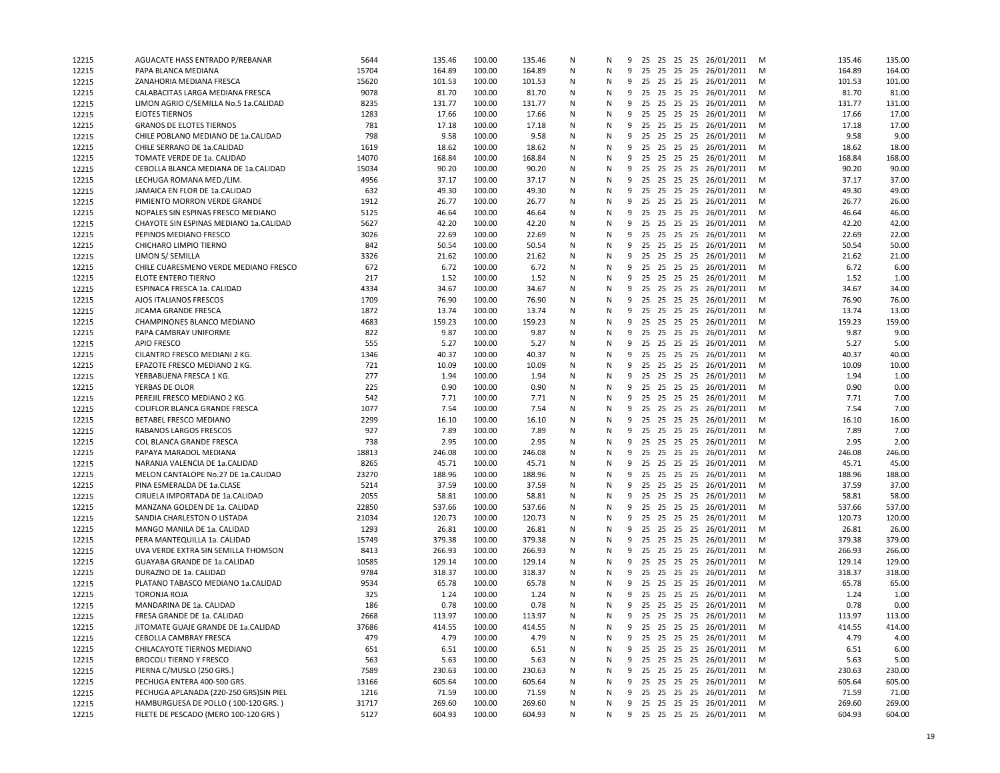| 12215 | AGUACATE HASS ENTRADO P/REBANAR        | 5644       | 135.46       | 100.00 | 135.46       | N | N      | 9      |    |          | 25 25 25 25 26/01/2011                        | M      | 135.46 | 135.00       |
|-------|----------------------------------------|------------|--------------|--------|--------------|---|--------|--------|----|----------|-----------------------------------------------|--------|--------|--------------|
| 12215 | PAPA BLANCA MEDIANA                    | 15704      | 164.89       | 100.00 | 164.89       | N | N      | 9      |    |          | 25 25 25 25 26/01/2011                        | M      | 164.89 | 164.00       |
| 12215 | ZANAHORIA MEDIANA FRESCA               | 15620      | 101.53       | 100.00 | 101.53       | N | N      | 9      |    |          | 25 25 25 25 26/01/2011                        | м      | 101.53 | 101.00       |
| 12215 | CALABACITAS LARGA MEDIANA FRESCA       | 9078       | 81.70        | 100.00 | 81.70        | N | Ν      | 9      |    |          | 25 25 25 25 26/01/2011                        | M      | 81.70  | 81.00        |
| 12215 | LIMON AGRIO C/SEMILLA No.5 1a.CALIDAD  | 8235       | 131.77       | 100.00 | 131.77       | Ν | N      | 9      |    |          | 25 25 25 25 26/01/2011                        | M      | 131.77 | 131.00       |
| 12215 | <b>EJOTES TIERNOS</b>                  | 1283       | 17.66        | 100.00 | 17.66        | N | N      | 9      | 25 |          | 25 25 25 26/01/2011                           | M      | 17.66  | 17.00        |
| 12215 | <b>GRANOS DE ELOTES TIERNOS</b>        | 781        | 17.18        | 100.00 | 17.18        | N | N      | 9      |    |          | 25 25 25 25 26/01/2011                        | M      | 17.18  | 17.00        |
| 12215 | CHILE POBLANO MEDIANO DE 1a.CALIDAD    | 798        | 9.58         | 100.00 | 9.58         | N | Ν      | 9      | 25 |          | 25 25 25 26/01/2011                           | м      | 9.58   | 9.00         |
| 12215 | CHILE SERRANO DE 1a.CALIDAD            | 1619       | 18.62        | 100.00 | 18.62        | N | Ν      | 9      |    |          | 25 25 25 25 26/01/2011                        | M      | 18.62  | 18.00        |
| 12215 | TOMATE VERDE DE 1a. CALIDAD            | 14070      | 168.84       | 100.00 | 168.84       | N | N      | 9      | 25 |          | 25 25 25 26/01/2011                           | M      | 168.84 | 168.00       |
| 12215 | CEBOLLA BLANCA MEDIANA DE 1a.CALIDAD   | 15034      | 90.20        | 100.00 | 90.20        | N | Ν      | 9      |    |          | 25 25 25 25 26/01/2011                        | M      | 90.20  | 90.00        |
| 12215 | LECHUGA ROMANA MED./LIM                | 4956       | 37.17        | 100.00 | 37.17        | N | N      | 9      |    |          | 25 25 25 25 26/01/2011                        | м      | 37.17  | 37.00        |
| 12215 | JAMAICA EN FLOR DE 1a.CALIDAD          | 632        | 49.30        | 100.00 | 49.30        | N | Ν      | 9      |    |          | 25 25 25 25 26/01/2011                        | M      | 49.30  | 49.00        |
| 12215 | PIMIENTO MORRON VERDE GRANDE           | 1912       | 26.77        | 100.00 | 26.77        | N | N      | 9      |    |          | 25 25 25 25 26/01/2011                        | M      | 26.77  | 26.00        |
| 12215 | NOPALES SIN ESPINAS FRESCO MEDIANO     | 5125       | 46.64        | 100.00 | 46.64        | N | N      | 9      | 25 |          | 25 25 25 26/01/2011                           | M      | 46.64  | 46.00        |
| 12215 | CHAYOTE SIN ESPINAS MEDIANO 1a.CALIDAD | 5627       | 42.20        | 100.00 | 42.20        | N | N      | 9      |    |          | 25 25 25 25 26/01/2011                        | м      | 42.20  | 42.00        |
| 12215 | PEPINOS MEDIANO FRESCO                 | 3026       | 22.69        | 100.00 | 22.69        | N | N      | 9      | 25 |          | 25 25 25 26/01/2011                           | M      | 22.69  | 22.00        |
| 12215 | CHICHARO LIMPIO TIERNO                 | 842        | 50.54        | 100.00 | 50.54        | N | N      | 9      |    |          | 25 25 25 25 26/01/2011                        | M      | 50.54  | 50.00        |
| 12215 | LIMON S/ SEMILLA                       | 3326       | 21.62        | 100.00 | 21.62        | N | Ν      | 9      |    |          | 25 25 25 25 26/01/2011                        | M      | 21.62  | 21.00        |
| 12215 | CHILE CUARESMENO VERDE MEDIANO FRESCO  | 672        | 6.72         | 100.00 | 6.72         | Ν | Ν      | 9      |    |          | 25 25 25 25 26/01/2011                        | M      | 6.72   | 6.00         |
| 12215 | ELOTE ENTERO TIERNO                    | 217        | 1.52         | 100.00 | 1.52         | N | N      | 9      |    |          | 25 25 25 25 26/01/2011                        | M      | 1.52   | 1.00         |
| 12215 | ESPINACA FRESCA 1a. CALIDAD            | 4334       | 34.67        | 100.00 | 34.67        | N | N      | 9      |    |          | 25 25 25 25 26/01/2011                        | M      | 34.67  | 34.00        |
| 12215 | AJOS ITALIANOS FRESCOS                 | 1709       | 76.90        | 100.00 | 76.90        | N | N      | 9      |    |          | 25 25 25 25 26/01/2011                        | M      | 76.90  | 76.00        |
| 12215 | JICAMA GRANDE FRESCA                   | 1872       | 13.74        | 100.00 | 13.74        | N | N      | 9      | 25 |          | 25 25 25 26/01/2011                           | M      | 13.74  | 13.00        |
| 12215 | CHAMPINONES BLANCO MEDIANO             | 4683       | 159.23       | 100.00 | 159.23       | N | N      | 9      |    |          | 25 25 25 25 26/01/2011                        | м      | 159.23 | 159.00       |
| 12215 | PAPA CAMBRAY UNIFORME                  | 822        | 9.87         | 100.00 | 9.87         | N | Ν      | 9      | 25 |          | 25 25 25 26/01/2011                           | M      | 9.87   | 9.00         |
| 12215 | <b>APIO FRESCO</b>                     | 555        | 5.27         | 100.00 | 5.27         | N | N      | 9      |    |          | 25 25 25 25 26/01/2011                        | M      | 5.27   | 5.00         |
| 12215 | CILANTRO FRESCO MEDIANI 2 KG.          | 1346       | 40.37        | 100.00 | 40.37        | N | N      | 9      |    |          | 25 25 25 25 26/01/2011                        |        | 40.37  | 40.00        |
|       | EPAZOTE FRESCO MEDIANO 2 KG.           | 721        | 10.09        | 100.00 | 10.09        | Ν | Ν      | 9      |    |          | 25 25 25 25 26/01/2011                        | M      | 10.09  | 10.00        |
| 12215 | YERBABUENA FRESCA 1 KG.                | 277        | 1.94         | 100.00 |              | N | N      |        |    |          |                                               | M      | 1.94   | 1.00         |
| 12215 |                                        |            |              | 100.00 | 1.94         | N |        | 9<br>9 |    |          | 25 25 25 25 26/01/2011<br>25 25 25 26/01/2011 | M<br>M | 0.90   |              |
| 12215 | YERBAS DE OLOR                         | 225<br>542 | 0.90<br>7.71 | 100.00 | 0.90<br>7.71 | N | N<br>N |        | 25 |          |                                               |        | 7.71   | 0.00<br>7.00 |
| 12215 | PEREJIL FRESCO MEDIANO 2 KG.           |            |              |        |              |   |        | 9      |    |          | 25 25 25 25 26/01/2011                        | M      |        |              |
| 12215 | COLIFLOR BLANCA GRANDE FRESCA          | 1077       | 7.54         | 100.00 | 7.54         | N | Ν      | 9      | 25 |          | 25 25 25 26/01/2011                           | м      | 7.54   | 7.00         |
| 12215 | BETABEL FRESCO MEDIANO                 | 2299       | 16.10        | 100.00 | 16.10        | N | N      | 9      |    |          | 25 25 25 25 26/01/2011                        | M      | 16.10  | 16.00        |
| 12215 | RABANOS LARGOS FRESCOS                 | 927        | 7.89         | 100.00 | 7.89         | N | N      | 9      |    |          | 25 25 25 25 26/01/2011                        | M      | 7.89   | 7.00         |
| 12215 | COL BLANCA GRANDE FRESCA               | 738        | 2.95         | 100.00 | 2.95         | N | Ν      | 9      |    |          | 25 25 25 25 26/01/2011                        | M      | 2.95   | 2.00         |
| 12215 | PAPAYA MARADOL MEDIANA                 | 18813      | 246.08       | 100.00 | 246.08       | N | N      | 9      |    |          | 25 25 25 25 26/01/2011                        | M      | 246.08 | 246.00       |
| 12215 | NARANJA VALENCIA DE 1a.CALIDAD         | 8265       | 45.71        | 100.00 | 45.71        | Ν | N      | 9      |    |          | 25 25 25 25 26/01/2011                        | M      | 45.71  | 45.00        |
| 12215 | MELON CANTALOPE No.27 DE 1a.CALIDAD    | 23270      | 188.96       | 100.00 | 188.96       | N | N      | 9      |    |          | 25 25 25 25 26/01/2011                        | м      | 188.96 | 188.00       |
| 12215 | PINA ESMERALDA DE 1a.CLASE             | 5214       | 37.59        | 100.00 | 37.59        | N | N      | 9      | 25 | 25 25 25 | 26/01/2011                                    | M      | 37.59  | 37.00        |
| 12215 | CIRUELA IMPORTADA DE 1a.CALIDAD        | 2055       | 58.81        | 100.00 | 58.81        | N | N      | 9      | 25 |          | 25 25 25 26/01/2011                           | м      | 58.81  | 58.00        |
| 12215 | MANZANA GOLDEN DE 1a. CALIDAD          | 22850      | 537.66       | 100.00 | 537.66       | N | N      | 9      | 25 |          | 25 25 25 26/01/2011                           | M      | 537.66 | 537.00       |
| 12215 | SANDIA CHARLESTON O LISTADA            | 21034      | 120.73       | 100.00 | 120.73       | Ν | N      | 9      |    |          | 25 25 25 25 26/01/2011                        | M      | 120.73 | 120.00       |
| 12215 | MANGO MANILA DE 1a. CALIDAD            | 1293       | 26.81        | 100.00 | 26.81        | N | N      | 9      |    |          | 25 25 25 25 26/01/2011                        | M      | 26.81  | 26.00        |
| 12215 | PERA MANTEQUILLA 1a. CALIDAD           | 15749      | 379.38       | 100.00 | 379.38       | Ν | Ν      | 9      | 25 |          | 25 25 25 26/01/2011                           | м      | 379.38 | 379.00       |
| 12215 | UVA VERDE EXTRA SIN SEMILLA THOMSON    | 8413       | 266.93       | 100.00 | 266.93       | N | N      | 9      |    |          | 25 25 25 25 26/01/2011                        | M      | 266.93 | 266.00       |
| 12215 | GUAYABA GRANDE DE 1a.CALIDAD           | 10585      | 129.14       | 100.00 | 129.14       | Ν | N      | 9      |    |          | 25 25 25 25 26/01/2011                        | M      | 129.14 | 129.00       |
| 12215 | DURAZNO DE 1a. CALIDAD                 | 9784       | 318.37       | 100.00 | 318.37       | N | N      | 9      |    |          | 25 25 25 25 26/01/2011                        | M      | 318.37 | 318.00       |
| 12215 | PLATANO TABASCO MEDIANO 1a.CALIDAD     | 9534       | 65.78        | 100.00 | 65.78        | N | N      | 9      | 25 | 25 25 25 | 26/01/2011                                    | м      | 65.78  | 65.00        |
| 12215 | TORONJA ROJA                           | 325        | 1.24         | 100.00 | 1.24         | N | N      | 9      |    |          | 25 25 25 25 26/01/2011                        | м      | 1.24   | 1.00         |
| 12215 | MANDARINA DE 1a. CALIDAD               | 186        | 0.78         | 100.00 | 0.78         | N | N      | 9      |    |          | 25 25 25 25 26/01/2011                        | м      | 0.78   | 0.00         |
| 12215 | FRESA GRANDE DE 1a. CALIDAD            | 2668       | 113.97       | 100.00 | 113.97       | N | N      |        |    |          | 9 25 25 25 25 26/01/2011                      | M      | 113.97 | 113.00       |
| 12215 | JITOMATE GUAJE GRANDE DE 1a.CALIDAD    | 37686      | 414.55       | 100.00 | 414.55       | N | Ν      |        |    |          | 9 25 25 25 25 26/01/2011                      | M      | 414.55 | 414.00       |
| 12215 | CEBOLLA CAMBRAY FRESCA                 | 479        | 4.79         | 100.00 | 4.79         | Ν | N      | 9      |    |          | 25 25 25 25 26/01/2011                        | M      | 4.79   | 4.00         |
| 12215 | CHILACAYOTE TIERNOS MEDIANO            | 651        | 6.51         | 100.00 | 6.51         | N | Ν      | 9      |    |          | 25 25 25 25 26/01/2011                        | M      | 6.51   | 6.00         |
| 12215 | <b>BROCOLI TIERNO Y FRESCO</b>         | 563        | 5.63         | 100.00 | 5.63         | Ν | Ν      | 9      |    |          | 25 25 25 25 26/01/2011                        | M      | 5.63   | 5.00         |
| 12215 | PIERNA C/MUSLO (250 GRS.)              | 7589       | 230.63       | 100.00 | 230.63       | N | Ν      | 9      |    |          | 25 25 25 25 26/01/2011                        | M      | 230.63 | 230.00       |
| 12215 | PECHUGA ENTERA 400-500 GRS.            | 13166      | 605.64       | 100.00 | 605.64       | N | Ν      | 9      | 25 |          | 25 25 25 26/01/2011                           | M      | 605.64 | 605.00       |
| 12215 | PECHUGA APLANADA (220-250 GRS)SIN PIEL | 1216       | 71.59        | 100.00 | 71.59        | Ν | Ν      | 9      |    |          | 25 25 25 25 26/01/2011                        | M      | 71.59  | 71.00        |
| 12215 | HAMBURGUESA DE POLLO (100-120 GRS.)    | 31717      | 269.60       | 100.00 | 269.60       | N | Ν      | 9      |    |          | 25  25  25  25  26/01/2011  M                 |        | 269.60 | 269.00       |
| 12215 | FILETE DE PESCADO (MERO 100-120 GRS)   | 5127       | 604.93       | 100.00 | 604.93       | N | N      |        |    |          | 9 25 25 25 25 26/01/2011 M                    |        | 604.93 | 604.00       |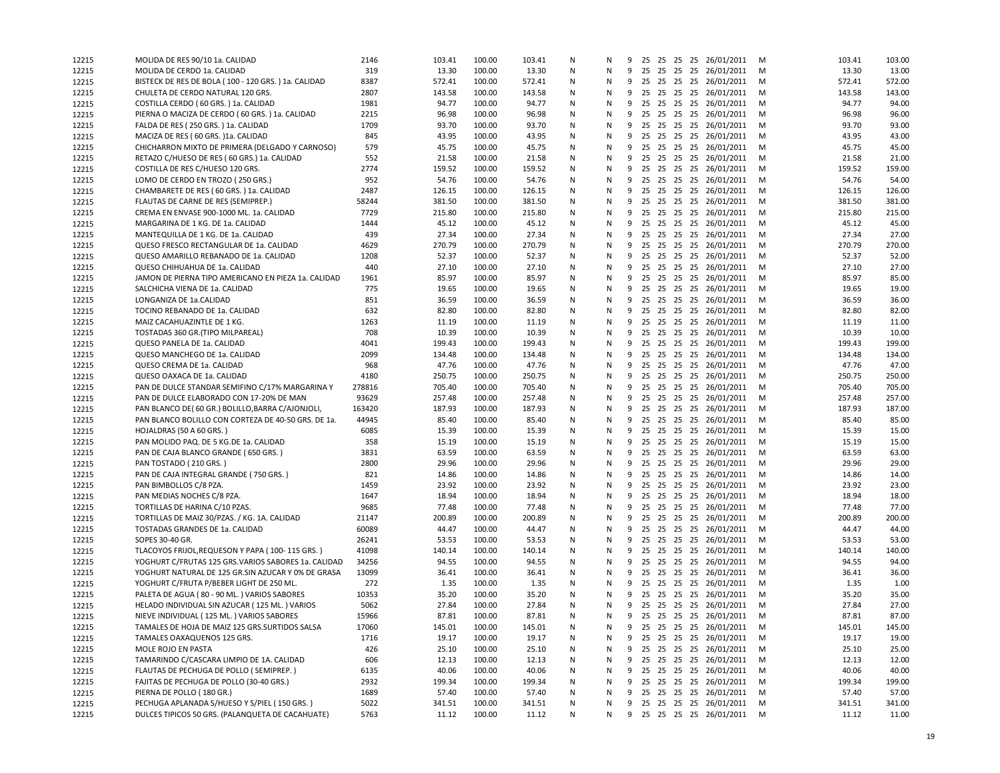| 12215 | MOLIDA DE RES 90/10 1a. CALIDAD                     | 2146   | 103.41 | 100.00 | 103.41 | N | N |   |    |  | 9 25 25 25 25 26/01/2011   | M | 103.41 | 103.00 |
|-------|-----------------------------------------------------|--------|--------|--------|--------|---|---|---|----|--|----------------------------|---|--------|--------|
| 12215 | MOLIDA DE CERDO 1a. CALIDAD                         | 319    | 13.30  | 100.00 | 13.30  | N | Ν |   |    |  | 9 25 25 25 25 26/01/2011   | M | 13.30  | 13.00  |
| 12215 | BISTECK DE RES DE BOLA (100 - 120 GRS.) 1a. CALIDAD | 8387   | 572.41 | 100.00 | 572.41 | N | N |   |    |  | 9 25 25 25 25 26/01/2011   | M | 572.41 | 572.00 |
| 12215 | CHULETA DE CERDO NATURAL 120 GRS.                   | 2807   | 143.58 | 100.00 | 143.58 | Ν | Ν | 9 |    |  | 25 25 25 25 26/01/2011     | M | 143.58 | 143.00 |
| 12215 | COSTILLA CERDO (60 GRS.) 1a. CALIDAD                | 1981   | 94.77  | 100.00 | 94.77  | N | N | 9 |    |  | 25 25 25 25 26/01/2011     | M | 94.77  | 94.00  |
| 12215 | PIERNA O MACIZA DE CERDO (60 GRS.) 1a. CALIDAD      | 2215   | 96.98  | 100.00 | 96.98  | N | Ν | 9 | 25 |  | 25 25 25 26/01/2011        | M | 96.98  | 96.00  |
| 12215 | FALDA DE RES (250 GRS.) 1a. CALIDAD                 | 1709   | 93.70  | 100.00 | 93.70  | N | N | 9 |    |  | 25 25 25 25 26/01/2011     | M | 93.70  | 93.00  |
| 12215 | MACIZA DE RES (60 GRS.)1a. CALIDAD                  | 845    | 43.95  | 100.00 | 43.95  | N | Ν | 9 |    |  | 25 25 25 25 26/01/2011     | M | 43.95  | 43.00  |
| 12215 | CHICHARRON MIXTO DE PRIMERA (DELGADO Y CARNOSO)     | 579    | 45.75  | 100.00 | 45.75  | N | N | 9 |    |  | 25 25 25 25 26/01/2011     | M | 45.75  | 45.00  |
| 12215 | RETAZO C/HUESO DE RES (60 GRS.) 1a. CALIDAD         | 552    | 21.58  | 100.00 | 21.58  | N | N | 9 |    |  | 25 25 25 25 26/01/2011     | M | 21.58  | 21.00  |
| 12215 | COSTILLA DE RES C/HUESO 120 GRS.                    | 2774   | 159.52 | 100.00 | 159.52 | Ν | Ν |   |    |  | 9 25 25 25 25 26/01/2011   | M | 159.52 | 159.00 |
| 12215 | LOMO DE CERDO EN TROZO (250 GRS.)                   | 952    | 54.76  | 100.00 | 54.76  | N | N | 9 |    |  | 25 25 25 25 26/01/2011     | M | 54.76  | 54.00  |
| 12215 | CHAMBARETE DE RES (60 GRS.) 1a. CALIDAD             | 2487   | 126.15 | 100.00 | 126.15 | N | N | 9 |    |  | 25 25 25 25 26/01/2011     | M | 126.15 | 126.00 |
| 12215 | FLAUTAS DE CARNE DE RES (SEMIPREP.)                 | 58244  | 381.50 | 100.00 | 381.50 | N | N | 9 |    |  | 25 25 25 25 26/01/2011     | M | 381.50 | 381.00 |
| 12215 | CREMA EN ENVASE 900-1000 ML. 1a. CALIDAD            | 7729   | 215.80 | 100.00 | 215.80 | N | Ν | 9 | 25 |  | 25 25 25 26/01/2011        | M | 215.80 | 215.00 |
| 12215 | MARGARINA DE 1 KG. DE 1a. CALIDAD                   | 1444   | 45.12  | 100.00 | 45.12  | N | N |   |    |  | 9 25 25 25 25 26/01/2011   | M | 45.12  | 45.00  |
| 12215 | MANTEQUILLA DE 1 KG. DE 1a. CALIDAD                 | 439    | 27.34  | 100.00 | 27.34  | N | N | 9 |    |  | 25 25 25 25 26/01/2011     | M | 27.34  | 27.00  |
| 12215 | QUESO FRESCO RECTANGULAR DE 1a. CALIDAD             | 4629   | 270.79 | 100.00 | 270.79 | Ν | Ν |   |    |  | 9 25 25 25 25 26/01/2011   | M | 270.79 | 270.00 |
| 12215 | QUESO AMARILLO REBANADO DE 1a. CALIDAD              | 1208   | 52.37  | 100.00 | 52.37  | N | Ν | 9 |    |  | 25 25 25 25 26/01/2011     | M | 52.37  | 52.00  |
|       | QUESO CHIHUAHUA DE 1a. CALIDAD                      | 440    | 27.10  | 100.00 | 27.10  | Ν | N | 9 |    |  | 25 25 25 25 26/01/2011     | M | 27.10  | 27.00  |
| 12215 |                                                     |        |        |        |        |   | N |   |    |  |                            |   | 85.97  | 85.00  |
| 12215 | JAMON DE PIERNA TIPO AMERICANO EN PIEZA 1a. CALIDAD | 1961   | 85.97  | 100.00 | 85.97  | N |   | 9 |    |  | 25 25 25 25 26/01/2011     | M |        |        |
| 12215 | SALCHICHA VIENA DE 1a. CALIDAD                      | 775    | 19.65  | 100.00 | 19.65  | N | N | 9 |    |  | 25 25 25 25 26/01/2011     | M | 19.65  | 19.00  |
| 12215 | LONGANIZA DE 1a.CALIDAD                             | 851    | 36.59  | 100.00 | 36.59  | N | N | 9 |    |  | 25 25 25 25 26/01/2011     | M | 36.59  | 36.00  |
| 12215 | TOCINO REBANADO DE 1a. CALIDAD                      | 632    | 82.80  | 100.00 | 82.80  | N | Ν | 9 | 25 |  | 25 25 25 26/01/2011        | M | 82.80  | 82.00  |
| 12215 | MAIZ CACAHUAZINTLE DE 1 KG.                         | 1263   | 11.19  | 100.00 | 11.19  | Ν | N |   |    |  | 9 25 25 25 25 26/01/2011   | M | 11.19  | 11.00  |
| 12215 | TOSTADAS 360 GR. (TIPO MILPAREAL)                   | 708    | 10.39  | 100.00 | 10.39  | N | N | 9 |    |  | 25 25 25 25 26/01/2011     | M | 10.39  | 10.00  |
| 12215 | QUESO PANELA DE 1a. CALIDAD                         | 4041   | 199.43 | 100.00 | 199.43 | N | Ν |   |    |  | 9 25 25 25 25 26/01/2011   | M | 199.43 | 199.00 |
| 12215 | QUESO MANCHEGO DE 1a. CALIDAD                       | 2099   | 134.48 | 100.00 | 134.48 | N | N |   |    |  | 9 25 25 25 25 26/01/2011   | M | 134.48 | 134.00 |
| 12215 | QUESO CREMA DE 1a. CALIDAD                          | 968    | 47.76  | 100.00 | 47.76  | Ν | N | 9 |    |  | 25 25 25 25 26/01/2011     | M | 47.76  | 47.00  |
| 12215 | QUESO OAXACA DE 1a. CALIDAD                         | 4180   | 250.75 | 100.00 | 250.75 | N | N | 9 |    |  | 25 25 25 25 26/01/2011     | M | 250.75 | 250.00 |
| 12215 | PAN DE DULCE STANDAR SEMIFINO C/17% MARGARINA Y     | 278816 | 705.40 | 100.00 | 705.40 | N | Ν | 9 | 25 |  | 25 25 25 26/01/2011        | M | 705.40 | 705.00 |
| 12215 | PAN DE DULCE ELABORADO CON 17-20% DE MAN            | 93629  | 257.48 | 100.00 | 257.48 | N | N | 9 |    |  | 25 25 25 25 26/01/2011     | м | 257.48 | 257.00 |
| 12215 | PAN BLANCO DE( 60 GR.) BOLILLO, BARRA C/AJONJOLI,   | 163420 | 187.93 | 100.00 | 187.93 | N | Ν | 9 |    |  | 25 25 25 25 26/01/2011     | M | 187.93 | 187.00 |
| 12215 | PAN BLANCO BOLILLO CON CORTEZA DE 40-50 GRS. DE 1a. | 44945  | 85.40  | 100.00 | 85.40  | N | N | 9 |    |  | 25 25 25 25 26/01/2011     | M | 85.40  | 85.00  |
| 12215 | HOJALDRAS (50 A 60 GRS.)                            | 6085   | 15.39  | 100.00 | 15.39  | N | N | 9 |    |  | 25 25 25 25 26/01/2011     | M | 15.39  | 15.00  |
| 12215 | PAN MOLIDO PAQ. DE 5 KG.DE 1a. CALIDAD              | 358    | 15.19  | 100.00 | 15.19  | Ν | N |   |    |  | 9 25 25 25 25 26/01/2011   | M | 15.19  | 15.00  |
| 12215 | PAN DE CAJA BLANCO GRANDE (650 GRS.)                | 3831   | 63.59  | 100.00 | 63.59  | N | N | 9 |    |  | 25 25 25 25 26/01/2011     | M | 63.59  | 63.00  |
| 12215 | PAN TOSTADO (210 GRS.)                              | 2800   | 29.96  | 100.00 | 29.96  | N | N | 9 |    |  | 25 25 25 25 26/01/2011     | M | 29.96  | 29.00  |
| 12215 | PAN DE CAJA INTEGRAL GRANDE (750 GRS.)              | 821    | 14.86  | 100.00 | 14.86  | N | N | 9 |    |  | 25 25 25 25 26/01/2011     | M | 14.86  | 14.00  |
| 12215 | PAN BIMBOLLOS C/8 PZA.                              | 1459   | 23.92  | 100.00 | 23.92  | N | Ν | 9 |    |  | 25 25 25 25 26/01/2011     | м | 23.92  | 23.00  |
| 12215 | PAN MEDIAS NOCHES C/8 PZA.                          | 1647   | 18.94  | 100.00 | 18.94  | N | N |   |    |  | 9 25 25 25 25 26/01/2011   | M | 18.94  | 18.00  |
| 12215 | TORTILLAS DE HARINA C/10 PZAS.                      | 9685   | 77.48  | 100.00 | 77.48  | N | N | 9 |    |  | 25 25 25 25 26/01/2011     | M | 77.48  | 77.00  |
| 12215 | TORTILLAS DE MAIZ 30/PZAS. / KG. 1A. CALIDAD        | 21147  | 200.89 | 100.00 | 200.89 | N | N | 9 |    |  | 25 25 25 25 26/01/2011     | M | 200.89 | 200.00 |
| 12215 | TOSTADAS GRANDES DE 1a. CALIDAD                     | 60089  | 44.47  | 100.00 | 44.47  | N | Ν | 9 |    |  | 25 25 25 25 26/01/2011     | M | 44.47  | 44.00  |
| 12215 | SOPES 30-40 GR.                                     | 26241  | 53.53  | 100.00 | 53.53  | Ν | Ν |   |    |  | 9 25 25 25 25 26/01/2011   | M | 53.53  | 53.00  |
| 12215 | TLACOYOS FRIJOL, REQUESON Y PAPA (100-115 GRS.)     | 41098  | 140.14 | 100.00 | 140.14 | N | N | 9 |    |  | 25 25 25 25 26/01/2011     | M | 140.14 | 140.00 |
| 12215 | YOGHURT C/FRUTAS 125 GRS.VARIOS SABORES 1a. CALIDAD | 34256  | 94.55  | 100.00 | 94.55  | Ν | N | 9 |    |  | 25 25 25 25 26/01/2011     | M | 94.55  | 94.00  |
| 12215 | YOGHURT NATURAL DE 125 GR.SIN AZUCAR Y 0% DE GRASA  | 13099  | 36.41  | 100.00 | 36.41  | N | N | 9 |    |  | 25 25 25 25 26/01/2011     | M | 36.41  | 36.00  |
| 12215 | YOGHURT C/FRUTA P/BEBER LIGHT DE 250 ML.            | 272    | 1.35   | 100.00 | 1.35   | N | Ν | 9 | 25 |  | 25 25 25 26/01/2011        | м | 1.35   | 1.00   |
| 12215 | PALETA DE AGUA (80 - 90 ML.) VARIOS SABORES         | 10353  | 35.20  | 100.00 | 35.20  | N | N |   |    |  | 9 25 25 25 25 26/01/2011   | м | 35.20  | 35.00  |
| 12215 | HELADO INDIVIDUAL SIN AZUCAR (125 ML.) VARIOS       | 5062   | 27.84  | 100.00 | 27.84  | N | N | 9 |    |  | 25 25 25 25 26/01/2011     | M | 27.84  | 27.00  |
| 12215 | NIEVE INDIVIDUAL (125 ML.) VARIOS SABORES           | 15966  | 87.81  | 100.00 | 87.81  | N | N |   |    |  | 9 25 25 25 25 26/01/2011   | M | 87.81  | 87.00  |
| 12215 | TAMALES DE HOJA DE MAIZ 125 GRS.SURTIDOS SALSA      | 17060  | 145.01 | 100.00 | 145.01 | N | N |   |    |  | 9 25 25 25 25 26/01/2011   | M | 145.01 | 145.00 |
| 12215 | TAMALES OAXAQUENOS 125 GRS.                         | 1716   | 19.17  | 100.00 | 19.17  | N | Ν | 9 |    |  | 25 25 25 25 26/01/2011     | M | 19.17  | 19.00  |
| 12215 | MOLE ROJO EN PASTA                                  | 426    | 25.10  | 100.00 | 25.10  | N | N | 9 |    |  | 25 25 25 25 26/01/2011     | M | 25.10  | 25.00  |
|       | TAMARINDO C/CASCARA LIMPIO DE 1A. CALIDAD           | 606    | 12.13  | 100.00 | 12.13  | N | Ν | 9 |    |  | 25 25 25 25 26/01/2011     | M | 12.13  | 12.00  |
| 12215 | FLAUTAS DE PECHUGA DE POLLO (SEMIPREP.)             | 6135   | 40.06  | 100.00 | 40.06  | N | N | 9 |    |  | 25 25 25 25 26/01/2011     | M | 40.06  | 40.00  |
| 12215 |                                                     |        |        | 100.00 |        | N |   | 9 |    |  | 25 25 25 25 26/01/2011     |   |        |        |
| 12215 | FAJITAS DE PECHUGA DE POLLO (30-40 GRS.)            | 2932   | 199.34 |        | 199.34 |   | N |   |    |  |                            | M | 199.34 | 199.00 |
| 12215 | PIERNA DE POLLO (180 GR.)                           | 1689   | 57.40  | 100.00 | 57.40  | N | N | 9 |    |  | 25 25 25 25 26/01/2011     | M | 57.40  | 57.00  |
| 12215 | PECHUGA APLANADA S/HUESO Y S/PIEL (150 GRS.)        | 5022   | 341.51 | 100.00 | 341.51 | N | N | 9 |    |  | 25 25 25 25 26/01/2011     | M | 341.51 | 341.00 |
| 12215 | DULCES TIPICOS 50 GRS. (PALANQUETA DE CACAHUATE)    | 5763   | 11.12  | 100.00 | 11.12  | N | N |   |    |  | 9 25 25 25 25 26/01/2011 M |   | 11.12  | 11.00  |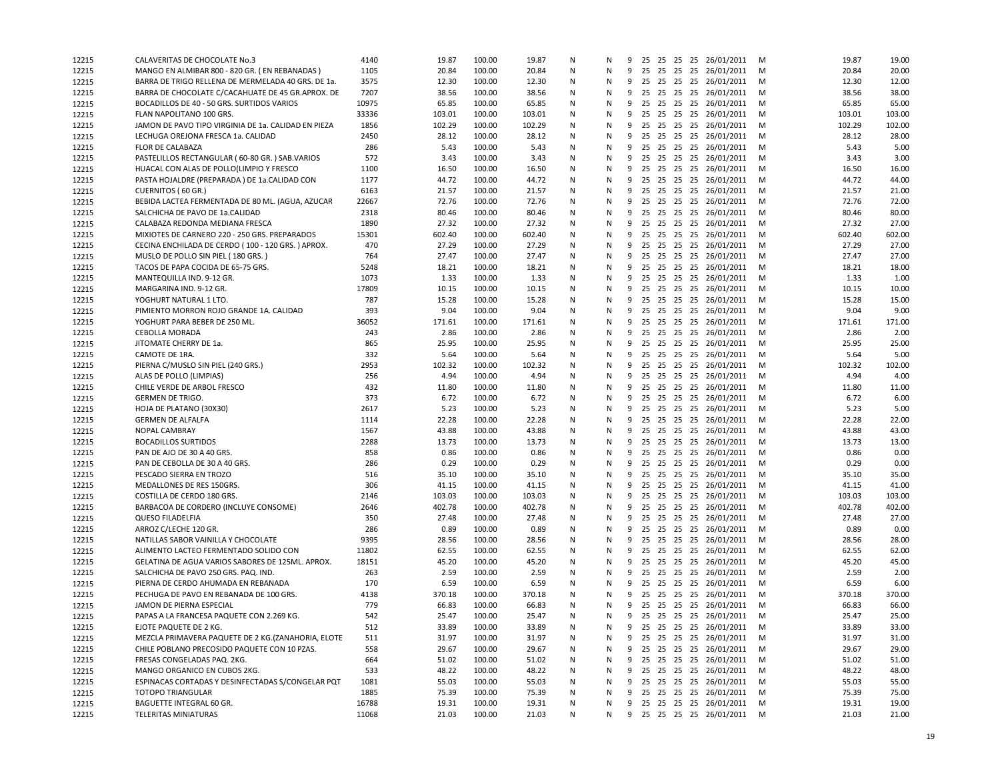| 12215 | CALAVERITAS DE CHOCOLATE No.3                       | 4140  | 19.87  | 100.00 | 19.87  | Ν | N |   |    |  | 9 25 25 25 25 26/01/2011   | м | 19.87  | 19.00          |
|-------|-----------------------------------------------------|-------|--------|--------|--------|---|---|---|----|--|----------------------------|---|--------|----------------|
| 12215 | MANGO EN ALMIBAR 800 - 820 GR. (EN REBANADAS)       | 1105  | 20.84  | 100.00 | 20.84  | N | N |   |    |  | 9 25 25 25 25 26/01/2011   | M | 20.84  | 20.00          |
| 12215 | BARRA DE TRIGO RELLENA DE MERMELADA 40 GRS. DE 1a.  | 3575  | 12.30  | 100.00 | 12.30  | N | N |   |    |  | 9 25 25 25 25 26/01/2011   | M | 12.30  | 12.00          |
| 12215 | BARRA DE CHOCOLATE C/CACAHUATE DE 45 GR.APROX. DE   | 7207  | 38.56  | 100.00 | 38.56  | N | N | 9 |    |  | 25 25 25 25 26/01/2011     | M | 38.56  | 38.00          |
| 12215 | BOCADILLOS DE 40 - 50 GRS. SURTIDOS VARIOS          | 10975 | 65.85  | 100.00 | 65.85  | N | N | 9 |    |  | 25 25 25 25 26/01/2011     | M | 65.85  | 65.00          |
| 12215 | FLAN NAPOLITANO 100 GRS.                            | 33336 | 103.01 | 100.00 | 103.01 | N | N | 9 | 25 |  | 25 25 25 26/01/2011        | M | 103.01 | 103.00         |
| 12215 | JAMON DE PAVO TIPO VIRGINIA DE 1a. CALIDAD EN PIEZA | 1856  | 102.29 | 100.00 | 102.29 | N | N | 9 |    |  | 25 25 25 25 26/01/2011     | M | 102.29 | 102.00         |
| 12215 | LECHUGA OREJONA FRESCA 1a. CALIDAD                  | 2450  | 28.12  | 100.00 | 28.12  | N | N | 9 |    |  | 25 25 25 25 26/01/2011     | M | 28.12  | 28.00          |
| 12215 | <b>FLOR DE CALABAZA</b>                             | 286   | 5.43   | 100.00 | 5.43   | N | N | 9 |    |  | 25 25 25 25 26/01/2011     | м | 5.43   | 5.00           |
| 12215 | PASTELILLOS RECTANGULAR (60-80 GR.) SAB VARIOS      | 572   | 3.43   | 100.00 | 3.43   | N | N |   |    |  | 9 25 25 25 25 26/01/2011   | M | 3.43   | 3.00           |
| 12215 | HUACAL CON ALAS DE POLLO (LIMPIO Y FRESCO           | 1100  | 16.50  | 100.00 | 16.50  | N | N | 9 |    |  | 25 25 25 25 26/01/2011     | M | 16.50  | 16.00          |
| 12215 | PASTA HOJALDRE (PREPARADA) DE 1a.CALIDAD CON        | 1177  | 44.72  | 100.00 | 44.72  | N | N | 9 |    |  | 25 25 25 25 26/01/2011     | M | 44.72  | 44.00          |
| 12215 | CUERNITOS (60 GR.)                                  | 6163  | 21.57  | 100.00 | 21.57  | N | N | 9 | 25 |  | 25 25 25 26/01/2011        | M | 21.57  | 21.00          |
| 12215 | BEBIDA LACTEA FERMENTADA DE 80 ML. (AGUA, AZUCAR    | 22667 | 72.76  | 100.00 | 72.76  | N | N | 9 |    |  | 25 25 25 25 26/01/2011     | м | 72.76  | 72.00          |
| 12215 | SALCHICHA DE PAVO DE 1a.CALIDAD                     | 2318  | 80.46  | 100.00 | 80.46  | N | N | 9 |    |  | 25 25 25 25 26/01/2011     | M | 80.46  | 80.00          |
| 12215 | CALABAZA REDONDA MEDIANA FRESCA                     | 1890  | 27.32  | 100.00 | 27.32  | N | N | 9 |    |  | 25 25 25 25 26/01/2011     | M | 27.32  | 27.00          |
| 12215 | MIXIOTES DE CARNERO 220 - 250 GRS. PREPARADOS       | 15301 | 602.40 | 100.00 | 602.40 | N | N | 9 |    |  | 25 25 25 25 26/01/2011     | м | 602.40 | 602.00         |
| 12215 | CECINA ENCHILADA DE CERDO (100 - 120 GRS.) APROX.   | 470   | 27.29  | 100.00 | 27.29  | N | N |   |    |  | 9 25 25 25 25 26/01/2011   | M | 27.29  | 27.00          |
| 12215 | MUSLO DE POLLO SIN PIEL (180 GRS.)                  | 764   | 27.47  | 100.00 | 27.47  | N | N |   |    |  | 9 25 25 25 25 26/01/2011   | M | 27.47  | 27.00          |
| 12215 | TACOS DE PAPA COCIDA DE 65-75 GRS.                  | 5248  | 18.21  | 100.00 | 18.21  | N | N | 9 |    |  | 25 25 25 25 26/01/2011     | M | 18.21  | 18.00          |
|       | MANTEQUILLA IND. 9-12 GR.                           | 1073  | 1.33   | 100.00 | 1.33   | N | N | 9 |    |  | 25 25 25 25 26/01/2011     | M | 1.33   | 1.00           |
| 12215 |                                                     | 17809 |        | 100.00 |        | N |   |   |    |  |                            |   | 10.15  |                |
| 12215 | MARGARINA IND. 9-12 GR.                             |       | 10.15  | 100.00 | 10.15  | N | N | 9 | 25 |  | 25 25 25 26/01/2011        | м | 15.28  | 10.00<br>15.00 |
| 12215 | YOGHURT NATURAL 1 LTO.                              | 787   | 15.28  |        | 15.28  |   | N | 9 |    |  | 25 25 25 25 26/01/2011     | M |        |                |
| 12215 | PIMIENTO MORRON ROJO GRANDE 1A. CALIDAD             | 393   | 9.04   | 100.00 | 9.04   | N | N | 9 | 25 |  | 25 25 25 26/01/2011        | M | 9.04   | 9.00           |
| 12215 | YOGHURT PARA BEBER DE 250 ML.                       | 36052 | 171.61 | 100.00 | 171.61 | N | N | 9 |    |  | 25 25 25 25 26/01/2011     | M | 171.61 | 171.00         |
| 12215 | CEBOLLA MORADA                                      | 243   | 2.86   | 100.00 | 2.86   | N | N | 9 |    |  | 25 25 25 25 26/01/2011     | м | 2.86   | 2.00           |
| 12215 | JITOMATE CHERRY DE 1a.                              | 865   | 25.95  | 100.00 | 25.95  | N | N |   |    |  | 9 25 25 25 25 26/01/2011   | M | 25.95  | 25.00          |
| 12215 | CAMOTE DE 1RA.                                      | 332   | 5.64   | 100.00 | 5.64   | N | N |   |    |  | 9 25 25 25 25 26/01/2011   | M | 5.64   | 5.00           |
| 12215 | PIERNA C/MUSLO SIN PIEL (240 GRS.)                  | 2953  | 102.32 | 100.00 | 102.32 | N | N | 9 |    |  | 25 25 25 25 26/01/2011     | M | 102.32 | 102.00         |
| 12215 | ALAS DE POLLO (LIMPIAS)                             | 256   | 4.94   | 100.00 | 4.94   | N | N | 9 |    |  | 25 25 25 25 26/01/2011     | M | 4.94   | 4.00           |
| 12215 | CHILE VERDE DE ARBOL FRESCO                         | 432   | 11.80  | 100.00 | 11.80  | N | N | 9 | 25 |  | 25 25 25 26/01/2011        | M | 11.80  | 11.00          |
| 12215 | <b>GERMEN DE TRIGO.</b>                             | 373   | 6.72   | 100.00 | 6.72   | N | N | 9 |    |  | 25 25 25 25 26/01/2011     | M | 6.72   | 6.00           |
| 12215 | HOJA DE PLATANO (30X30)                             | 2617  | 5.23   | 100.00 | 5.23   | N | N | 9 |    |  | 25 25 25 25 26/01/2011     | M | 5.23   | 5.00           |
| 12215 | <b>GERMEN DE ALFALFA</b>                            | 1114  | 22.28  | 100.00 | 22.28  | N | N | 9 |    |  | 25 25 25 25 26/01/2011     | м | 22.28  | 22.00          |
| 12215 | <b>NOPAL CAMBRAY</b>                                | 1567  | 43.88  | 100.00 | 43.88  | N | N |   |    |  | 9 25 25 25 25 26/01/2011   | M | 43.88  | 43.00          |
| 12215 | <b>BOCADILLOS SURTIDOS</b>                          | 2288  | 13.73  | 100.00 | 13.73  | N | N | 9 |    |  | 25 25 25 25 26/01/2011     | M | 13.73  | 13.00          |
| 12215 | PAN DE AJO DE 30 A 40 GRS.                          | 858   | 0.86   | 100.00 | 0.86   | N | N | 9 |    |  | 25 25 25 25 26/01/2011     | M | 0.86   | 0.00           |
| 12215 | PAN DE CEBOLLA DE 30 A 40 GRS.                      | 286   | 0.29   | 100.00 | 0.29   | N | N | 9 | 25 |  | 25 25 25 26/01/2011        | M | 0.29   | 0.00           |
| 12215 | PESCADO SIERRA EN TROZO                             | 516   | 35.10  | 100.00 | 35.10  | N | N | 9 |    |  | 25 25 25 25 26/01/2011     | м | 35.10  | 35.00          |
| 12215 | MEDALLONES DE RES 150GRS.                           | 306   | 41.15  | 100.00 | 41.15  | N | N | 9 |    |  | 25 25 25 25 26/01/2011     | M | 41.15  | 41.00          |
| 12215 | COSTILLA DE CERDO 180 GRS.                          | 2146  | 103.03 | 100.00 | 103.03 | N | N | 9 |    |  | 25 25 25 25 26/01/2011     | M | 103.03 | 103.00         |
| 12215 | BARBACOA DE CORDERO (INCLUYE CONSOME)               | 2646  | 402.78 | 100.00 | 402.78 | N | N | 9 |    |  | 25 25 25 25 26/01/2011     | м | 402.78 | 402.00         |
| 12215 | <b>QUESO FILADELFIA</b>                             | 350   | 27.48  | 100.00 | 27.48  | N | N | 9 |    |  | 25 25 25 25 26/01/2011     | м | 27.48  | 27.00          |
| 12215 | ARROZ C/LECHE 120 GR.                               | 286   | 0.89   | 100.00 | 0.89   | N | N | 9 |    |  | 25 25 25 25 26/01/2011     | M | 0.89   | 0.00           |
| 12215 | NATILLAS SABOR VAINILLA Y CHOCOLATE                 | 9395  | 28.56  | 100.00 | 28.56  | N | N | 9 |    |  | 25 25 25 25 26/01/2011     | M | 28.56  | 28.00          |
| 12215 | ALIMENTO LACTEO FERMENTADO SOLIDO CON               | 11802 | 62.55  | 100.00 | 62.55  | N | N | 9 |    |  | 25 25 25 25 26/01/2011     | M | 62.55  | 62.00          |
| 12215 | GELATINA DE AGUA VARIOS SABORES DE 125ML. APROX.    | 18151 | 45.20  | 100.00 | 45.20  | N | N | 9 | 25 |  | 25 25 25 26/01/2011        | M | 45.20  | 45.00          |
| 12215 | SALCHICHA DE PAVO 250 GRS. PAQ. IND.                | 263   | 2.59   | 100.00 | 2.59   | N | N | 9 |    |  | 25 25 25 25 26/01/2011     | м | 2.59   | 2.00           |
| 12215 | PIERNA DE CERDO AHUMADA EN REBANADA                 | 170   | 6.59   | 100.00 | 6.59   | N | N | 9 |    |  | 25 25 25 25 26/01/2011     | M | 6.59   | 6.00           |
| 12215 | PECHUGA DE PAVO EN REBANADA DE 100 GRS.             | 4138  | 370.18 | 100.00 | 370.18 | N | N | 9 |    |  | 25 25 25 25 26/01/2011     | м | 370.18 | 370.00         |
| 12215 | JAMON DE PIERNA ESPECIAL                            | 779   | 66.83  | 100.00 | 66.83  | N | N | 9 |    |  | 25 25 25 25 26/01/2011     | м | 66.83  | 66.00          |
| 12215 | PAPAS A LA FRANCESA PAQUETE CON 2.269 KG.           | 542   | 25.47  | 100.00 | 25.47  | N | N |   |    |  | 9 25 25 25 25 26/01/2011   | M | 25.47  | 25.00          |
| 12215 | EJOTE PAQUETE DE 2 KG.                              | 512   | 33.89  | 100.00 | 33.89  | Ν | Ν |   |    |  | 9 25 25 25 25 26/01/2011   | M | 33.89  | 33.00          |
| 12215 | MEZCLA PRIMAVERA PAQUETE DE 2 KG. (ZANAHORIA, ELOTE | 511   | 31.97  | 100.00 | 31.97  | Ν | N | 9 |    |  | 25 25 25 25 26/01/2011     | M | 31.97  | 31.00          |
| 12215 | CHILE POBLANO PRECOSIDO PAQUETE CON 10 PZAS.        | 558   | 29.67  | 100.00 | 29.67  | Ν | N | 9 |    |  | 25 25 25 25 26/01/2011     | M | 29.67  | 29.00          |
| 12215 | FRESAS CONGELADAS PAQ. 2KG.                         | 664   | 51.02  | 100.00 | 51.02  | Ν | N | 9 |    |  | 25 25 25 25 26/01/2011     | M | 51.02  | 51.00          |
| 12215 | MANGO ORGANICO EN CUBOS 2KG.                        | 533   | 48.22  | 100.00 | 48.22  | Ν | N | 9 |    |  | 25 25 25 25 26/01/2011     | M | 48.22  | 48.00          |
| 12215 | ESPINACAS CORTADAS Y DESINFECTADAS S/CONGELAR PQT   | 1081  | 55.03  | 100.00 | 55.03  | Ν | N | 9 |    |  | 25 25 25 25 26/01/2011     | M | 55.03  | 55.00          |
| 12215 | <b>TOTOPO TRIANGULAR</b>                            | 1885  | 75.39  | 100.00 | 75.39  | Ν | N | 9 |    |  | 25 25 25 25 26/01/2011     | M | 75.39  | 75.00          |
| 12215 | BAGUETTE INTEGRAL 60 GR.                            | 16788 | 19.31  | 100.00 | 19.31  | Ν | N |   |    |  | 9 25 25 25 25 26/01/2011   | M | 19.31  | 19.00          |
| 12215 | TELERITAS MINIATURAS                                | 11068 | 21.03  | 100.00 | 21.03  | N | N |   |    |  | 9 25 25 25 25 26/01/2011 M |   | 21.03  | 21.00          |
|       |                                                     |       |        |        |        |   |   |   |    |  |                            |   |        |                |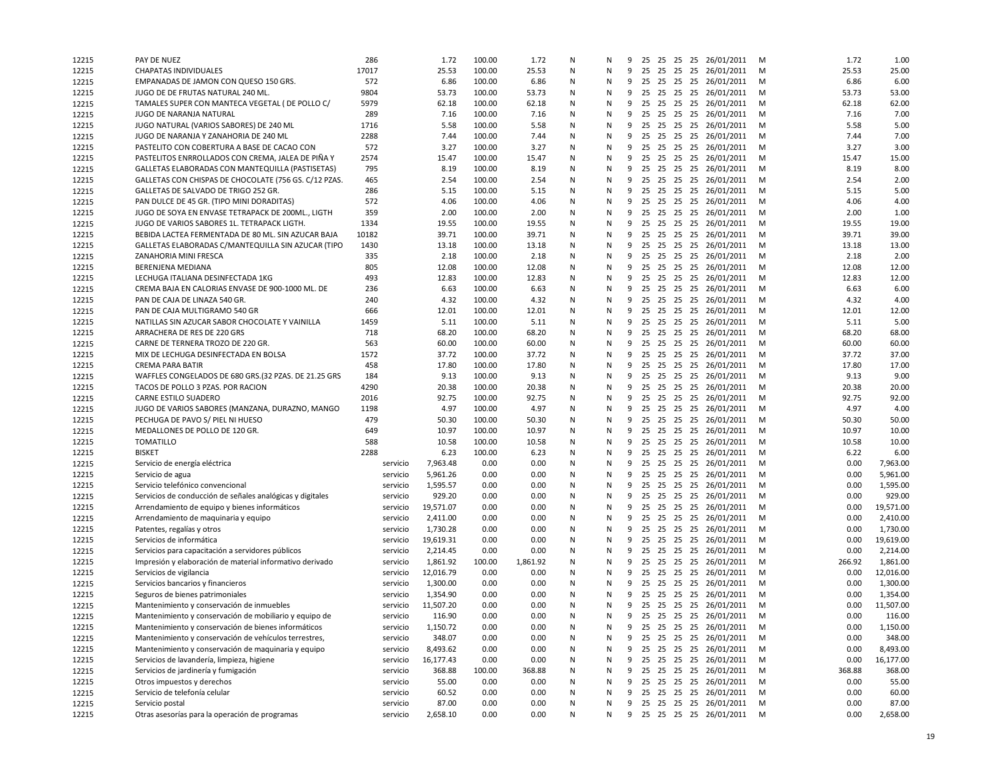| 12215 | PAY DE NUEZ                                                               | 286      | 1.72      | 100.00           | 1.72     | N | N      | 9      |    |  | 25 25 25 25 26/01/2011                        | M      | 1.72          | 1.00      |
|-------|---------------------------------------------------------------------------|----------|-----------|------------------|----------|---|--------|--------|----|--|-----------------------------------------------|--------|---------------|-----------|
| 12215 | CHAPATAS INDIVIDUALES                                                     | 17017    | 25.53     | 100.00           | 25.53    | N | N      | 9      |    |  | 25 25 25 25 26/01/2011                        | M      | 25.53         | 25.00     |
| 12215 | EMPANADAS DE JAMON CON QUESO 150 GRS.                                     | 572      | 6.86      | 100.00           | 6.86     | N | N      | 9      |    |  | 25 25 25 25 26/01/2011                        | M      | 6.86          | 6.00      |
| 12215 | JUGO DE DE FRUTAS NATURAL 240 ML.                                         | 9804     | 53.73     | 100.00           | 53.73    | N | N      | 9      |    |  | 25 25 25 25 26/01/2011                        | M      | 53.73         | 53.00     |
| 12215 | TAMALES SUPER CON MANTECA VEGETAL ( DE POLLO C/                           | 5979     | 62.18     | 100.00           | 62.18    | N | N      | 9      |    |  | 25 25 25 25 26/01/2011                        | M      | 62.18         | 62.00     |
| 12215 | JUGO DE NARANJA NATURAL                                                   | 289      | 7.16      | 100.00           | 7.16     | N | N      | 9      | 25 |  | 25 25 25 26/01/2011                           | M      | 7.16          | 7.00      |
| 12215 | JUGO NATURAL (VARIOS SABORES) DE 240 ML                                   | 1716     | 5.58      | 100.00           | 5.58     | N | N      | 9      |    |  | 25 25 25 25 26/01/2011                        | M      | 5.58          | 5.00      |
| 12215 | JUGO DE NARANJA Y ZANAHORIA DE 240 ML                                     | 2288     | 7.44      | 100.00           | 7.44     | N | N      | 9      |    |  | 25 25 25 25 26/01/2011                        | M      | 7.44          | 7.00      |
| 12215 | PASTELITO CON COBERTURA A BASE DE CACAO CON                               | 572      | 3.27      | 100.00           | 3.27     | N | N      | 9      |    |  | 25 25 25 25 26/01/2011                        | M      | 3.27          | 3.00      |
| 12215 | PASTELITOS ENRROLLADOS CON CREMA, JALEA DE PIÑA Y                         | 2574     | 15.47     | 100.00           | 15.47    | N | N      | 9      |    |  | 25 25 25 25 26/01/2011                        | M      | 15.47         | 15.00     |
| 12215 | GALLETAS ELABORADAS CON MANTEQUILLA (PASTISETAS)                          | 795      | 8.19      | 100.00           | 8.19     | N | N      | 9      |    |  | 25 25 25 25 26/01/2011                        | M      | 8.19          | 8.00      |
| 12215 | GALLETAS CON CHISPAS DE CHOCOLATE (756 GS. C/12 PZAS.                     | 465      | 2.54      | 100.00           | 2.54     | N | N      | 9      |    |  | 25 25 25 25 26/01/2011                        | M      | 2.54          | 2.00      |
| 12215 | GALLETAS DE SALVADO DE TRIGO 252 GR.                                      | 286      | 5.15      | 100.00           | 5.15     | N | N      | 9      | 25 |  | 25 25 25 26/01/2011                           | M      | 5.15          | 5.00      |
| 12215 | PAN DULCE DE 45 GR. (TIPO MINI DORADITAS)                                 | 572      | 4.06      | 100.00           | 4.06     | N | N      | 9      |    |  | 25 25 25 25 26/01/2011                        | M      | 4.06          | 4.00      |
| 12215 | JUGO DE SOYA EN ENVASE TETRAPACK DE 200ML., LIGTH                         | 359      | 2.00      | 100.00           | 2.00     | N | N      | 9      |    |  | 25 25 25 25 26/01/2011                        | M      | 2.00          | 1.00      |
| 12215 | JUGO DE VARIOS SABORES 1L. TETRAPACK LIGTH.                               | 1334     | 19.55     | 100.00           | 19.55    | N | N      | 9      |    |  | 25 25 25 25 26/01/2011                        | M      | 19.55         | 19.00     |
| 12215 | BEBIDA LACTEA FERMENTADA DE 80 ML. SIN AZUCAR BAJA                        | 10182    | 39.71     | 100.00           | 39.71    | N | N      | 9      |    |  | 25 25 25 25 26/01/2011                        | M      | 39.71         | 39.00     |
| 12215 | GALLETAS ELABORADAS C/MANTEQUILLA SIN AZUCAR (TIPO                        | 1430     | 13.18     | 100.00           | 13.18    | N | N      | 9      |    |  | 25 25 25 25 26/01/2011                        | M      | 13.18         | 13.00     |
| 12215 | ZANAHORIA MINI FRESCA                                                     | 335      | 2.18      | 100.00           | 2.18     | N | N      |        |    |  | 9 25 25 25 25 26/01/2011                      | M      | 2.18          | 2.00      |
| 12215 | BERENJENA MEDIANA                                                         | 805      | 12.08     | 100.00           | 12.08    | N | N      | 9      |    |  | 25 25 25 25 26/01/2011                        | M      | 12.08         | 12.00     |
| 12215 | LECHUGA ITALIANA DESINFECTADA 1KG                                         | 493      | 12.83     | 100.00           | 12.83    | N | N      | 9      |    |  | 25 25 25 25 26/01/2011                        | M      | 12.83         | 12.00     |
| 12215 | CREMA BAJA EN CALORIAS ENVASE DE 900-1000 ML. DE                          | 236      | 6.63      | 100.00           | 6.63     | N | N      | 9      | 25 |  | 25 25 25 26/01/2011                           | M      | 6.63          | 6.00      |
| 12215 | PAN DE CAJA DE LINAZA 540 GR.                                             | 240      | 4.32      | 100.00           | 4.32     | N | N      | 9      |    |  | 25 25 25 25 26/01/2011                        | M      | 4.32          | 4.00      |
| 12215 | PAN DE CAJA MULTIGRAMO 540 GR                                             | 666      | 12.01     | 100.00           | 12.01    | N | N      | 9      |    |  | 25 25 25 25 26/01/2011                        | M      | 12.01         | 12.00     |
| 12215 | NATILLAS SIN AZUCAR SABOR CHOCOLATE Y VAINILLA                            | 1459     | 5.11      | 100.00           | 5.11     | N | N      | 9      |    |  | 25 25 25 25 26/01/2011                        | M      | 5.11          | 5.00      |
| 12215 | ARRACHERA DE RES DE 220 GRS                                               | 718      | 68.20     | 100.00           | 68.20    | N | N      | 9      |    |  | 25 25 25 25 26/01/2011                        |        | 68.20         | 68.00     |
|       |                                                                           |          |           |                  |          |   |        |        |    |  |                                               | M      | 60.00         | 60.00     |
| 12215 | CARNE DE TERNERA TROZO DE 220 GR.<br>MIX DE LECHUGA DESINFECTADA EN BOLSA | 563      | 60.00     | 100.00           | 60.00    | N | N<br>N | 9      |    |  | 25 25 25 25 26/01/2011                        | M<br>M | 37.72         | 37.00     |
| 12215 | <b>CREMA PARA BATIR</b>                                                   | 1572     | 37.72     | 100.00           | 37.72    | N |        |        |    |  | 9 25 25 25 25 26/01/2011                      |        |               |           |
| 12215 |                                                                           | 458      | 17.80     | 100.00           | 17.80    | N | N      | 9      |    |  | 25 25 25 25 26/01/2011                        | M      | 17.80         | 17.00     |
| 12215 | WAFFLES CONGELADOS DE 680 GRS.(32 PZAS. DE 21.25 GRS                      | 184      | 9.13      | 100.00<br>100.00 | 9.13     | N | N      | 9<br>9 | 25 |  | 25 25 25 25 26/01/2011<br>25 25 25 26/01/2011 | M      | 9.13<br>20.38 | 9.00      |
| 12215 | TACOS DE POLLO 3 PZAS. POR RACION                                         | 4290     | 20.38     |                  | 20.38    | N | N      |        |    |  |                                               | M      | 92.75         | 20.00     |
| 12215 | CARNE ESTILO SUADERO                                                      | 2016     | 92.75     | 100.00           | 92.75    | N | N      | 9      |    |  | 25 25 25 25 26/01/2011                        | M      |               | 92.00     |
| 12215 | JUGO DE VARIOS SABORES (MANZANA, DURAZNO, MANGO                           | 1198     | 4.97      | 100.00           | 4.97     | N | N      | 9      |    |  | 25 25 25 25 26/01/2011                        | M      | 4.97          | 4.00      |
| 12215 | PECHUGA DE PAVO S/ PIEL NI HUESO                                          | 479      | 50.30     | 100.00           | 50.30    | N | N      | 9      |    |  | 25 25 25 25 26/01/2011                        | M      | 50.30         | 50.00     |
| 12215 | MEDALLONES DE POLLO DE 120 GR.                                            | 649      | 10.97     | 100.00           | 10.97    | N | N      | 9      |    |  | 25 25 25 25 26/01/2011                        | M      | 10.97         | 10.00     |
| 12215 | <b>TOMATILLO</b>                                                          | 588      | 10.58     | 100.00           | 10.58    | N | N      | 9      |    |  | 25 25 25 25 26/01/2011                        | M      | 10.58         | 10.00     |
| 12215 | <b>BISKET</b>                                                             | 2288     | 6.23      | 100.00           | 6.23     | N | N      | 9      |    |  | 25 25 25 25 26/01/2011                        | M      | 6.22          | 6.00      |
| 12215 | Servicio de energía eléctrica                                             | servicio | 7,963.48  | 0.00             | 0.00     | N | N      | 9      | 25 |  | 25 25 25 26/01/2011                           | M      | 0.00          | 7,963.00  |
| 12215 | Servicio de agua                                                          | servicio | 5,961.26  | 0.00             | 0.00     | N | N      | 9      |    |  | 25 25 25 25 26/01/2011                        | M      | 0.00          | 5,961.00  |
| 12215 | Servicio telefónico convencional                                          | servicio | 1,595.57  | 0.00             | 0.00     | N | N      | 9      |    |  | 25 25 25 25 26/01/2011                        | M      | 0.00          | 1,595.00  |
| 12215 | Servicios de conducción de señales analógicas y digitales                 | servicio | 929.20    | 0.00             | 0.00     | N | N      | 9      |    |  | 25 25 25 25 26/01/2011                        | M      | 0.00          | 929.00    |
| 12215 | Arrendamiento de equipo y bienes informáticos                             | servicio | 19,571.07 | 0.00             | 0.00     | N | N      | 9      |    |  | 25 25 25 25 26/01/2011                        | M      | 0.00          | 19,571.00 |
| 12215 | Arrendamiento de maquinaria y equipo                                      | servicio | 2,411.00  | 0.00             | 0.00     | N | N      | 9      |    |  | 25 25 25 25 26/01/2011                        | M      | 0.00          | 2,410.00  |
| 12215 | Patentes, regalías y otros                                                | servicio | 1,730.28  | 0.00             | 0.00     | N | N      | 9      |    |  | 25 25 25 25 26/01/2011                        | M      | 0.00          | 1,730.00  |
| 12215 | Servicios de informática                                                  | servicio | 19,619.31 | 0.00             | 0.00     | N | N      | 9      |    |  | 25 25 25 25 26/01/2011                        | M      | 0.00          | 19,619.00 |
| 12215 | Servicios para capacitación a servidores públicos                         | servicio | 2,214.45  | 0.00             | 0.00     | N | N      | 9      |    |  | 25 25 25 25 26/01/2011                        | M      | 0.00          | 2,214.00  |
| 12215 | Impresión y elaboración de material informativo derivado                  | servicio | 1,861.92  | 100.00           | 1,861.92 | N | N      | 9      | 25 |  | 25 25 25 26/01/2011                           | M      | 266.92        | 1,861.00  |
| 12215 | Servicios de vigilancia                                                   | servicio | 12,016.79 | 0.00             | 0.00     | N | N      | 9      |    |  | 25 25 25 25 26/01/2011                        | M      | 0.00          | 12,016.00 |
| 12215 | Servicios bancarios y financieros                                         | servicio | 1,300.00  | 0.00             | 0.00     | N | N      | 9      |    |  | 25 25 25 25 26/01/2011                        | M      | 0.00          | 1,300.00  |
| 12215 | Seguros de bienes patrimoniales                                           | servicio | 1,354.90  | 0.00             | 0.00     | N | N      | 9      |    |  | 25 25 25 25 26/01/2011                        | M      | 0.00          | 1,354.00  |
| 12215 | Mantenimiento y conservación de inmuebles                                 | servicio | 11,507.20 | 0.00             | 0.00     | N | N      | 9      |    |  | 25 25 25 25 26/01/2011                        | M      | 0.00          | 11,507.00 |
| 12215 | Mantenimiento y conservación de mobiliario y equipo de                    | servicio | 116.90    | 0.00             | 0.00     | N | N      |        |    |  | 9 25 25 25 25 26/01/2011                      | M      | 0.00          | 116.00    |
| 12215 | Mantenimiento y conservación de bienes informáticos                       | servicio | 1,150.72  | 0.00             | 0.00     | N | Ν      | 9      |    |  | 25 25 25 25 26/01/2011                        | M      | 0.00          | 1,150.00  |
| 12215 | Mantenimiento y conservación de vehículos terrestres,                     | servicio | 348.07    | 0.00             | 0.00     | N | N      | 9      | 25 |  | 25 25 25 26/01/2011                           | M      | 0.00          | 348.00    |
| 12215 | Mantenimiento y conservación de maquinaria y equipo                       | servicio | 8,493.62  | 0.00             | 0.00     | N | N      | 9      | 25 |  | 25 25 25 26/01/2011                           | M      | 0.00          | 8,493.00  |
| 12215 | Servicios de lavandería, limpieza, higiene                                | servicio | 16,177.43 | 0.00             | 0.00     | N | N      | 9      | 25 |  | 25 25 25 26/01/2011                           | M      | 0.00          | 16,177.00 |
| 12215 | Servicios de jardinería y fumigación                                      | servicio | 368.88    | 100.00           | 368.88   | N | N      | 9      |    |  | 25 25 25 25 26/01/2011                        | M      | 368.88        | 368.00    |
| 12215 | Otros impuestos y derechos                                                | servicio | 55.00     | 0.00             | 0.00     | N | N      | 9      |    |  | 25 25 25 25 26/01/2011                        | M      | 0.00          | 55.00     |
| 12215 | Servicio de telefonía celular                                             | servicio | 60.52     | 0.00             | 0.00     | N | N      | 9      |    |  | 25 25 25 25 26/01/2011                        | M      | 0.00          | 60.00     |
| 12215 | Servicio postal                                                           | servicio | 87.00     | 0.00             | 0.00     | N | N      | 9      |    |  | 25 25 25 25 26/01/2011                        | M      | 0.00          | 87.00     |
| 12215 | Otras asesorías para la operación de programas                            | servicio | 2,658.10  | 0.00             | 0.00     | N | N      |        |    |  | 9 25 25 25 25 26/01/2011 M                    |        | 0.00          | 2,658.00  |